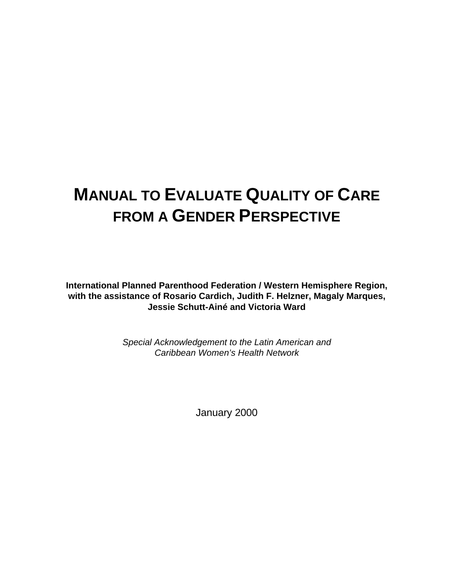# **MANUAL TO EVALUATE QUALITY OF CARE FROM A GENDER PERSPECTIVE**

**International Planned Parenthood Federation / Western Hemisphere Region, with the assistance of Rosario Cardich, Judith F. Helzner, Magaly Marques, Jessie Schutt-Ainé and Victoria Ward**

> *Special Acknowledgement to the Latin American and Caribbean Women's Health Network*

> > January 2000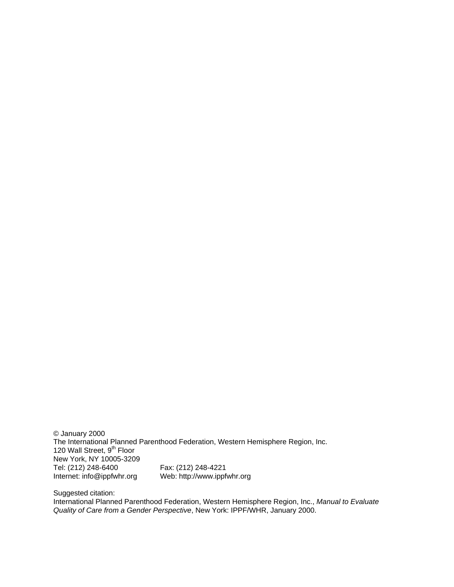© January 2000 The International Planned Parenthood Federation, Western Hemisphere Region, Inc. 120 Wall Street, 9<sup>th</sup> Floor New York, NY 10005-3209 Tel: (212) 248-6400 Fax: (212) 248-4221 Internet: info@ippfwhr.org Web: http://www.ippfwhr.org

Suggested citation:

International Planned Parenthood Federation, Western Hemisphere Region, Inc., *Manual to Evaluate Quality of Care from a Gender Perspective*, New York: IPPF/WHR, January 2000.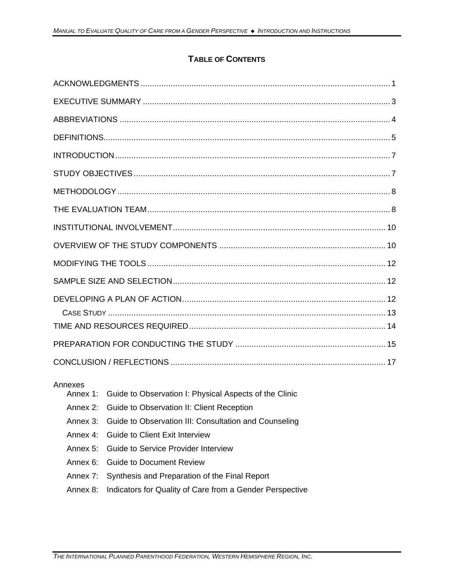## **TABLE OF CONTENTS**

| Annexes<br>Annex 1: Guide to Observation I: Physical Aspects of the Clinic |
|----------------------------------------------------------------------------|

- Annex 2: Guide to Observation II: Client Reception
- Annex 3: Guide to Observation III: Consultation and Counseling
- Annex 4: Guide to Client Exit Interview
- Annex 5: Guide to Service Provider Interview
- Annex 6: Guide to Document Review
- Annex 7: Synthesis and Preparation of the Final Report
- Annex 8: Indicators for Quality of Care from a Gender Perspective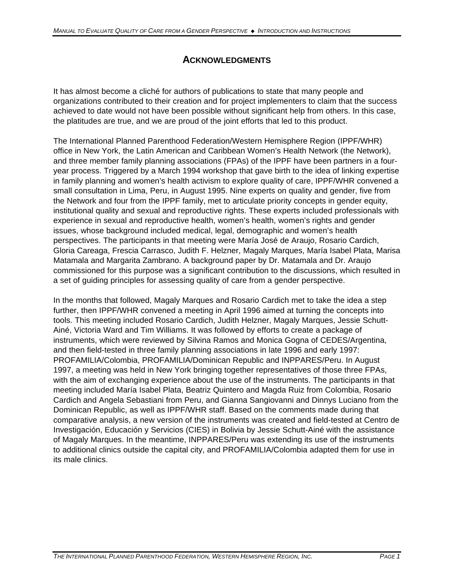# **ACKNOWLEDGMENTS**

It has almost become a cliché for authors of publications to state that many people and organizations contributed to their creation and for project implementers to claim that the success achieved to date would not have been possible without significant help from others. In this case, the platitudes are true, and we are proud of the joint efforts that led to this product.

The International Planned Parenthood Federation/Western Hemisphere Region (IPPF/WHR) office in New York, the Latin American and Caribbean Women's Health Network (the Network), and three member family planning associations (FPAs) of the IPPF have been partners in a fouryear process. Triggered by a March 1994 workshop that gave birth to the idea of linking expertise in family planning and women's health activism to explore quality of care, IPPF/WHR convened a small consultation in Lima, Peru, in August 1995. Nine experts on quality and gender, five from the Network and four from the IPPF family, met to articulate priority concepts in gender equity, institutional quality and sexual and reproductive rights. These experts included professionals with experience in sexual and reproductive health, women's health, women's rights and gender issues, whose background included medical, legal, demographic and women's health perspectives. The participants in that meeting were María José de Araujo, Rosario Cardich, Gloria Careaga, Frescia Carrasco, Judith F. Helzner, Magaly Marques, María Isabel Plata, Marisa Matamala and Margarita Zambrano. A background paper by Dr. Matamala and Dr. Araujo commissioned for this purpose was a significant contribution to the discussions, which resulted in a set of guiding principles for assessing quality of care from a gender perspective.

In the months that followed, Magaly Marques and Rosario Cardich met to take the idea a step further, then IPPF/WHR convened a meeting in April 1996 aimed at turning the concepts into tools. This meeting included Rosario Cardich, Judith Helzner, Magaly Marques, Jessie Schutt-Ainé, Victoria Ward and Tim Williams. It was followed by efforts to create a package of instruments, which were reviewed by Silvina Ramos and Monica Gogna of CEDES/Argentina, and then field-tested in three family planning associations in late 1996 and early 1997: PROFAMILIA/Colombia, PROFAMILIA/Dominican Republic and INPPARES/Peru. In August 1997, a meeting was held in New York bringing together representatives of those three FPAs, with the aim of exchanging experience about the use of the instruments. The participants in that meeting included María Isabel Plata, Beatriz Quintero and Magda Ruiz from Colombia, Rosario Cardich and Angela Sebastiani from Peru, and Gianna Sangiovanni and Dinnys Luciano from the Dominican Republic, as well as IPPF/WHR staff. Based on the comments made during that comparative analysis, a new version of the instruments was created and field-tested at Centro de Investigación, Educación y Servicios (CIES) in Bolivia by Jessie Schutt-Ainé with the assistance of Magaly Marques. In the meantime, INPPARES/Peru was extending its use of the instruments to additional clinics outside the capital city, and PROFAMILIA/Colombia adapted them for use in its male clinics.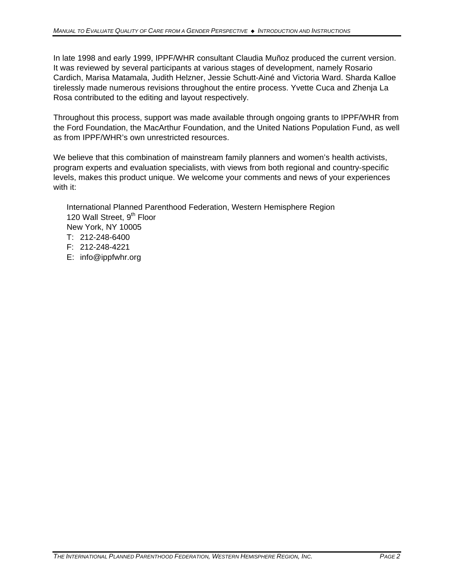In late 1998 and early 1999, IPPF/WHR consultant Claudia Muñoz produced the current version. It was reviewed by several participants at various stages of development, namely Rosario Cardich, Marisa Matamala, Judith Helzner, Jessie Schutt-Ainé and Victoria Ward. Sharda Kalloe tirelessly made numerous revisions throughout the entire process. Yvette Cuca and Zhenja La Rosa contributed to the editing and layout respectively.

Throughout this process, support was made available through ongoing grants to IPPF/WHR from the Ford Foundation, the MacArthur Foundation, and the United Nations Population Fund, as well as from IPPF/WHR's own unrestricted resources.

We believe that this combination of mainstream family planners and women's health activists, program experts and evaluation specialists, with views from both regional and country-specific levels, makes this product unique. We welcome your comments and news of your experiences with it:

International Planned Parenthood Federation, Western Hemisphere Region 120 Wall Street, 9<sup>th</sup> Floor New York, NY 10005 T: 212-248-6400 F: 212-248-4221 E: info@ippfwhr.org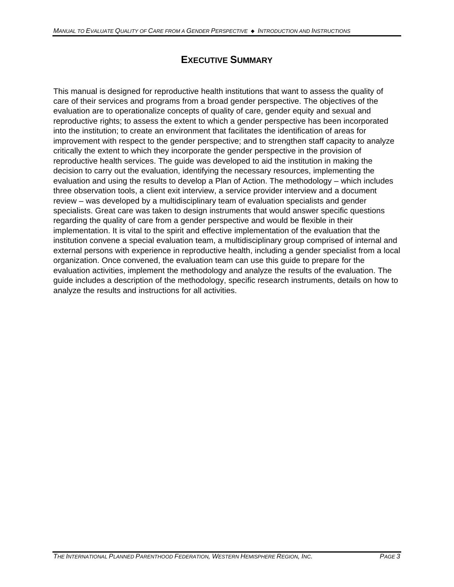# **EXECUTIVE SUMMARY**

This manual is designed for reproductive health institutions that want to assess the quality of care of their services and programs from a broad gender perspective. The objectives of the evaluation are to operationalize concepts of quality of care, gender equity and sexual and reproductive rights; to assess the extent to which a gender perspective has been incorporated into the institution; to create an environment that facilitates the identification of areas for improvement with respect to the gender perspective; and to strengthen staff capacity to analyze critically the extent to which they incorporate the gender perspective in the provision of reproductive health services. The guide was developed to aid the institution in making the decision to carry out the evaluation, identifying the necessary resources, implementing the evaluation and using the results to develop a Plan of Action. The methodology – which includes three observation tools, a client exit interview, a service provider interview and a document review – was developed by a multidisciplinary team of evaluation specialists and gender specialists. Great care was taken to design instruments that would answer specific questions regarding the quality of care from a gender perspective and would be flexible in their implementation. It is vital to the spirit and effective implementation of the evaluation that the institution convene a special evaluation team, a multidisciplinary group comprised of internal and external persons with experience in reproductive health, including a gender specialist from a local organization. Once convened, the evaluation team can use this guide to prepare for the evaluation activities, implement the methodology and analyze the results of the evaluation. The guide includes a description of the methodology, specific research instruments, details on how to analyze the results and instructions for all activities.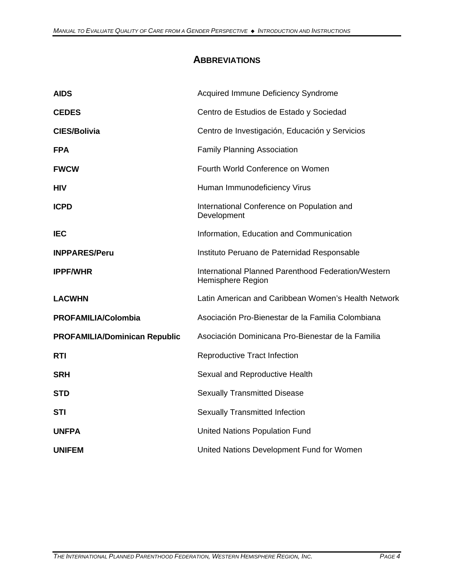# **ABBREVIATIONS**

| <b>AIDS</b>                          | Acquired Immune Deficiency Syndrome                                      |
|--------------------------------------|--------------------------------------------------------------------------|
| <b>CEDES</b>                         | Centro de Estudios de Estado y Sociedad                                  |
| <b>CIES/Bolivia</b>                  | Centro de Investigación, Educación y Servicios                           |
| <b>FPA</b>                           | <b>Family Planning Association</b>                                       |
| <b>FWCW</b>                          | Fourth World Conference on Women                                         |
| <b>HIV</b>                           | Human Immunodeficiency Virus                                             |
| <b>ICPD</b>                          | International Conference on Population and<br>Development                |
| <b>IEC</b>                           | Information, Education and Communication                                 |
| <b>INPPARES/Peru</b>                 | Instituto Peruano de Paternidad Responsable                              |
| <b>IPPF/WHR</b>                      | International Planned Parenthood Federation/Western<br>Hemisphere Region |
| <b>LACWHN</b>                        | Latin American and Caribbean Women's Health Network                      |
| <b>PROFAMILIA/Colombia</b>           | Asociación Pro-Bienestar de la Familia Colombiana                        |
| <b>PROFAMILIA/Dominican Republic</b> | Asociación Dominicana Pro-Bienestar de la Familia                        |
| <b>RTI</b>                           | Reproductive Tract Infection                                             |
| <b>SRH</b>                           | Sexual and Reproductive Health                                           |
| <b>STD</b>                           | <b>Sexually Transmitted Disease</b>                                      |
| <b>STI</b>                           | <b>Sexually Transmitted Infection</b>                                    |
| <b>UNFPA</b>                         | <b>United Nations Population Fund</b>                                    |
| <b>UNIFEM</b>                        | United Nations Development Fund for Women                                |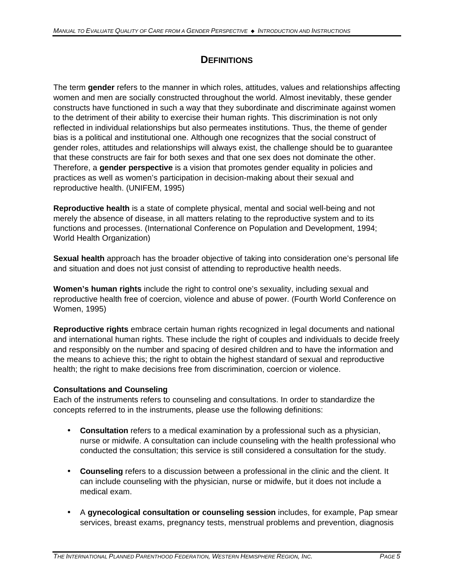# **DEFINITIONS**

The term **gender** refers to the manner in which roles, attitudes, values and relationships affecting women and men are socially constructed throughout the world. Almost inevitably, these gender constructs have functioned in such a way that they subordinate and discriminate against women to the detriment of their ability to exercise their human rights. This discrimination is not only reflected in individual relationships but also permeates institutions. Thus, the theme of gender bias is a political and institutional one. Although one recognizes that the social construct of gender roles, attitudes and relationships will always exist, the challenge should be to guarantee that these constructs are fair for both sexes and that one sex does not dominate the other. Therefore, a **gender perspective** is a vision that promotes gender equality in policies and practices as well as women's participation in decision-making about their sexual and reproductive health. (UNIFEM, 1995)

**Reproductive health** is a state of complete physical, mental and social well-being and not merely the absence of disease, in all matters relating to the reproductive system and to its functions and processes. (International Conference on Population and Development, 1994; World Health Organization)

**Sexual health** approach has the broader objective of taking into consideration one's personal life and situation and does not just consist of attending to reproductive health needs.

**Women's human rights** include the right to control one's sexuality, including sexual and reproductive health free of coercion, violence and abuse of power. (Fourth World Conference on Women, 1995)

**Reproductive rights** embrace certain human rights recognized in legal documents and national and international human rights. These include the right of couples and individuals to decide freely and responsibly on the number and spacing of desired children and to have the information and the means to achieve this; the right to obtain the highest standard of sexual and reproductive health; the right to make decisions free from discrimination, coercion or violence.

#### **Consultations and Counseling**

Each of the instruments refers to counseling and consultations. In order to standardize the concepts referred to in the instruments, please use the following definitions:

- **Consultation** refers to a medical examination by a professional such as a physician, nurse or midwife. A consultation can include counseling with the health professional who conducted the consultation; this service is still considered a consultation for the study.
- **Counseling** refers to a discussion between a professional in the clinic and the client. It can include counseling with the physician, nurse or midwife, but it does not include a medical exam.
- A **gynecological consultation or counseling session** includes, for example, Pap smear services, breast exams, pregnancy tests, menstrual problems and prevention, diagnosis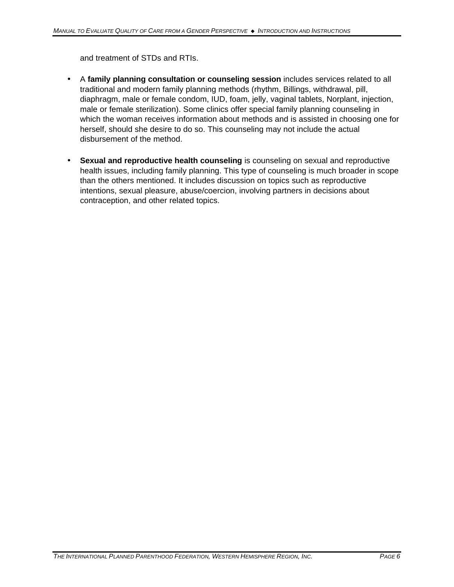and treatment of STDs and RTIs.

- A **family planning consultation or counseling session** includes services related to all traditional and modern family planning methods (rhythm, Billings, withdrawal, pill, diaphragm, male or female condom, IUD, foam, jelly, vaginal tablets, Norplant, injection, male or female sterilization). Some clinics offer special family planning counseling in which the woman receives information about methods and is assisted in choosing one for herself, should she desire to do so. This counseling may not include the actual disbursement of the method.
- **Sexual and reproductive health counseling** is counseling on sexual and reproductive health issues, including family planning. This type of counseling is much broader in scope than the others mentioned. It includes discussion on topics such as reproductive intentions, sexual pleasure, abuse/coercion, involving partners in decisions about contraception, and other related topics.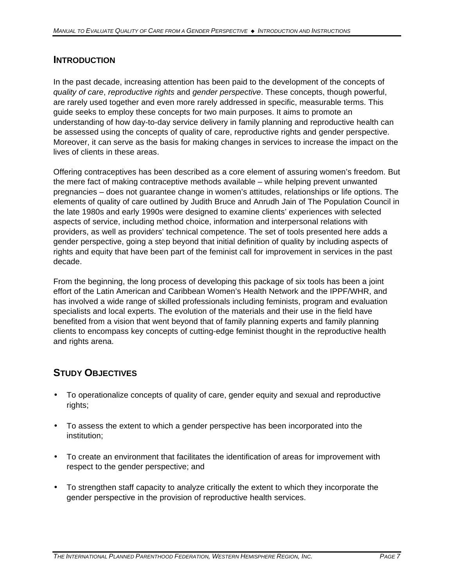## **INTRODUCTION**

In the past decade, increasing attention has been paid to the development of the concepts of *quality of care*, *reproductive rights* and *gender perspective*. These concepts, though powerful, are rarely used together and even more rarely addressed in specific, measurable terms. This guide seeks to employ these concepts for two main purposes. It aims to promote an understanding of how day-to-day service delivery in family planning and reproductive health can be assessed using the concepts of quality of care, reproductive rights and gender perspective. Moreover, it can serve as the basis for making changes in services to increase the impact on the lives of clients in these areas.

Offering contraceptives has been described as a core element of assuring women's freedom. But the mere fact of making contraceptive methods available – while helping prevent unwanted pregnancies – does not guarantee change in women's attitudes, relationships or life options. The elements of quality of care outlined by Judith Bruce and Anrudh Jain of The Population Council in the late 1980s and early 1990s were designed to examine clients' experiences with selected aspects of service, including method choice, information and interpersonal relations with providers, as well as providers' technical competence. The set of tools presented here adds a gender perspective, going a step beyond that initial definition of quality by including aspects of rights and equity that have been part of the feminist call for improvement in services in the past decade.

From the beginning, the long process of developing this package of six tools has been a joint effort of the Latin American and Caribbean Women's Health Network and the IPPF/WHR, and has involved a wide range of skilled professionals including feminists, program and evaluation specialists and local experts. The evolution of the materials and their use in the field have benefited from a vision that went beyond that of family planning experts and family planning clients to encompass key concepts of cutting-edge feminist thought in the reproductive health and rights arena.

# **STUDY OBJECTIVES**

- To operationalize concepts of quality of care, gender equity and sexual and reproductive rights;
- To assess the extent to which a gender perspective has been incorporated into the institution;
- To create an environment that facilitates the identification of areas for improvement with respect to the gender perspective; and
- To strengthen staff capacity to analyze critically the extent to which they incorporate the gender perspective in the provision of reproductive health services.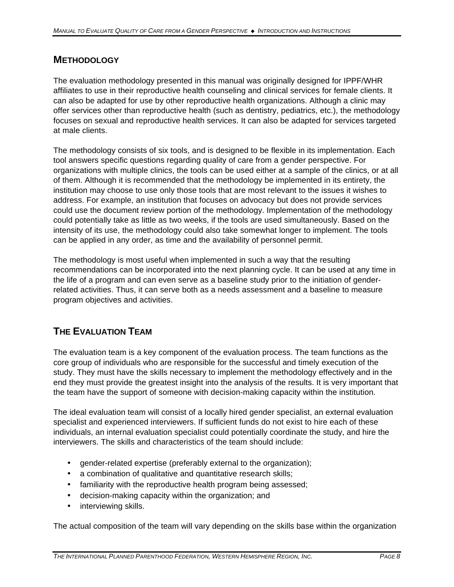### **METHODOLOGY**

The evaluation methodology presented in this manual was originally designed for IPPF/WHR affiliates to use in their reproductive health counseling and clinical services for female clients. It can also be adapted for use by other reproductive health organizations. Although a clinic may offer services other than reproductive health (such as dentistry, pediatrics, etc.), the methodology focuses on sexual and reproductive health services. It can also be adapted for services targeted at male clients.

The methodology consists of six tools, and is designed to be flexible in its implementation. Each tool answers specific questions regarding quality of care from a gender perspective. For organizations with multiple clinics, the tools can be used either at a sample of the clinics, or at all of them. Although it is recommended that the methodology be implemented in its entirety, the institution may choose to use only those tools that are most relevant to the issues it wishes to address. For example, an institution that focuses on advocacy but does not provide services could use the document review portion of the methodology. Implementation of the methodology could potentially take as little as two weeks, if the tools are used simultaneously. Based on the intensity of its use, the methodology could also take somewhat longer to implement. The tools can be applied in any order, as time and the availability of personnel permit.

The methodology is most useful when implemented in such a way that the resulting recommendations can be incorporated into the next planning cycle. It can be used at any time in the life of a program and can even serve as a baseline study prior to the initiation of genderrelated activities. Thus, it can serve both as a needs assessment and a baseline to measure program objectives and activities.

# **THE EVALUATION TEAM**

The evaluation team is a key component of the evaluation process. The team functions as the core group of individuals who are responsible for the successful and timely execution of the study. They must have the skills necessary to implement the methodology effectively and in the end they must provide the greatest insight into the analysis of the results. It is very important that the team have the support of someone with decision-making capacity within the institution.

The ideal evaluation team will consist of a locally hired gender specialist, an external evaluation specialist and experienced interviewers. If sufficient funds do not exist to hire each of these individuals, an internal evaluation specialist could potentially coordinate the study, and hire the interviewers. The skills and characteristics of the team should include:

- gender-related expertise (preferably external to the organization);
- a combination of qualitative and quantitative research skills;
- familiarity with the reproductive health program being assessed;
- decision-making capacity within the organization; and
- interviewing skills.

The actual composition of the team will vary depending on the skills base within the organization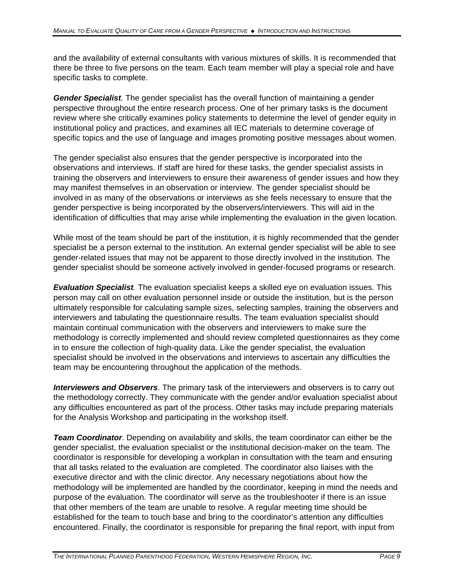and the availability of external consultants with various mixtures of skills. It is recommended that there be three to five persons on the team. Each team member will play a special role and have specific tasks to complete.

*Gender Specialist.* The gender specialist has the overall function of maintaining a gender perspective throughout the entire research process. One of her primary tasks is the document review where she critically examines policy statements to determine the level of gender equity in institutional policy and practices, and examines all IEC materials to determine coverage of specific topics and the use of language and images promoting positive messages about women.

The gender specialist also ensures that the gender perspective is incorporated into the observations and interviews. If staff are hired for these tasks, the gender specialist assists in training the observers and interviewers to ensure their awareness of gender issues and how they may manifest themselves in an observation or interview. The gender specialist should be involved in as many of the observations or interviews as she feels necessary to ensure that the gender perspective is being incorporated by the observers/interviewers. This will aid in the identification of difficulties that may arise while implementing the evaluation in the given location.

While most of the team should be part of the institution, it is highly recommended that the gender specialist be a person external to the institution. An external gender specialist will be able to see gender-related issues that may not be apparent to those directly involved in the institution. The gender specialist should be someone actively involved in gender-focused programs or research.

*Evaluation Specialist.* The evaluation specialist keeps a skilled eye on evaluation issues. This person may call on other evaluation personnel inside or outside the institution, but is the person ultimately responsible for calculating sample sizes, selecting samples, training the observers and interviewers and tabulating the questionnaire results. The team evaluation specialist should maintain continual communication with the observers and interviewers to make sure the methodology is correctly implemented and should review completed questionnaires as they come in to ensure the collection of high-quality data. Like the gender specialist, the evaluation specialist should be involved in the observations and interviews to ascertain any difficulties the team may be encountering throughout the application of the methods.

*Interviewers and Observers*. The primary task of the interviewers and observers is to carry out the methodology correctly. They communicate with the gender and/or evaluation specialist about any difficulties encountered as part of the process. Other tasks may include preparing materials for the Analysis Workshop and participating in the workshop itself.

*Team Coordinator*. Depending on availability and skills, the team coordinator can either be the gender specialist, the evaluation specialist or the institutional decision-maker on the team. The coordinator is responsible for developing a workplan in consultation with the team and ensuring that all tasks related to the evaluation are completed. The coordinator also liaises with the executive director and with the clinic director. Any necessary negotiations about how the methodology will be implemented are handled by the coordinator, keeping in mind the needs and purpose of the evaluation. The coordinator will serve as the troubleshooter if there is an issue that other members of the team are unable to resolve. A regular meeting time should be established for the team to touch base and bring to the coordinator's attention any difficulties encountered. Finally, the coordinator is responsible for preparing the final report, with input from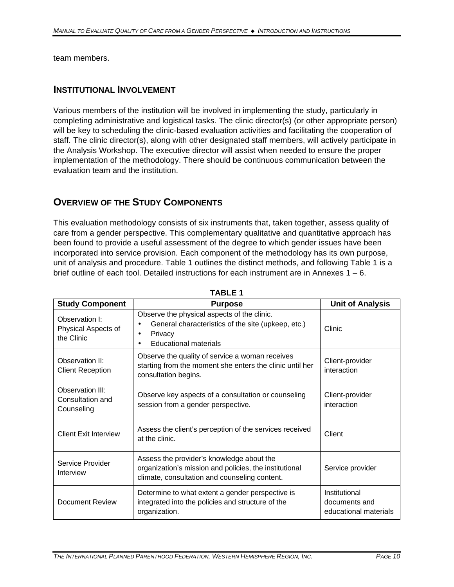team members.

#### **INSTITUTIONAL INVOLVEMENT**

Various members of the institution will be involved in implementing the study, particularly in completing administrative and logistical tasks. The clinic director(s) (or other appropriate person) will be key to scheduling the clinic-based evaluation activities and facilitating the cooperation of staff. The clinic director(s), along with other designated staff members, will actively participate in the Analysis Workshop. The executive director will assist when needed to ensure the proper implementation of the methodology. There should be continuous communication between the evaluation team and the institution.

## **OVERVIEW OF THE STUDY COMPONENTS**

This evaluation methodology consists of six instruments that, taken together, assess quality of care from a gender perspective. This complementary qualitative and quantitative approach has been found to provide a useful assessment of the degree to which gender issues have been incorporated into service provision. Each component of the methodology has its own purpose, unit of analysis and procedure. Table 1 outlines the distinct methods, and following Table 1 is a brief outline of each tool. Detailed instructions for each instrument are in Annexes 1 – 6.

| <b>Study Component</b>                                                                                                                                                                | <b>Purpose</b>                                                                                                                                    |                                                         |
|---------------------------------------------------------------------------------------------------------------------------------------------------------------------------------------|---------------------------------------------------------------------------------------------------------------------------------------------------|---------------------------------------------------------|
| Observation I:<br>Physical Aspects of<br>the Clinic                                                                                                                                   | Observe the physical aspects of the clinic.<br>General characteristics of the site (upkeep, etc.)<br>Privacy<br>٠<br><b>Educational materials</b> | Clinic                                                  |
| Observation II:<br><b>Client Reception</b>                                                                                                                                            | Observe the quality of service a woman receives<br>starting from the moment she enters the clinic until her<br>consultation begins.               | Client-provider<br>interaction                          |
| Observation III:<br>Consultation and<br>Counseling                                                                                                                                    | Observe key aspects of a consultation or counseling<br>session from a gender perspective.                                                         | Client-provider<br>interaction                          |
| <b>Client Exit Interview</b>                                                                                                                                                          | Assess the client's perception of the services received<br>Client<br>at the clinic.                                                               |                                                         |
| Assess the provider's knowledge about the<br>Service Provider<br>organization's mission and policies, the institutional<br>Interview<br>climate, consultation and counseling content. |                                                                                                                                                   | Service provider                                        |
| Determine to what extent a gender perspective is<br>Document Review<br>integrated into the policies and structure of the<br>organization.                                             |                                                                                                                                                   | Institutional<br>documents and<br>educational materials |

**TABLE 1**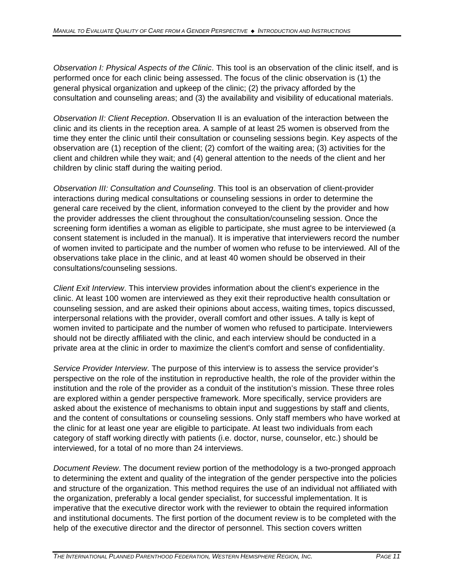*Observation I: Physical Aspects of the Clinic*. This tool is an observation of the clinic itself, and is performed once for each clinic being assessed. The focus of the clinic observation is (1) the general physical organization and upkeep of the clinic; (2) the privacy afforded by the consultation and counseling areas; and (3) the availability and visibility of educational materials.

*Observation II: Client Reception*. Observation II is an evaluation of the interaction between the clinic and its clients in the reception area. A sample of at least 25 women is observed from the time they enter the clinic until their consultation or counseling sessions begin. Key aspects of the observation are (1) reception of the client; (2) comfort of the waiting area; (3) activities for the client and children while they wait; and (4) general attention to the needs of the client and her children by clinic staff during the waiting period.

*Observation III: Consultation and Counseling*. This tool is an observation of client-provider interactions during medical consultations or counseling sessions in order to determine the general care received by the client, information conveyed to the client by the provider and how the provider addresses the client throughout the consultation/counseling session. Once the screening form identifies a woman as eligible to participate, she must agree to be interviewed (a consent statement is included in the manual). It is imperative that interviewers record the number of women invited to participate and the number of women who refuse to be interviewed. All of the observations take place in the clinic, and at least 40 women should be observed in their consultations/counseling sessions.

*Client Exit Interview*. This interview provides information about the client's experience in the clinic. At least 100 women are interviewed as they exit their reproductive health consultation or counseling session, and are asked their opinions about access, waiting times, topics discussed, interpersonal relations with the provider, overall comfort and other issues. A tally is kept of women invited to participate and the number of women who refused to participate. Interviewers should not be directly affiliated with the clinic, and each interview should be conducted in a private area at the clinic in order to maximize the client's comfort and sense of confidentiality.

*Service Provider Interview*. The purpose of this interview is to assess the service provider's perspective on the role of the institution in reproductive health, the role of the provider within the institution and the role of the provider as a conduit of the institution's mission. These three roles are explored within a gender perspective framework. More specifically, service providers are asked about the existence of mechanisms to obtain input and suggestions by staff and clients, and the content of consultations or counseling sessions. Only staff members who have worked at the clinic for at least one year are eligible to participate. At least two individuals from each category of staff working directly with patients (i.e. doctor, nurse, counselor, etc.) should be interviewed, for a total of no more than 24 interviews.

*Document Review*. The document review portion of the methodology is a two-pronged approach to determining the extent and quality of the integration of the gender perspective into the policies and structure of the organization. This method requires the use of an individual not affiliated with the organization, preferably a local gender specialist, for successful implementation. It is imperative that the executive director work with the reviewer to obtain the required information and institutional documents. The first portion of the document review is to be completed with the help of the executive director and the director of personnel. This section covers written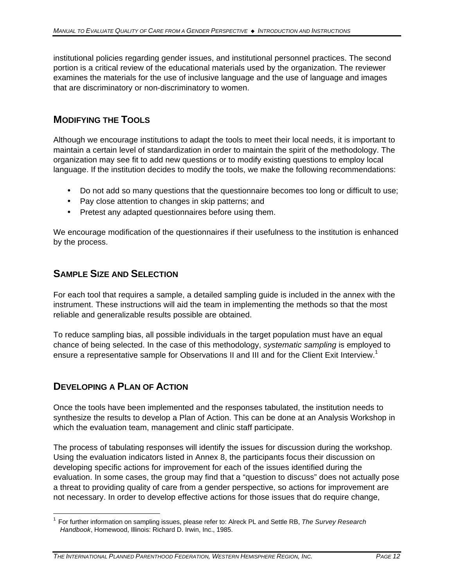institutional policies regarding gender issues, and institutional personnel practices. The second portion is a critical review of the educational materials used by the organization. The reviewer examines the materials for the use of inclusive language and the use of language and images that are discriminatory or non-discriminatory to women.

# **MODIFYING THE TOOLS**

Although we encourage institutions to adapt the tools to meet their local needs, it is important to maintain a certain level of standardization in order to maintain the spirit of the methodology. The organization may see fit to add new questions or to modify existing questions to employ local language. If the institution decides to modify the tools, we make the following recommendations:

- Do not add so many questions that the questionnaire becomes too long or difficult to use;
- Pay close attention to changes in skip patterns; and
- Pretest any adapted questionnaires before using them.

We encourage modification of the questionnaires if their usefulness to the institution is enhanced by the process.

## **SAMPLE SIZE AND SELECTION**

For each tool that requires a sample, a detailed sampling guide is included in the annex with the instrument. These instructions will aid the team in implementing the methods so that the most reliable and generalizable results possible are obtained.

To reduce sampling bias, all possible individuals in the target population must have an equal chance of being selected. In the case of this methodology, *systematic sampling* is employed to ensure a representative sample for Observations II and III and for the Client Exit Interview.<sup>1</sup>

# **DEVELOPING A PLAN OF ACTION**

Once the tools have been implemented and the responses tabulated, the institution needs to synthesize the results to develop a Plan of Action. This can be done at an Analysis Workshop in which the evaluation team, management and clinic staff participate.

The process of tabulating responses will identify the issues for discussion during the workshop. Using the evaluation indicators listed in Annex 8, the participants focus their discussion on developing specific actions for improvement for each of the issues identified during the evaluation. In some cases, the group may find that a "question to discuss" does not actually pose a threat to providing quality of care from a gender perspective, so actions for improvement are not necessary. In order to develop effective actions for those issues that do require change,

 $\overline{\phantom{a}}$ <sup>1</sup> For further information on sampling issues, please refer to: Alreck PL and Settle RB, The Survey Research *Handbook*, Homewood, Illinois: Richard D. Irwin, Inc., 1985.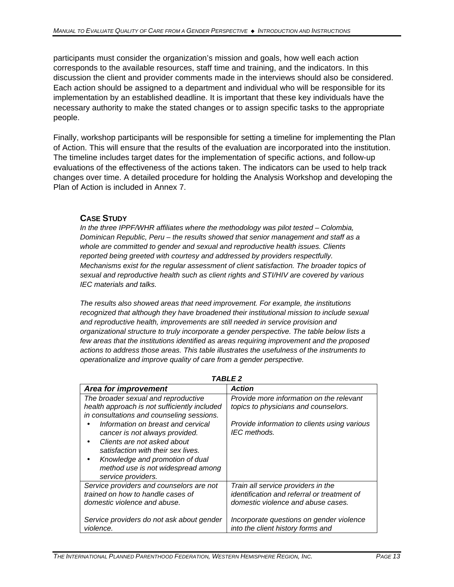participants must consider the organization's mission and goals, how well each action corresponds to the available resources, staff time and training, and the indicators. In this discussion the client and provider comments made in the interviews should also be considered. Each action should be assigned to a department and individual who will be responsible for its implementation by an established deadline. It is important that these key individuals have the necessary authority to make the stated changes or to assign specific tasks to the appropriate people.

Finally, workshop participants will be responsible for setting a timeline for implementing the Plan of Action. This will ensure that the results of the evaluation are incorporated into the institution. The timeline includes target dates for the implementation of specific actions, and follow-up evaluations of the effectiveness of the actions taken. The indicators can be used to help track changes over time. A detailed procedure for holding the Analysis Workshop and developing the Plan of Action is included in Annex 7.

#### **CASE STUDY**

*In the three IPPF/WHR affiliates where the methodology was pilot tested – Colombia, Dominican Republic, Peru – the results showed that senior management and staff as a whole are committed to gender and sexual and reproductive health issues. Clients reported being greeted with courtesy and addressed by providers respectfully. Mechanisms exist for the regular assessment of client satisfaction. The broader topics of sexual and reproductive health such as client rights and STI/HIV are covered by various IEC materials and talks.* 

*The results also showed areas that need improvement. For example, the institutions recognized that although they have broadened their institutional mission to include sexual and reproductive health, improvements are still needed in service provision and organizational structure to truly incorporate a gender perspective. The table below lists a few areas that the institutions identified as areas requiring improvement and the proposed actions to address those areas. This table illustrates the usefulness of the instruments to operationalize and improve quality of care from a gender perspective.*

| I ADLE Z                                     |                                              |  |  |  |
|----------------------------------------------|----------------------------------------------|--|--|--|
| Area for improvement                         | <b>Action</b>                                |  |  |  |
| The broader sexual and reproductive          | Provide more information on the relevant     |  |  |  |
| health approach is not sufficiently included | topics to physicians and counselors.         |  |  |  |
| in consultations and counseling sessions.    |                                              |  |  |  |
| Information on breast and cervical           | Provide information to clients using various |  |  |  |
| cancer is not always provided.               | IEC methods.                                 |  |  |  |
| Clients are not asked about                  |                                              |  |  |  |
| satisfaction with their sex lives.           |                                              |  |  |  |
| Knowledge and promotion of dual<br>$\bullet$ |                                              |  |  |  |
| method use is not widespread among           |                                              |  |  |  |
| service providers.                           |                                              |  |  |  |
| Service providers and counselors are not     | Train all service providers in the           |  |  |  |
| trained on how to handle cases of            | identification and referral or treatment of  |  |  |  |
| domestic violence and abuse.                 | domestic violence and abuse cases.           |  |  |  |
|                                              |                                              |  |  |  |
| Service providers do not ask about gender    | Incorporate questions on gender violence     |  |  |  |
| violence.                                    | into the client history forms and            |  |  |  |

*TABLE 2*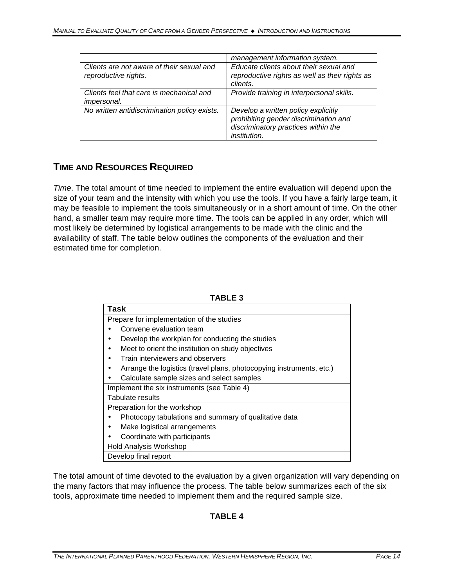|                                                                   | management information system.                                                                                                      |
|-------------------------------------------------------------------|-------------------------------------------------------------------------------------------------------------------------------------|
| Clients are not aware of their sexual and<br>reproductive rights. | Educate clients about their sexual and<br>reproductive rights as well as their rights as<br>clients.                                |
| Clients feel that care is mechanical and<br><i>impersonal.</i>    | Provide training in interpersonal skills.                                                                                           |
| No written antidiscrimination policy exists.                      | Develop a written policy explicitly<br>prohibiting gender discrimination and<br>discriminatory practices within the<br>institution. |

## **TIME AND RESOURCES REQUIRED**

*Time*. The total amount of time needed to implement the entire evaluation will depend upon the size of your team and the intensity with which you use the tools. If you have a fairly large team, it may be feasible to implement the tools simultaneously or in a short amount of time. On the other hand, a smaller team may require more time. The tools can be applied in any order, which will most likely be determined by logistical arrangements to be made with the clinic and the availability of staff. The table below outlines the components of the evaluation and their estimated time for completion.

**TABLE 3**

| IADLE J                                                              |
|----------------------------------------------------------------------|
| <b>Task</b>                                                          |
| Prepare for implementation of the studies                            |
| Convene evaluation team                                              |
| Develop the workplan for conducting the studies                      |
| Meet to orient the institution on study objectives                   |
| Train interviewers and observers                                     |
| Arrange the logistics (travel plans, photocopying instruments, etc.) |
| Calculate sample sizes and select samples                            |
| Implement the six instruments (see Table 4)                          |
| Tabulate results                                                     |
| Preparation for the workshop                                         |
| Photocopy tabulations and summary of qualitative data                |
| Make logistical arrangements                                         |
| Coordinate with participants                                         |
| Hold Analysis Workshop                                               |
| Develop final report                                                 |

The total amount of time devoted to the evaluation by a given organization will vary depending on the many factors that may influence the process. The table below summarizes each of the six tools, approximate time needed to implement them and the required sample size.

#### **TABLE 4**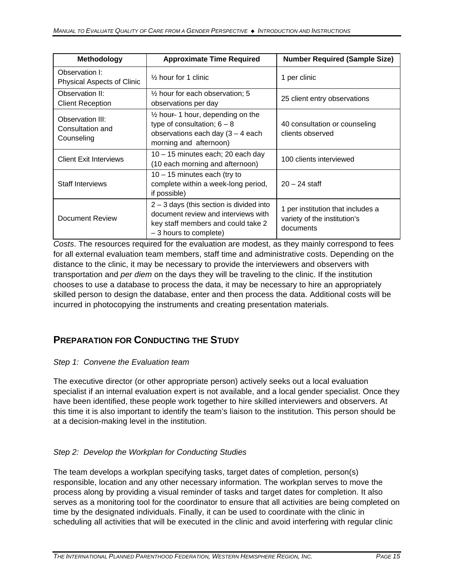| Methodology                                        | <b>Approximate Time Required</b>                                                                                                                   | <b>Number Required (Sample Size)</b>                                           |  |
|----------------------------------------------------|----------------------------------------------------------------------------------------------------------------------------------------------------|--------------------------------------------------------------------------------|--|
| Observation I:<br>Physical Aspects of Clinic       | $\frac{1}{2}$ hour for 1 clinic                                                                                                                    | 1 per clinic                                                                   |  |
| Observation II:<br><b>Client Reception</b>         | $\frac{1}{2}$ hour for each observation; 5<br>25 client entry observations<br>observations per day                                                 |                                                                                |  |
| Observation III:<br>Consultation and<br>Counseling | $\frac{1}{2}$ hour 1 hour, depending on the<br>type of consultation; $6 - 8$<br>observations each day $(3 - 4$ each<br>morning and afternoon)      | 40 consultation or counseling<br>clients observed                              |  |
| <b>Client Exit Interviews</b>                      | 10 - 15 minutes each; 20 each day<br>(10 each morning and afternoon)                                                                               | 100 clients interviewed                                                        |  |
| <b>Staff Interviews</b>                            | $10 - 15$ minutes each (try to<br>complete within a week-long period,<br>if possible)                                                              | $20 - 24$ staff                                                                |  |
| Document Review                                    | $2 - 3$ days (this section is divided into<br>document review and interviews with<br>key staff members and could take 2<br>$-3$ hours to complete) | 1 per institution that includes a<br>variety of the institution's<br>documents |  |

*Costs*. The resources required for the evaluation are modest, as they mainly correspond to fees for all external evaluation team members, staff time and administrative costs. Depending on the distance to the clinic, it may be necessary to provide the interviewers and observers with transportation and *per diem* on the days they will be traveling to the clinic. If the institution chooses to use a database to process the data, it may be necessary to hire an appropriately skilled person to design the database, enter and then process the data. Additional costs will be incurred in photocopying the instruments and creating presentation materials.

# **PREPARATION FOR CONDUCTING THE STUDY**

#### *Step 1: Convene the Evaluation team*

The executive director (or other appropriate person) actively seeks out a local evaluation specialist if an internal evaluation expert is not available, and a local gender specialist. Once they have been identified, these people work together to hire skilled interviewers and observers. At this time it is also important to identify the team's liaison to the institution. This person should be at a decision-making level in the institution.

## *Step 2: Develop the Workplan for Conducting Studies*

The team develops a workplan specifying tasks, target dates of completion, person(s) responsible, location and any other necessary information. The workplan serves to move the process along by providing a visual reminder of tasks and target dates for completion. It also serves as a monitoring tool for the coordinator to ensure that all activities are being completed on time by the designated individuals. Finally, it can be used to coordinate with the clinic in scheduling all activities that will be executed in the clinic and avoid interfering with regular clinic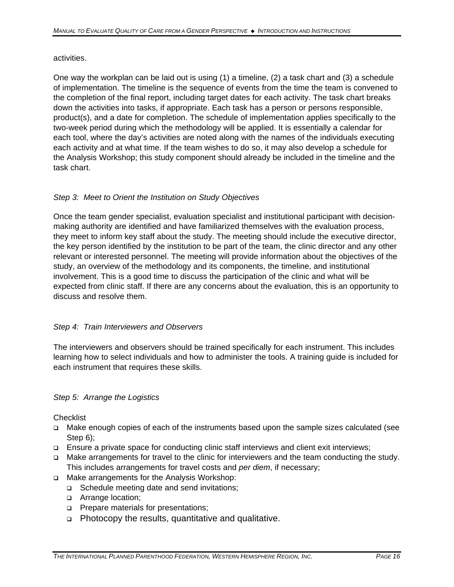activities.

One way the workplan can be laid out is using (1) a timeline, (2) a task chart and (3) a schedule of implementation. The timeline is the sequence of events from the time the team is convened to the completion of the final report, including target dates for each activity. The task chart breaks down the activities into tasks, if appropriate. Each task has a person or persons responsible, product(s), and a date for completion. The schedule of implementation applies specifically to the two-week period during which the methodology will be applied. It is essentially a calendar for each tool, where the day's activities are noted along with the names of the individuals executing each activity and at what time. If the team wishes to do so, it may also develop a schedule for the Analysis Workshop; this study component should already be included in the timeline and the task chart.

#### *Step 3: Meet to Orient the Institution on Study Objectives*

Once the team gender specialist, evaluation specialist and institutional participant with decisionmaking authority are identified and have familiarized themselves with the evaluation process, they meet to inform key staff about the study. The meeting should include the executive director, the key person identified by the institution to be part of the team, the clinic director and any other relevant or interested personnel. The meeting will provide information about the objectives of the study, an overview of the methodology and its components, the timeline, and institutional involvement. This is a good time to discuss the participation of the clinic and what will be expected from clinic staff. If there are any concerns about the evaluation, this is an opportunity to discuss and resolve them.

#### *Step 4: Train Interviewers and Observers*

The interviewers and observers should be trained specifically for each instrument. This includes learning how to select individuals and how to administer the tools. A training guide is included for each instrument that requires these skills.

#### *Step 5: Arrange the Logistics*

**Checklist** 

- q Make enough copies of each of the instruments based upon the sample sizes calculated (see Step 6);
- q Ensure a private space for conducting clinic staff interviews and client exit interviews;
- q Make arrangements for travel to the clinic for interviewers and the team conducting the study. This includes arrangements for travel costs and *per diem*, if necessary;
- q Make arrangements for the Analysis Workshop:
	- □ Schedule meeting date and send invitations;
	- **p** Arrange location;
	- **p** Prepare materials for presentations;
	- <sup>q</sup> Photocopy the results, quantitative and qualitative.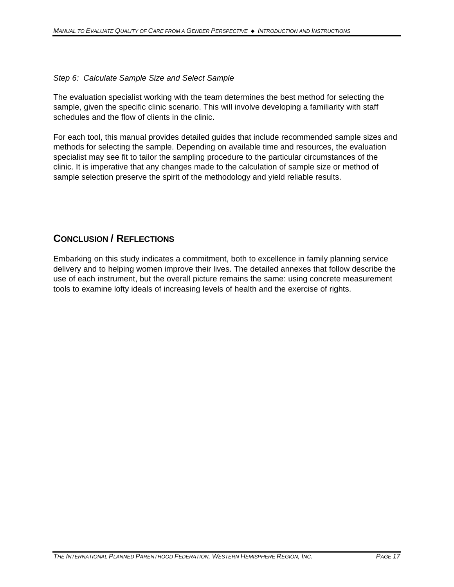#### *Step 6: Calculate Sample Size and Select Sample*

The evaluation specialist working with the team determines the best method for selecting the sample, given the specific clinic scenario. This will involve developing a familiarity with staff schedules and the flow of clients in the clinic.

For each tool, this manual provides detailed guides that include recommended sample sizes and methods for selecting the sample. Depending on available time and resources, the evaluation specialist may see fit to tailor the sampling procedure to the particular circumstances of the clinic. It is imperative that any changes made to the calculation of sample size or method of sample selection preserve the spirit of the methodology and yield reliable results.

## **CONCLUSION / REFLECTIONS**

Embarking on this study indicates a commitment, both to excellence in family planning service delivery and to helping women improve their lives. The detailed annexes that follow describe the use of each instrument, but the overall picture remains the same: using concrete measurement tools to examine lofty ideals of increasing levels of health and the exercise of rights.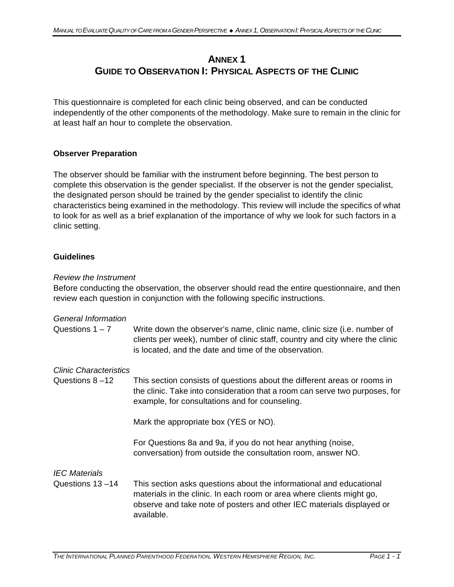# **ANNEX 1 GUIDE TO OBSERVATION I: PHYSICAL ASPECTS OF THE CLINIC**

This questionnaire is completed for each clinic being observed, and can be conducted independently of the other components of the methodology. Make sure to remain in the clinic for at least half an hour to complete the observation.

#### **Observer Preparation**

The observer should be familiar with the instrument before beginning. The best person to complete this observation is the gender specialist. If the observer is not the gender specialist, the designated person should be trained by the gender specialist to identify the clinic characteristics being examined in the methodology. This review will include the specifics of what to look for as well as a brief explanation of the importance of why we look for such factors in a clinic setting.

#### **Guidelines**

#### *Review the Instrument*

Before conducting the observation, the observer should read the entire questionnaire, and then review each question in conjunction with the following specific instructions.

| <b>General Information</b><br>Questions $1 - 7$ | Write down the observer's name, clinic name, clinic size (i.e. number of<br>clients per week), number of clinic staff, country and city where the clinic<br>is located, and the date and time of the observation.                   |
|-------------------------------------------------|-------------------------------------------------------------------------------------------------------------------------------------------------------------------------------------------------------------------------------------|
| Clinic Characteristics                          |                                                                                                                                                                                                                                     |
| Questions $8 - 12$                              | This section consists of questions about the different areas or rooms in<br>the clinic. Take into consideration that a room can serve two purposes, for<br>example, for consultations and for counseling.                           |
|                                                 | Mark the appropriate box (YES or NO).                                                                                                                                                                                               |
|                                                 | For Questions 8a and 9a, if you do not hear anything (noise,<br>conversation) from outside the consultation room, answer NO.                                                                                                        |
| <b>IEC Materials</b>                            |                                                                                                                                                                                                                                     |
| Questions 13-14                                 | This section asks questions about the informational and educational<br>materials in the clinic. In each room or area where clients might go,<br>observe and take note of posters and other IEC materials displayed or<br>available. |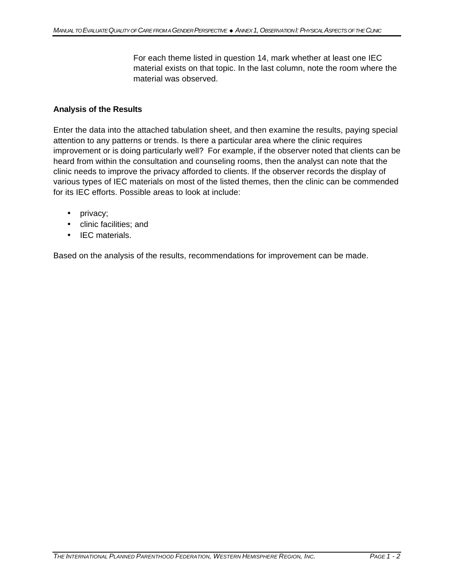For each theme listed in question 14, mark whether at least one IEC material exists on that topic. In the last column, note the room where the material was observed.

#### **Analysis of the Results**

Enter the data into the attached tabulation sheet, and then examine the results, paying special attention to any patterns or trends. Is there a particular area where the clinic requires improvement or is doing particularly well? For example, if the observer noted that clients can be heard from within the consultation and counseling rooms, then the analyst can note that the clinic needs to improve the privacy afforded to clients. If the observer records the display of various types of IEC materials on most of the listed themes, then the clinic can be commended for its IEC efforts. Possible areas to look at include:

- privacy;
- clinic facilities; and
- IEC materials.

Based on the analysis of the results, recommendations for improvement can be made.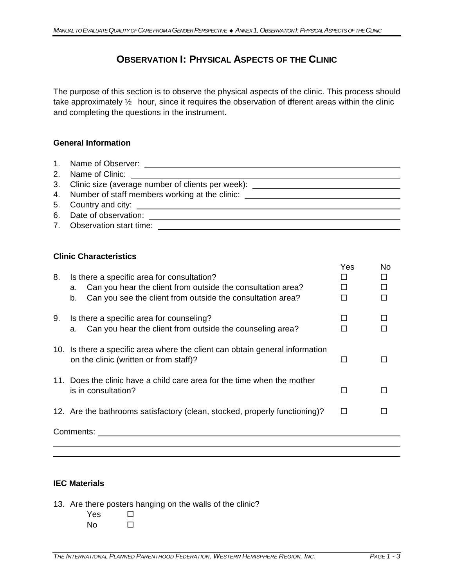# **OBSERVATION I: PHYSICAL ASPECTS OF THE CLINIC**

The purpose of this section is to observe the physical aspects of the clinic. This process should take approximately  $\frac{1}{2}$  hour, since it requires the observation of diferent areas within the clinic and completing the questions in the instrument.

#### **General Information**

| 3. Clinic size (average number of clients per week): ___________________________                         |
|----------------------------------------------------------------------------------------------------------|
| 4. Number of staff members working at the clinic: <u>example and a set of the state of staff</u> members |
|                                                                                                          |
|                                                                                                          |
| 7. Observation start time:                                                                               |

#### **Clinic Characteristics**

| 8. | Is there a specific area for consultation?<br>Can you hear the client from outside the consultation area?<br>a.<br>Can you see the client from outside the consultation area?<br>b. | Yes           | No |
|----|-------------------------------------------------------------------------------------------------------------------------------------------------------------------------------------|---------------|----|
| 9. | Is there a specific area for counseling?<br>Can you hear the client from outside the counseling area?<br>a.                                                                         | П             |    |
|    | 10. Is there a specific area where the client can obtain general information<br>on the clinic (written or from staff)?                                                              | <b>COL</b>    |    |
|    | 11. Does the clinic have a child care area for the time when the mother<br>is in consultation?                                                                                      | П             |    |
|    | 12. Are the bathrooms satisfactory (clean, stocked, properly functioning)?                                                                                                          | <b>Talent</b> |    |
|    | Comments:                                                                                                                                                                           |               |    |

#### **IEC Materials**

- 13. Are there posters hanging on the walls of the clinic?
	- Yes  $\square$  $No$   $\Box$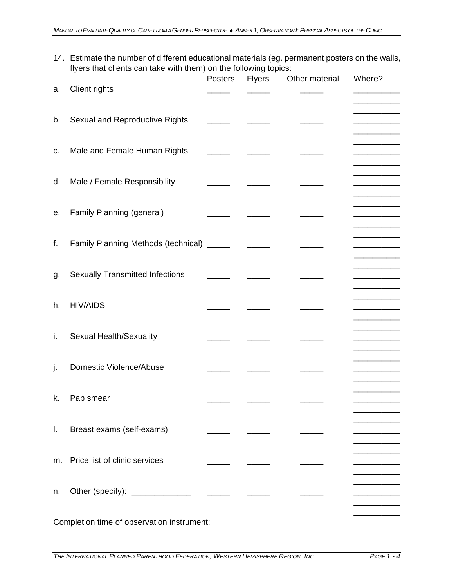14. Estimate the number of different educational materials (eg. permanent posters on the walls, flyers that clients can take with them) on the following topics:

| a. | Client rights                              | Posters | <b>Flyers</b> | Other material | Where?                         |
|----|--------------------------------------------|---------|---------------|----------------|--------------------------------|
|    |                                            |         |               |                | _______                        |
| b. | Sexual and Reproductive Rights             |         |               |                | ________<br>_______            |
| c. | Male and Female Human Rights               |         |               |                | __________<br>________________ |
| d. | Male / Female Responsibility               |         |               |                |                                |
| е. | Family Planning (general)                  |         |               |                |                                |
| f. | Family Planning Methods (technical) _____  |         |               |                |                                |
|    |                                            |         |               |                | ______                         |
| g. | <b>Sexually Transmitted Infections</b>     |         |               |                | _______                        |
| h. | <b>HIV/AIDS</b>                            |         |               |                |                                |
| İ. | Sexual Health/Sexuality                    |         |               |                | _________                      |
| j. | <b>Domestic Violence/Abuse</b>             |         |               |                |                                |
|    |                                            |         |               |                |                                |
| k. | Pap smear                                  |         |               |                |                                |
| Ι. | Breast exams (self-exams)                  |         |               |                |                                |
| m. | <b>Price list of clinic services</b>       |         |               |                |                                |
| n. |                                            |         |               |                |                                |
|    |                                            |         |               |                |                                |
|    | Completion time of observation instrument: |         |               |                |                                |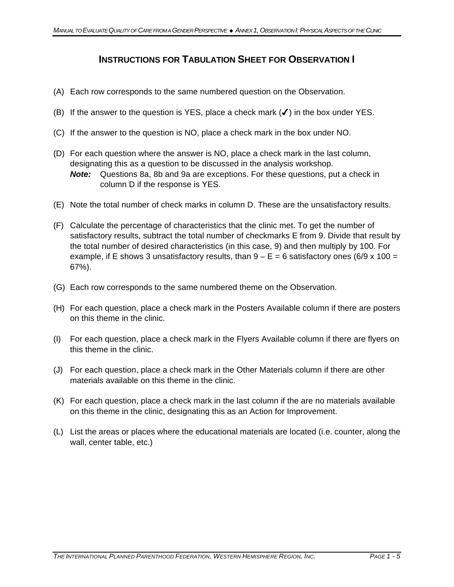## **INSTRUCTIONS FOR TABULATION SHEET FOR OBSERVATION I**

- (A) Each row corresponds to the same numbered question on the Observation.
- (B) If the answer to the question is YES, place a check mark  $(\checkmark)$  in the box under YES.
- (C) If the answer to the question is NO, place a check mark in the box under NO.
- (D) For each question where the answer is NO, place a check mark in the last column, designating this as a question to be discussed in the analysis workshop. *Note:* Questions 8a, 8b and 9a are exceptions. For these questions, put a check in column D if the response is YES.
- (E) Note the total number of check marks in column D. These are the unsatisfactory results.
- (F) Calculate the percentage of characteristics that the clinic met. To get the number of satisfactory results, subtract the total number of checkmarks E from 9. Divide that result by the total number of desired characteristics (in this case, 9) and then multiply by 100. For example, if E shows 3 unsatisfactory results, than  $9 - E = 6$  satisfactory ones (6/9 x 100 = 67%).
- (G) Each row corresponds to the same numbered theme on the Observation.
- (H) For each question, place a check mark in the Posters Available column if there are posters on this theme in the clinic.
- (I) For each question, place a check mark in the Flyers Available column if there are flyers on this theme in the clinic.
- (J) For each question, place a check mark in the Other Materials column if there are other materials available on this theme in the clinic.
- (K) For each question, place a check mark in the last column if the are no materials available on this theme in the clinic, designating this as an Action for Improvement.
- (L) List the areas or places where the educational materials are located (i.e. counter, along the wall, center table, etc.)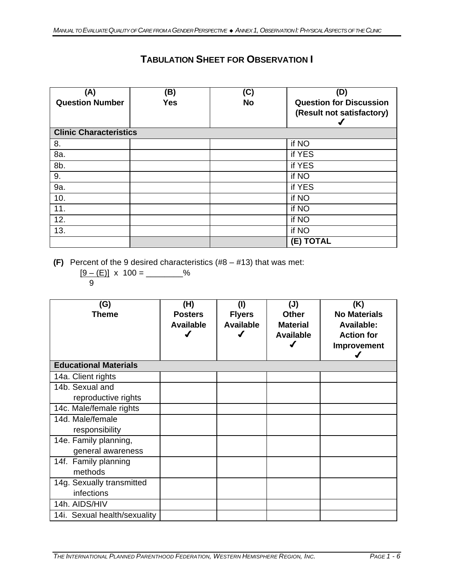# **TABULATION SHEET FOR OBSERVATION I**

| (A)<br><b>Question Number</b> | (B)<br><b>Yes</b> | (C)<br><b>No</b> | (D)<br><b>Question for Discussion</b><br>(Result not satisfactory) |
|-------------------------------|-------------------|------------------|--------------------------------------------------------------------|
| <b>Clinic Characteristics</b> |                   |                  |                                                                    |
| 8.                            |                   |                  | if NO                                                              |
| 8a.                           |                   |                  | if YES                                                             |
| 8b.                           |                   |                  | if YES                                                             |
| 9.                            |                   |                  | if NO                                                              |
| 9a.                           |                   |                  | if YES                                                             |
| 10.                           |                   |                  | if NO                                                              |
| 11.                           |                   |                  | if NO                                                              |
| 12.                           |                   |                  | if NO                                                              |
| 13.                           |                   |                  | if NO                                                              |
|                               |                   |                  | (E) TOTAL                                                          |

**(F)** Percent of the 9 desired characteristics (#8 – #13) that was met:

 $[9 - (E)] \times 100 =$  \_\_\_\_\_\_\_\_\_% 9

| (G)<br>Theme                 | (H)<br><b>Posters</b><br><b>Available</b> | (1)<br><b>Flyers</b><br><b>Available</b> | (J)<br><b>Other</b><br><b>Material</b><br><b>Available</b> | (K)<br><b>No Materials</b><br><b>Available:</b><br><b>Action for</b><br>Improvement |
|------------------------------|-------------------------------------------|------------------------------------------|------------------------------------------------------------|-------------------------------------------------------------------------------------|
| <b>Educational Materials</b> |                                           |                                          |                                                            |                                                                                     |
| 14a. Client rights           |                                           |                                          |                                                            |                                                                                     |
| 14b. Sexual and              |                                           |                                          |                                                            |                                                                                     |
| reproductive rights          |                                           |                                          |                                                            |                                                                                     |
| 14c. Male/female rights      |                                           |                                          |                                                            |                                                                                     |
| 14d. Male/female             |                                           |                                          |                                                            |                                                                                     |
| responsibility               |                                           |                                          |                                                            |                                                                                     |
| 14e. Family planning,        |                                           |                                          |                                                            |                                                                                     |
| general awareness            |                                           |                                          |                                                            |                                                                                     |
| 14f. Family planning         |                                           |                                          |                                                            |                                                                                     |
| methods                      |                                           |                                          |                                                            |                                                                                     |
| 14g. Sexually transmitted    |                                           |                                          |                                                            |                                                                                     |
| infections                   |                                           |                                          |                                                            |                                                                                     |
| 14h. AIDS/HIV                |                                           |                                          |                                                            |                                                                                     |
| 14i. Sexual health/sexuality |                                           |                                          |                                                            |                                                                                     |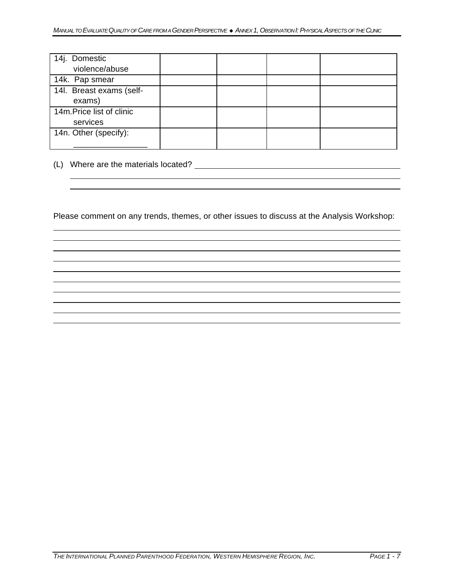| 14j. Domestic             |  |  |
|---------------------------|--|--|
| violence/abuse            |  |  |
| 14k. Pap smear            |  |  |
| 14l. Breast exams (self-  |  |  |
| exams)                    |  |  |
| 14m. Price list of clinic |  |  |
| services                  |  |  |
| 14n. Other (specify):     |  |  |
|                           |  |  |

(L) Where are the materials located?

Please comment on any trends, themes, or other issues to discuss at the Analysis Workshop: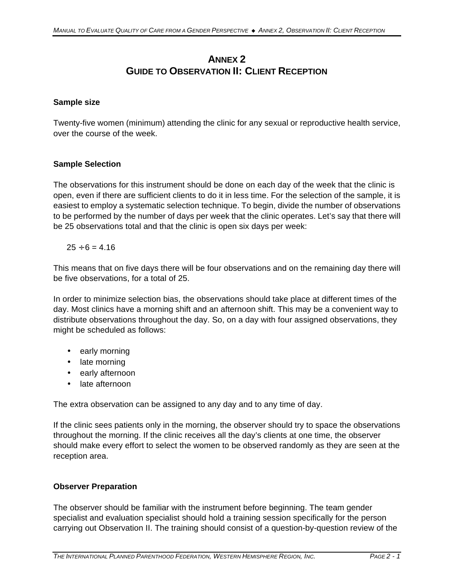# **ANNEX 2 GUIDE TO OBSERVATION II: CLIENT RECEPTION**

#### **Sample size**

Twenty-five women (minimum) attending the clinic for any sexual or reproductive health service, over the course of the week.

#### **Sample Selection**

The observations for this instrument should be done on each day of the week that the clinic is open, even if there are sufficient clients to do it in less time. For the selection of the sample, it is easiest to employ a systematic selection technique. To begin, divide the number of observations to be performed by the number of days per week that the clinic operates. Let's say that there will be 25 observations total and that the clinic is open six days per week:

#### $25 \div 6 = 4.16$

This means that on five days there will be four observations and on the remaining day there will be five observations, for a total of 25.

In order to minimize selection bias, the observations should take place at different times of the day. Most clinics have a morning shift and an afternoon shift. This may be a convenient way to distribute observations throughout the day. So, on a day with four assigned observations, they might be scheduled as follows:

- early morning
- late morning
- early afternoon
- late afternoon

The extra observation can be assigned to any day and to any time of day.

If the clinic sees patients only in the morning, the observer should try to space the observations throughout the morning. If the clinic receives all the day's clients at one time, the observer should make every effort to select the women to be observed randomly as they are seen at the reception area.

#### **Observer Preparation**

The observer should be familiar with the instrument before beginning. The team gender specialist and evaluation specialist should hold a training session specifically for the person carrying out Observation II. The training should consist of a question-by-question review of the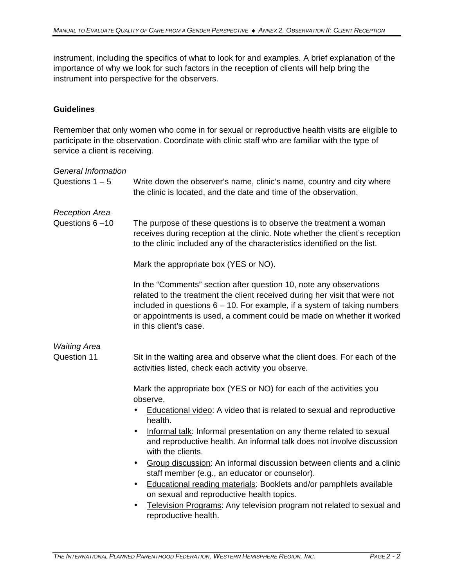instrument, including the specifics of what to look for and examples. A brief explanation of the importance of why we look for such factors in the reception of clients will help bring the instrument into perspective for the observers.

#### **Guidelines**

Remember that only women who come in for sexual or reproductive health visits are eligible to participate in the observation. Coordinate with clinic staff who are familiar with the type of service a client is receiving.

| <b>General Information</b><br>Questions $1 - 5$ | Write down the observer's name, clinic's name, country and city where<br>the clinic is located, and the date and time of the observation.                                                                                                                                                                                                      |  |  |
|-------------------------------------------------|------------------------------------------------------------------------------------------------------------------------------------------------------------------------------------------------------------------------------------------------------------------------------------------------------------------------------------------------|--|--|
| <b>Reception Area</b><br>Questions 6-10         | The purpose of these questions is to observe the treatment a woman<br>receives during reception at the clinic. Note whether the client's reception<br>to the clinic included any of the characteristics identified on the list.<br>Mark the appropriate box (YES or NO).<br>In the "Comments" section after question 10, note any observations |  |  |
|                                                 | related to the treatment the client received during her visit that were not<br>included in questions $6 - 10$ . For example, if a system of taking numbers<br>or appointments is used, a comment could be made on whether it worked<br>in this client's case.                                                                                  |  |  |
| <b>Waiting Area</b><br>Question 11              | Sit in the waiting area and observe what the client does. For each of the<br>activities listed, check each activity you observe.                                                                                                                                                                                                               |  |  |
|                                                 | Mark the appropriate box (YES or NO) for each of the activities you<br>observe.<br>Educational video: A video that is related to sexual and reproductive<br>health.                                                                                                                                                                            |  |  |
|                                                 | Informal talk: Informal presentation on any theme related to sexual<br>$\bullet$<br>and reproductive health. An informal talk does not involve discussion<br>with the clients.                                                                                                                                                                 |  |  |
|                                                 | Group discussion: An informal discussion between clients and a clinic<br>٠<br>staff member (e.g., an educator or counselor).                                                                                                                                                                                                                   |  |  |
|                                                 | Educational reading materials: Booklets and/or pamphlets available<br>$\bullet$<br>on sexual and reproductive health topics.                                                                                                                                                                                                                   |  |  |
|                                                 | Television Programs: Any television program not related to sexual and<br>reproductive health.                                                                                                                                                                                                                                                  |  |  |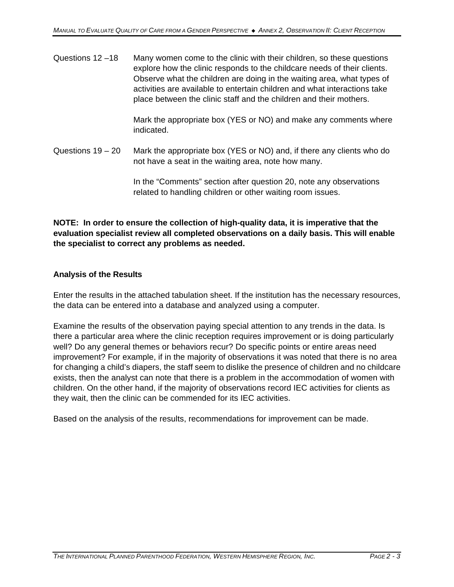Questions 12 –18 Many women come to the clinic with their children, so these questions explore how the clinic responds to the childcare needs of their clients. Observe what the children are doing in the waiting area, what types of activities are available to entertain children and what interactions take place between the clinic staff and the children and their mothers.

> Mark the appropriate box (YES or NO) and make any comments where indicated.

Questions 19 – 20 Mark the appropriate box (YES or NO) and, if there any clients who do not have a seat in the waiting area, note how many.

> In the "Comments" section after question 20, note any observations related to handling children or other waiting room issues.

**NOTE: In order to ensure the collection of high-quality data, it is imperative that the evaluation specialist review all completed observations on a daily basis. This will enable the specialist to correct any problems as needed.**

#### **Analysis of the Results**

Enter the results in the attached tabulation sheet. If the institution has the necessary resources, the data can be entered into a database and analyzed using a computer.

Examine the results of the observation paying special attention to any trends in the data. Is there a particular area where the clinic reception requires improvement or is doing particularly well? Do any general themes or behaviors recur? Do specific points or entire areas need improvement? For example, if in the majority of observations it was noted that there is no area for changing a child's diapers, the staff seem to dislike the presence of children and no childcare exists, then the analyst can note that there is a problem in the accommodation of women with children. On the other hand, if the majority of observations record IEC activities for clients as they wait, then the clinic can be commended for its IEC activities.

Based on the analysis of the results, recommendations for improvement can be made.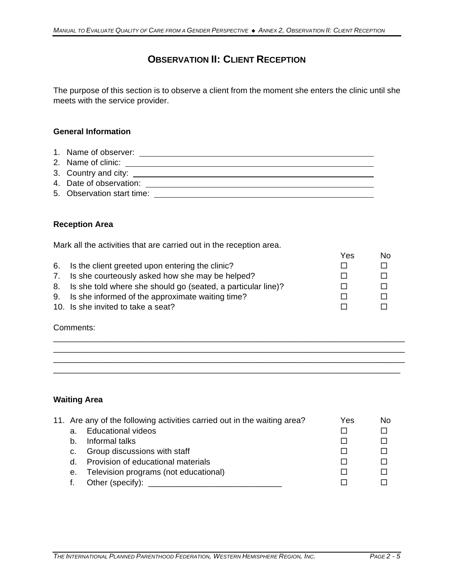# **OBSERVATION II: CLIENT RECEPTION**

The purpose of this section is to observe a client from the moment she enters the clinic until she meets with the service provider.

#### **General Information**

- 1. Name of observer: 2. Name of clinic: 3. Country and city: 4. Date of observation:
- 5. Observation start time:

#### **Reception Area**

Mark all the activities that are carried out in the reception area.

|                                                                 | Yes | No. |
|-----------------------------------------------------------------|-----|-----|
| 6. Is the client greeted upon entering the clinic?              |     |     |
| 7. Is she courteously asked how she may be helped?              |     |     |
| 8. Is she told where she should go (seated, a particular line)? |     |     |
| 9. Is she informed of the approximate waiting time?             |     |     |
| 10. Is she invited to take a seat?                              |     |     |

\_\_\_\_\_\_\_\_\_\_\_\_\_\_\_\_\_\_\_\_\_\_\_\_\_\_\_\_\_\_\_\_\_\_\_\_\_\_\_\_\_\_\_\_\_\_\_\_\_\_\_\_\_\_\_\_\_\_\_\_\_\_\_\_\_\_\_\_\_\_\_\_\_\_\_\_ \_\_\_\_\_\_\_\_\_\_\_\_\_\_\_\_\_\_\_\_\_\_\_\_\_\_\_\_\_\_\_\_\_\_\_\_\_\_\_\_\_\_\_\_\_\_\_\_\_\_\_\_\_\_\_\_\_\_\_\_\_\_\_\_\_\_\_\_\_\_\_\_\_\_\_\_ \_\_\_\_\_\_\_\_\_\_\_\_\_\_\_\_\_\_\_\_\_\_\_\_\_\_\_\_\_\_\_\_\_\_\_\_\_\_\_\_\_\_\_\_\_\_\_\_\_\_\_\_\_\_\_\_\_\_\_\_\_\_\_\_\_\_\_\_\_\_\_\_\_\_\_\_ \_\_\_\_\_\_\_\_\_\_\_\_\_\_\_\_\_\_\_\_\_\_\_\_\_\_\_\_\_\_\_\_\_\_\_\_\_\_\_\_\_\_\_\_\_\_\_\_\_\_\_\_\_\_\_\_\_\_\_\_\_\_\_\_\_\_\_\_\_\_\_\_\_\_\_\_

#### Comments:

#### **Waiting Area**

|    | 11. Are any of the following activities carried out in the waiting area? | Yes | No |
|----|--------------------------------------------------------------------------|-----|----|
| a. | <b>Educational videos</b>                                                |     |    |
| b. | Informal talks                                                           |     |    |
| C. | Group discussions with staff                                             |     |    |
| d. | Provision of educational materials                                       |     |    |
| е. | Television programs (not educational)                                    |     |    |
|    | Other (specify):                                                         |     |    |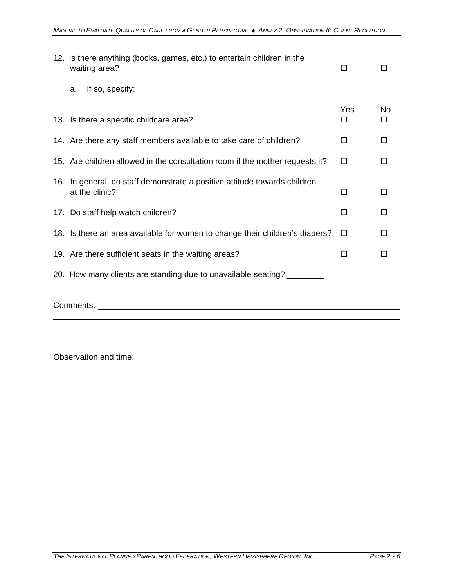|           | 12. Is there anything (books, games, etc.) to entertain children in the<br>waiting area?    | □        |         |  |
|-----------|---------------------------------------------------------------------------------------------|----------|---------|--|
|           | If so, specify: $\sqrt{ }$<br>a.                                                            |          |         |  |
|           | 13. Is there a specific childcare area?                                                     | Yes<br>□ | No<br>□ |  |
|           | 14. Are there any staff members available to take care of children?                         | □        | □       |  |
|           | 15. Are children allowed in the consultation room if the mother requests it?                | □        | □       |  |
|           | 16. In general, do staff demonstrate a positive attitude towards children<br>at the clinic? | □        | П       |  |
|           | 17. Do staff help watch children?                                                           | □        | П       |  |
|           | 18. Is there an area available for women to change their children's diapers?                | □        | П       |  |
|           | 19. Are there sufficient seats in the waiting areas?                                        | □        | П       |  |
|           | 20. How many clients are standing due to unavailable seating? ________                      |          |         |  |
| Comments: |                                                                                             |          |         |  |

Observation end time: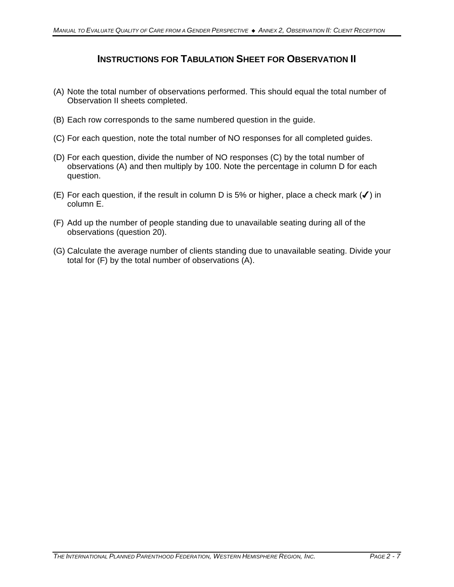# **INSTRUCTIONS FOR TABULATION SHEET FOR OBSERVATION II**

- (A) Note the total number of observations performed. This should equal the total number of Observation II sheets completed.
- (B) Each row corresponds to the same numbered question in the guide.
- (C) For each question, note the total number of NO responses for all completed guides.
- (D) For each question, divide the number of NO responses (C) by the total number of observations (A) and then multiply by 100. Note the percentage in column D for each question.
- (E) For each question, if the result in column D is 5% or higher, place a check mark  $(\checkmark)$  in column E.
- (F) Add up the number of people standing due to unavailable seating during all of the observations (question 20).
- (G) Calculate the average number of clients standing due to unavailable seating. Divide your total for (F) by the total number of observations (A).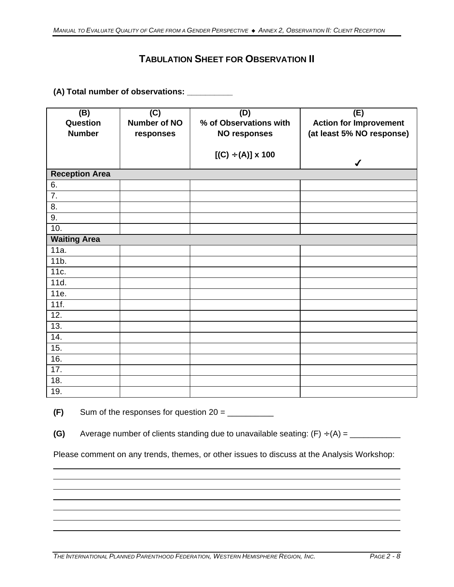# **TABULATION SHEET FOR OBSERVATION II**

## **(A) Total number of observations: \_\_\_\_\_\_\_\_\_\_**

| (B)<br>Question<br><b>Number</b> | $\overline{C}$<br>Number of NO<br>responses | (D)<br>% of Observations with<br><b>NO responses</b> | (E)<br><b>Action for Improvement</b><br>(at least 5% NO response) |
|----------------------------------|---------------------------------------------|------------------------------------------------------|-------------------------------------------------------------------|
|                                  |                                             | $[(C) \div (A)] \times 100$                          | ✔                                                                 |
| <b>Reception Area</b>            |                                             |                                                      |                                                                   |
| 6.                               |                                             |                                                      |                                                                   |
| $\overline{7}$ .                 |                                             |                                                      |                                                                   |
| 8.                               |                                             |                                                      |                                                                   |
| 9.                               |                                             |                                                      |                                                                   |
| 10.                              |                                             |                                                      |                                                                   |
| <b>Waiting Area</b>              |                                             |                                                      |                                                                   |
| 11a.                             |                                             |                                                      |                                                                   |
| 11 <sub>b</sub>                  |                                             |                                                      |                                                                   |
| 11c.                             |                                             |                                                      |                                                                   |
| 11d.                             |                                             |                                                      |                                                                   |
| 11e.                             |                                             |                                                      |                                                                   |
| 11f.                             |                                             |                                                      |                                                                   |
| 12.                              |                                             |                                                      |                                                                   |
| 13.                              |                                             |                                                      |                                                                   |
| 14.                              |                                             |                                                      |                                                                   |
| 15.                              |                                             |                                                      |                                                                   |
| 16.                              |                                             |                                                      |                                                                   |
| 17.                              |                                             |                                                      |                                                                   |
| 18.                              |                                             |                                                      |                                                                   |
| 19.                              |                                             |                                                      |                                                                   |

 $(F)$  Sum of the responses for question  $20 =$ 

**(G)** Average number of clients standing due to unavailable seating: (F) ÷ (A) = \_\_\_\_\_\_\_\_\_\_\_

Please comment on any trends, themes, or other issues to discuss at the Analysis Workshop: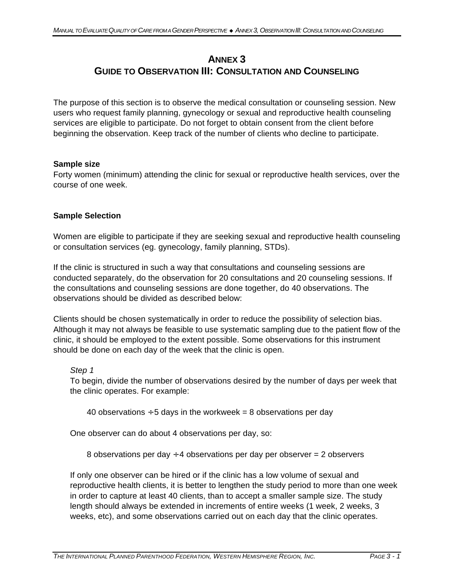## **ANNEX 3 GUIDE TO OBSERVATION III: CONSULTATION AND COUNSELING**

The purpose of this section is to observe the medical consultation or counseling session. New users who request family planning, gynecology or sexual and reproductive health counseling services are eligible to participate. Do not forget to obtain consent from the client before beginning the observation. Keep track of the number of clients who decline to participate.

### **Sample size**

Forty women (minimum) attending the clinic for sexual or reproductive health services, over the course of one week.

### **Sample Selection**

Women are eligible to participate if they are seeking sexual and reproductive health counseling or consultation services (eg. gynecology, family planning, STDs).

If the clinic is structured in such a way that consultations and counseling sessions are conducted separately, do the observation for 20 consultations and 20 counseling sessions. If the consultations and counseling sessions are done together, do 40 observations. The observations should be divided as described below:

Clients should be chosen systematically in order to reduce the possibility of selection bias. Although it may not always be feasible to use systematic sampling due to the patient flow of the clinic, it should be employed to the extent possible. Some observations for this instrument should be done on each day of the week that the clinic is open.

*Step 1*

To begin, divide the number of observations desired by the number of days per week that the clinic operates. For example:

40 observations  $\div$  5 days in the workweek = 8 observations per day

One observer can do about 4 observations per day, so:

8 observations per day  $\div$  4 observations per day per observer = 2 observers

If only one observer can be hired or if the clinic has a low volume of sexual and reproductive health clients, it is better to lengthen the study period to more than one week in order to capture at least 40 clients, than to accept a smaller sample size. The study length should always be extended in increments of entire weeks (1 week, 2 weeks, 3 weeks, etc), and some observations carried out on each day that the clinic operates.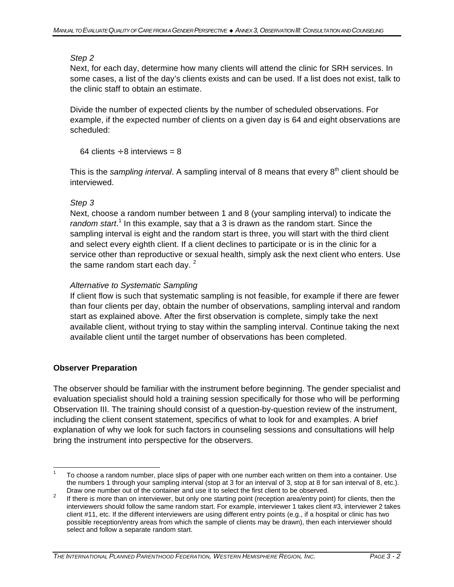### *Step 2*

Next, for each day, determine how many clients will attend the clinic for SRH services. In some cases, a list of the day's clients exists and can be used. If a list does not exist, talk to the clinic staff to obtain an estimate.

Divide the number of expected clients by the number of scheduled observations. For example, if the expected number of clients on a given day is 64 and eight observations are scheduled:

64 clients  $\div$  8 interviews = 8

This is the *sampling interval*. A sampling interval of 8 means that every 8<sup>th</sup> client should be interviewed.

## *Step 3*

Next, choose a random number between 1 and 8 (your sampling interval) to indicate the random start.<sup>1</sup> In this example, say that a 3 is drawn as the random start. Since the sampling interval is eight and the random start is three, you will start with the third client and select every eighth client. If a client declines to participate or is in the clinic for a service other than reproductive or sexual health, simply ask the next client who enters. Use the same random start each day.  $2^2$ 

## *Alternative to Systematic Sampling*

If client flow is such that systematic sampling is not feasible, for example if there are fewer than four clients per day, obtain the number of observations, sampling interval and random start as explained above. After the first observation is complete, simply take the next available client, without trying to stay within the sampling interval. Continue taking the next available client until the target number of observations has been completed.

#### **Observer Preparation**

The observer should be familiar with the instrument before beginning. The gender specialist and evaluation specialist should hold a training session specifically for those who will be performing Observation III. The training should consist of a question-by-question review of the instrument, including the client consent statement, specifics of what to look for and examples. A brief explanation of why we look for such factors in counseling sessions and consultations will help bring the instrument into perspective for the observers.

 $\overline{1}$ 1 To choose a random number, place slips of paper with one number each written on them into a container. Use the numbers 1 through your sampling interval (stop at 3 for an interval of 3, stop at 8 for san interval of 8, etc.). Draw one number out of the container and use it to select the first client to be observed.

 $\mathfrak{p}$  If there is more than on interviewer, but only one starting point (reception area/entry point) for clients, then the interviewers should follow the same random start. For example, interviewer 1 takes client #3, interviewer 2 takes client #11, etc. If the different interviewers are using different entry points (e.g., if a hospital or clinic has two possible reception/entry areas from which the sample of clients may be drawn), then each interviewer should select and follow a separate random start.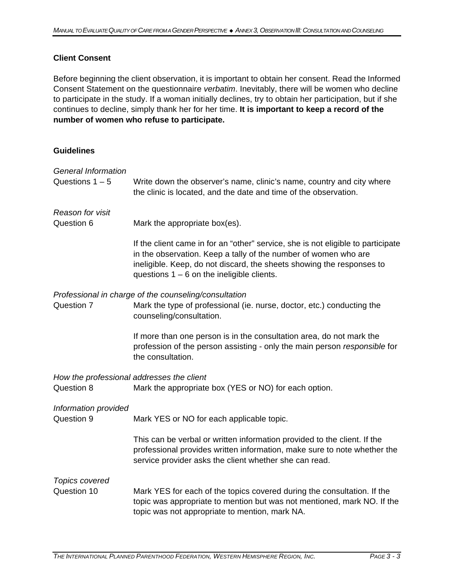### **Client Consent**

Before beginning the client observation, it is important to obtain her consent. Read the Informed Consent Statement on the questionnaire *verbatim*. Inevitably, there will be women who decline to participate in the study. If a woman initially declines, try to obtain her participation, but if she continues to decline, simply thank her for her time. **It is important to keep a record of the number of women who refuse to participate.** 

#### **Guidelines**

| <b>General Information</b><br>Questions $1 - 5$         | Write down the observer's name, clinic's name, country and city where<br>the clinic is located, and the date and time of the observation.                                                                                                                                    |
|---------------------------------------------------------|------------------------------------------------------------------------------------------------------------------------------------------------------------------------------------------------------------------------------------------------------------------------------|
| Reason for visit<br>Question 6                          | Mark the appropriate box(es).                                                                                                                                                                                                                                                |
|                                                         | If the client came in for an "other" service, she is not eligible to participate<br>in the observation. Keep a tally of the number of women who are<br>ineligible. Keep, do not discard, the sheets showing the responses to<br>questions $1 - 6$ on the ineligible clients. |
| Question 7                                              | Professional in charge of the counseling/consultation<br>Mark the type of professional (ie. nurse, doctor, etc.) conducting the<br>counseling/consultation.                                                                                                                  |
|                                                         | If more than one person is in the consultation area, do not mark the<br>profession of the person assisting - only the main person responsible for<br>the consultation.                                                                                                       |
| How the professional addresses the client<br>Question 8 | Mark the appropriate box (YES or NO) for each option.                                                                                                                                                                                                                        |
| Information provided<br>Question 9                      | Mark YES or NO for each applicable topic.                                                                                                                                                                                                                                    |
|                                                         | This can be verbal or written information provided to the client. If the<br>professional provides written information, make sure to note whether the<br>service provider asks the client whether she can read.                                                               |
| <b>Topics covered</b><br>Question 10                    | Mark YES for each of the topics covered during the consultation. If the<br>topic was appropriate to mention but was not mentioned, mark NO. If the<br>topic was not appropriate to mention, mark NA.                                                                         |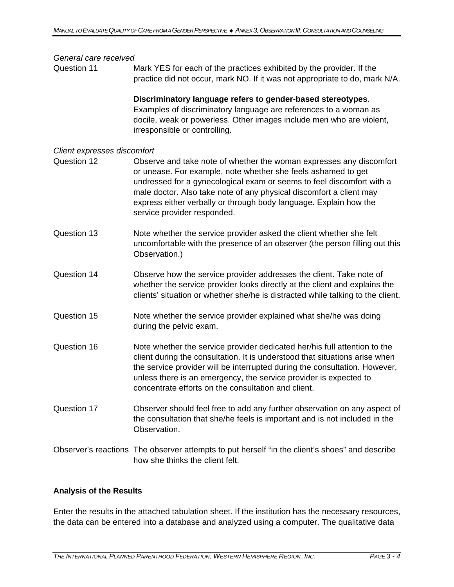#### *General care received*

Question 11 Mark YES for each of the practices exhibited by the provider. If the practice did not occur, mark NO. If it was not appropriate to do, mark N/A.

> **Discriminatory language refers to gender-based stereotypes**. Examples of discriminatory language are references to a woman as docile, weak or powerless. Other images include men who are violent, irresponsible or controlling.

#### *Client expresses discomfort*

- Question 12 Observe and take note of whether the woman expresses any discomfort or unease. For example, note whether she feels ashamed to get undressed for a gynecological exam or seems to feel discomfort with a male doctor. Also take note of any physical discomfort a client may express either verbally or through body language. Explain how the service provider responded.
- Question 13 Note whether the service provider asked the client whether she felt uncomfortable with the presence of an observer (the person filling out this Observation.)
- Question 14 Observe how the service provider addresses the client. Take note of whether the service provider looks directly at the client and explains the clients' situation or whether she/he is distracted while talking to the client.
- Question 15 Note whether the service provider explained what she/he was doing during the pelvic exam.
- Question 16 Note whether the service provider dedicated her/his full attention to the client during the consultation. It is understood that situations arise when the service provider will be interrupted during the consultation. However, unless there is an emergency, the service provider is expected to concentrate efforts on the consultation and client.
- Question 17 Observer should feel free to add any further observation on any aspect of the consultation that she/he feels is important and is not included in the Observation.
- Observer's reactions The observer attempts to put herself "in the client's shoes" and describe how she thinks the client felt.

#### **Analysis of the Results**

Enter the results in the attached tabulation sheet. If the institution has the necessary resources, the data can be entered into a database and analyzed using a computer. The qualitative data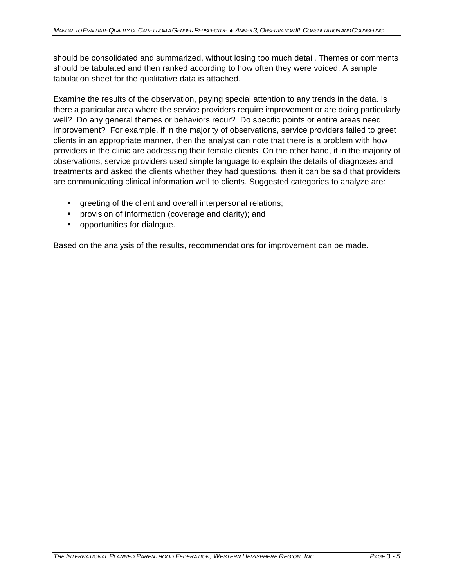should be consolidated and summarized, without losing too much detail. Themes or comments should be tabulated and then ranked according to how often they were voiced. A sample tabulation sheet for the qualitative data is attached.

Examine the results of the observation, paying special attention to any trends in the data. Is there a particular area where the service providers require improvement or are doing particularly well? Do any general themes or behaviors recur? Do specific points or entire areas need improvement? For example, if in the majority of observations, service providers failed to greet clients in an appropriate manner, then the analyst can note that there is a problem with how providers in the clinic are addressing their female clients. On the other hand, if in the majority of observations, service providers used simple language to explain the details of diagnoses and treatments and asked the clients whether they had questions, then it can be said that providers are communicating clinical information well to clients. Suggested categories to analyze are:

- greeting of the client and overall interpersonal relations;
- provision of information (coverage and clarity); and
- opportunities for dialogue.

Based on the analysis of the results, recommendations for improvement can be made.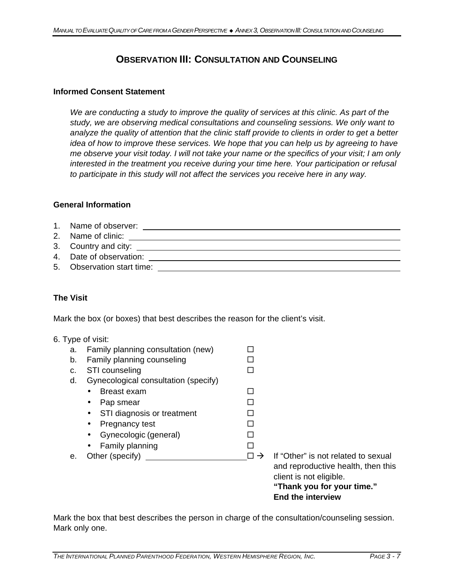# **OBSERVATION III: CONSULTATION AND COUNSELING**

#### **Informed Consent Statement**

*We are conducting a study to improve the quality of services at this clinic. As part of the study, we are observing medical consultations and counseling sessions. We only want to analyze the quality of attention that the clinic staff provide to clients in order to get a better idea of how to improve these services. We hope that you can help us by agreeing to have me observe your visit today. I will not take your name or the specifics of your visit; I am only interested in the treatment you receive during your time here. Your participation or refusal to participate in this study will not affect the services you receive here in any way.*

#### **General Information**

| 1. Name of observer:                                 |
|------------------------------------------------------|
| 2. Name of clinic: <b>Example 2.</b> Name of clinic: |
|                                                      |
| 4. Date of observation:                              |
| 5. Observation start time:                           |
|                                                      |

### **The Visit**

Mark the box (or boxes) that best describes the reason for the client's visit.

#### 6. Type of visit:

| е. | Family planning<br>$\bullet$<br>Other (specify)                                               | $\Box \rightarrow$ | If "Other" is not related to sexual<br>and reproductive health, then this<br>client is not eligible.<br>"Thank you for your time." |
|----|-----------------------------------------------------------------------------------------------|--------------------|------------------------------------------------------------------------------------------------------------------------------------|
|    | Pregnancy test<br>$\bullet$<br>Gynecologic (general)<br>$\bullet$                             |                    |                                                                                                                                    |
|    | Breast exam<br>$\bullet$<br>Pap smear<br>$\bullet$<br>STI diagnosis or treatment<br>$\bullet$ | ⊓                  |                                                                                                                                    |
| d. | Gynecological consultation (specify)                                                          |                    |                                                                                                                                    |
| c. | STI counseling                                                                                |                    |                                                                                                                                    |
| b. | Family planning counseling                                                                    |                    |                                                                                                                                    |
| а. | Family planning consultation (new)                                                            |                    |                                                                                                                                    |

Mark the box that best describes the person in charge of the consultation/counseling session. Mark only one.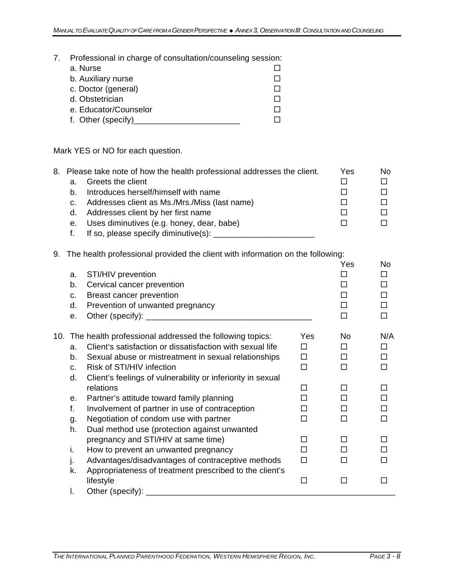7. Professional in charge of consultation/counseling session:

| a. Nurse              |  |
|-----------------------|--|
| b. Auxiliary nurse    |  |
| c. Doctor (general)   |  |
| d. Obstetrician       |  |
| e. Educator/Counselor |  |
| f. Other (specify)    |  |

Mark YES or NO for each question.

|    | 8. Please take note of how the health professional addresses the client. | Yes | No. |
|----|--------------------------------------------------------------------------|-----|-----|
| а. | Greets the client                                                        |     |     |
| b. | Introduces herself/himself with name                                     |     |     |
|    | Addresses client as Ms./Mrs./Miss (last name)                            |     |     |
| d. | Addresses client by her first name                                       |     |     |
| е. | Uses diminutives (e.g. honey, dear, babe)                                |     |     |
|    | If so, please specify diminutive(s):                                     |     |     |

### 9. The health professional provided the client with information on the following:

| a.<br>b.<br>C.<br>d.<br>е. | STI/HIV prevention<br>Cervical cancer prevention<br>Breast cancer prevention<br>Prevention of unwanted pregnancy |     | Yes<br>П<br>п<br>п<br>п<br>П | <b>No</b><br>П<br>П<br>П |
|----------------------------|------------------------------------------------------------------------------------------------------------------|-----|------------------------------|--------------------------|
|                            | 10. The health professional addressed the following topics:                                                      | Yes | <b>No</b>                    | N/A                      |
| a.                         | Client's satisfaction or dissatisfaction with sexual life                                                        | П   | П                            | П                        |
| b.                         | Sexual abuse or mistreatment in sexual relationships                                                             | п   | п                            | п                        |
| C <sub>1</sub>             | Risk of STI/HIV infection                                                                                        | □   | П                            |                          |
| d.                         | Client's feelings of vulnerability or inferiority in sexual                                                      |     |                              |                          |
|                            | relations                                                                                                        | П   | П                            |                          |
| е.                         | Partner's attitude toward family planning                                                                        | П   | п                            | П                        |
| f.                         | Involvement of partner in use of contraception                                                                   | П   | п                            |                          |
| g.                         | Negotiation of condom use with partner                                                                           | п   | П                            |                          |
| h.                         | Dual method use (protection against unwanted                                                                     |     |                              |                          |
|                            | pregnancy and STI/HIV at same time)                                                                              | П   | П                            |                          |
| i.                         | How to prevent an unwanted pregnancy                                                                             | п   | П                            |                          |
| J.                         | Advantages/disadvantages of contraceptive methods                                                                | п   | п                            |                          |
| k.                         | Appropriateness of treatment prescribed to the client's                                                          |     |                              |                          |
|                            | lifestyle                                                                                                        | П   | П                            |                          |
| I.                         | Other (specify): _________________                                                                               |     |                              |                          |
|                            |                                                                                                                  |     |                              |                          |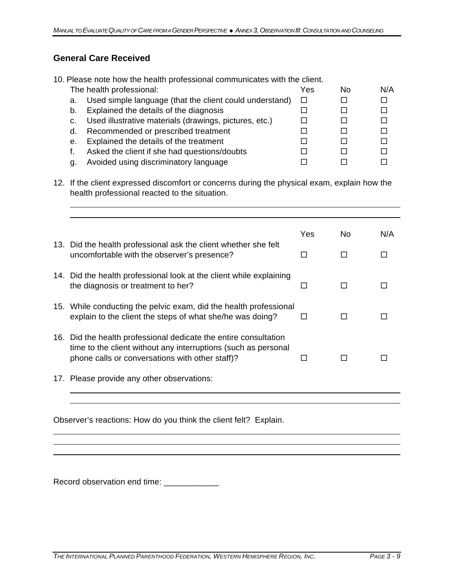## **General Care Received**

|    | 10. Please note how the health professional communicates with the client. |     |    |     |
|----|---------------------------------------------------------------------------|-----|----|-----|
|    | The health professional:                                                  | Yes | Nο | N/A |
| a. | Used simple language (that the client could understand)                   |     |    |     |
| b. | Explained the details of the diagnosis                                    |     |    |     |
| C. | Used illustrative materials (drawings, pictures, etc.)                    |     |    |     |
| d. | Recommended or prescribed treatment                                       |     |    |     |
| е. | Explained the details of the treatment                                    |     |    |     |
|    | Asked the client if she had questions/doubts                              |     |    |     |
| a. | Avoided using discriminatory language                                     |     |    |     |

12. If the client expressed discomfort or concerns during the physical exam, explain how the health professional reacted to the situation.

|                                                                                                                                                                                       | Yes | No. | N/A |
|---------------------------------------------------------------------------------------------------------------------------------------------------------------------------------------|-----|-----|-----|
| 13. Did the health professional ask the client whether she felt<br>uncomfortable with the observer's presence?                                                                        | ΙI  | П   |     |
| 14. Did the health professional look at the client while explaining<br>the diagnosis or treatment to her?                                                                             | П   | П   |     |
| 15. While conducting the pelvic exam, did the health professional<br>explain to the client the steps of what she/he was doing?                                                        | П   |     |     |
| 16. Did the health professional dedicate the entire consultation<br>time to the client without any interruptions (such as personal<br>phone calls or conversations with other staff)? |     |     |     |
| 17. Please provide any other observations:                                                                                                                                            |     |     |     |

Observer's reactions: How do you think the client felt? Explain.

Record observation end time: \_\_\_\_\_\_\_\_\_\_\_\_\_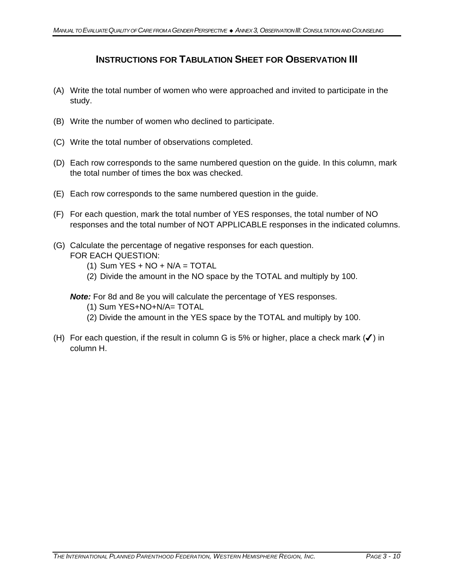## **INSTRUCTIONS FOR TABULATION SHEET FOR OBSERVATION III**

- (A) Write the total number of women who were approached and invited to participate in the study.
- (B) Write the number of women who declined to participate.
- (C) Write the total number of observations completed.
- (D) Each row corresponds to the same numbered question on the guide. In this column, mark the total number of times the box was checked.
- (E) Each row corresponds to the same numbered question in the guide.
- (F) For each question, mark the total number of YES responses, the total number of NO responses and the total number of NOT APPLICABLE responses in the indicated columns.
- (G) Calculate the percentage of negative responses for each question. FOR EACH QUESTION:
	- $(1)$  Sum YES + NO + N/A = TOTAL
	- (2) Divide the amount in the NO space by the TOTAL and multiply by 100.

*Note:* For 8d and 8e you will calculate the percentage of YES responses.

- (1) Sum YES+NO+N/A= TOTAL
- (2) Divide the amount in the YES space by the TOTAL and multiply by 100.
- (H) For each question, if the result in column G is 5% or higher, place a check mark  $(V)$  in column H.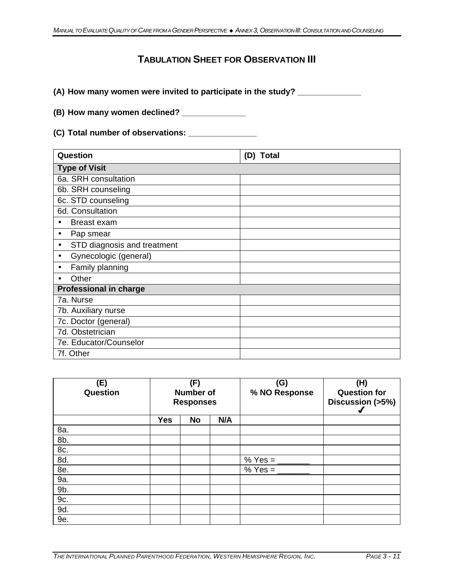# **TABULATION SHEET FOR OBSERVATION III**

**(A) How many women were invited to participate in the study? \_\_\_\_\_\_\_\_\_\_\_\_\_\_**

**(B) How many women declined? \_\_\_\_\_\_\_\_\_\_\_\_\_\_**

**(C) Total number of observations: \_\_\_\_\_\_\_\_\_\_\_\_\_\_\_**

| Question                                 | (D) Total |
|------------------------------------------|-----------|
| <b>Type of Visit</b>                     |           |
| 6a. SRH consultation                     |           |
| 6b. SRH counseling                       |           |
| 6c. STD counseling                       |           |
| 6d. Consultation                         |           |
| <b>Breast exam</b><br>$\bullet$          |           |
| Pap smear<br>$\bullet$                   |           |
| STD diagnosis and treatment<br>$\bullet$ |           |
| Gynecologic (general)<br>$\bullet$       |           |
| Family planning<br>$\bullet$             |           |
| Other                                    |           |
| <b>Professional in charge</b>            |           |
| 7a. Nurse                                |           |
| 7b. Auxiliary nurse                      |           |
| 7c. Doctor (general)                     |           |
| 7d. Obstetrician                         |           |
| 7e. Educator/Counselor                   |           |
| 7f. Other                                |           |

| (E)<br>(F)<br>Question |            | <b>Number of</b><br><b>Responses</b> |     | (G)<br>% NO Response  | (H)<br><b>Question for</b><br>Discussion (>5%) |
|------------------------|------------|--------------------------------------|-----|-----------------------|------------------------------------------------|
|                        | <b>Yes</b> | <b>No</b>                            | N/A |                       |                                                |
| 8a.                    |            |                                      |     |                       |                                                |
| 8b.                    |            |                                      |     |                       |                                                |
| 8c.                    |            |                                      |     |                       |                                                |
| 8d.                    |            |                                      |     | % Yes = $\frac{ }{ }$ |                                                |
| 8e.                    |            |                                      |     | $% Yes =$             |                                                |
| 9a.                    |            |                                      |     |                       |                                                |
| 9b.                    |            |                                      |     |                       |                                                |
| 9c.                    |            |                                      |     |                       |                                                |
| 9d.                    |            |                                      |     |                       |                                                |
| 9e.                    |            |                                      |     |                       |                                                |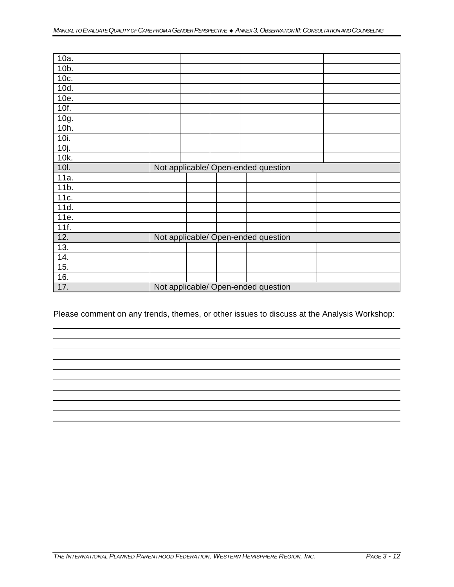| 10a.            |  |                                     |  |
|-----------------|--|-------------------------------------|--|
| 10b.            |  |                                     |  |
| 10c.            |  |                                     |  |
| 10d.            |  |                                     |  |
| 10e.            |  |                                     |  |
| 10f.            |  |                                     |  |
| 10g.            |  |                                     |  |
| 10h.            |  |                                     |  |
| 10i.            |  |                                     |  |
| 10j.            |  |                                     |  |
| 10k.            |  |                                     |  |
| <b>10I.</b>     |  | Not applicable/ Open-ended question |  |
| 11a.            |  |                                     |  |
| 11 <sub>b</sub> |  |                                     |  |
| 11c.            |  |                                     |  |
| 11d.            |  |                                     |  |
| 11e.            |  |                                     |  |
| 11f.            |  |                                     |  |
| 12.             |  | Not applicable/ Open-ended question |  |
| 13.             |  |                                     |  |
| 14.             |  |                                     |  |
| 15.             |  |                                     |  |
|                 |  |                                     |  |
| 16.<br>17.      |  | Not applicable/ Open-ended question |  |

Please comment on any trends, themes, or other issues to discuss at the Analysis Workshop: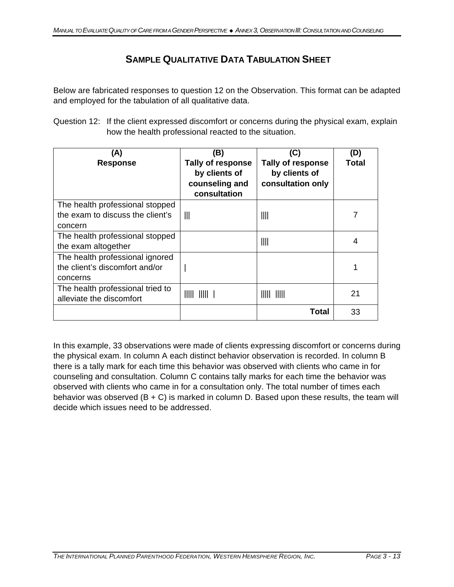# **SAMPLE QUALITATIVE DATA TABULATION SHEET**

Below are fabricated responses to question 12 on the Observation. This format can be adapted and employed for the tabulation of all qualitative data.

Question 12: If the client expressed discomfort or concerns during the physical exam, explain how the health professional reacted to the situation.

| (A)<br><b>Response</b>                                                         | (B)<br>Tally of response<br>by clients of<br>counseling and<br>consultation                                                                                 | (C)<br><b>Tally of response</b><br>by clients of<br>consultation only | (D)<br>Total |
|--------------------------------------------------------------------------------|-------------------------------------------------------------------------------------------------------------------------------------------------------------|-----------------------------------------------------------------------|--------------|
| The health professional stopped<br>the exam to discuss the client's<br>concern | $\mathbb{H}$                                                                                                                                                | $\mathop{\rm III}\nolimits$                                           |              |
| The health professional stopped<br>the exam altogether                         |                                                                                                                                                             | $\mathop{\rm III}\nolimits$                                           | 4            |
| The health professional ignored<br>the client's discomfort and/or<br>concerns  |                                                                                                                                                             |                                                                       | 1            |
| The health professional tried to<br>alleviate the discomfort                   | $\begin{array}{c c c c c c} \hline \text{[1]}\end{array} \begin{array}{c c c c} \hline \text{[1]}\end{array} \begin{array}{c} \hline \text{[1]}\end{array}$ | $\parallel \parallel \parallel \parallel \parallel \parallel$         | 21           |
|                                                                                |                                                                                                                                                             | Total                                                                 | 33           |

In this example, 33 observations were made of clients expressing discomfort or concerns during the physical exam. In column A each distinct behavior observation is recorded. In column B there is a tally mark for each time this behavior was observed with clients who came in for counseling and consultation. Column C contains tally marks for each time the behavior was observed with clients who came in for a consultation only. The total number of times each behavior was observed  $(B + C)$  is marked in column D. Based upon these results, the team will decide which issues need to be addressed.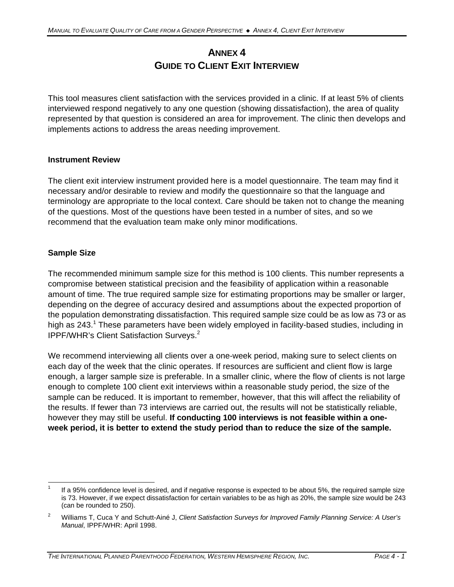# **ANNEX 4 GUIDE TO CLIENT EXIT INTERVIEW**

This tool measures client satisfaction with the services provided in a clinic. If at least 5% of clients interviewed respond negatively to any one question (showing dissatisfaction), the area of quality represented by that question is considered an area for improvement. The clinic then develops and implements actions to address the areas needing improvement.

#### **Instrument Review**

The client exit interview instrument provided here is a model questionnaire. The team may find it necessary and/or desirable to review and modify the questionnaire so that the language and terminology are appropriate to the local context. Care should be taken not to change the meaning of the questions. Most of the questions have been tested in a number of sites, and so we recommend that the evaluation team make only minor modifications.

## **Sample Size**

The recommended minimum sample size for this method is 100 clients. This number represents a compromise between statistical precision and the feasibility of application within a reasonable amount of time. The true required sample size for estimating proportions may be smaller or larger, depending on the degree of accuracy desired and assumptions about the expected proportion of the population demonstrating dissatisfaction. This required sample size could be as low as 73 or as high as 243.<sup>1</sup> These parameters have been widely employed in facility-based studies, including in IPPF/WHR's Client Satisfaction Surveys. $2$ 

We recommend interviewing all clients over a one-week period, making sure to select clients on each day of the week that the clinic operates. If resources are sufficient and client flow is large enough, a larger sample size is preferable. In a smaller clinic, where the flow of clients is not large enough to complete 100 client exit interviews within a reasonable study period, the size of the sample can be reduced. It is important to remember, however, that this will affect the reliability of the results. If fewer than 73 interviews are carried out, the results will not be statistically reliable, however they may still be useful. **If conducting 100 interviews is not feasible within a oneweek period, it is better to extend the study period than to reduce the size of the sample.** 

 $\overline{a}$ 1 If a 95% confidence level is desired, and if negative response is expected to be about 5%, the required sample size is 73. However, if we expect dissatisfaction for certain variables to be as high as 20%, the sample size would be 243 (can be rounded to 250).

<sup>2</sup> Williams T, Cuca Y and Schutt-Ainé J, *Client Satisfaction Surveys for Improved Family Planning Service: A User's Manual*, IPPF/WHR: April 1998.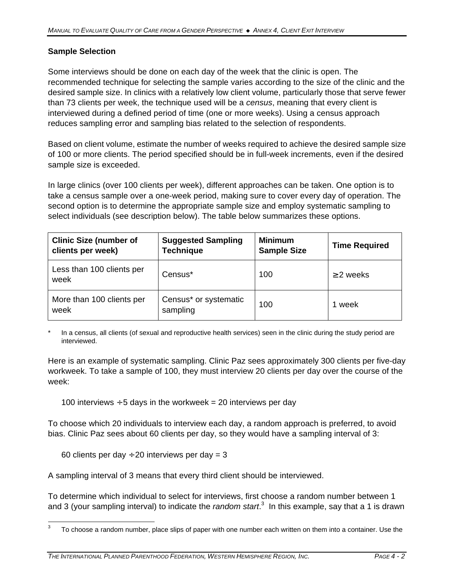## **Sample Selection**

Some interviews should be done on each day of the week that the clinic is open. The recommended technique for selecting the sample varies according to the size of the clinic and the desired sample size. In clinics with a relatively low client volume, particularly those that serve fewer than 73 clients per week, the technique used will be a *census*, meaning that every client is interviewed during a defined period of time (one or more weeks). Using a census approach reduces sampling error and sampling bias related to the selection of respondents.

Based on client volume, estimate the number of weeks required to achieve the desired sample size of 100 or more clients. The period specified should be in full-week increments, even if the desired sample size is exceeded.

In large clinics (over 100 clients per week), different approaches can be taken. One option is to take a census sample over a one-week period, making sure to cover every day of operation. The second option is to determine the appropriate sample size and employ systematic sampling to select individuals (see description below). The table below summarizes these options.

| <b>Clinic Size (number of</b><br><b>Suggested Sampling</b><br><b>Technique</b><br>clients per week) |                                   | <b>Minimum</b><br><b>Sample Size</b> | <b>Time Required</b> |
|-----------------------------------------------------------------------------------------------------|-----------------------------------|--------------------------------------|----------------------|
| Less than 100 clients per<br>week                                                                   | Census*                           | 100                                  | $\geq$ 2 weeks       |
| More than 100 clients per<br>week                                                                   | Census* or systematic<br>sampling | 100                                  | 1 week               |

In a census, all clients (of sexual and reproductive health services) seen in the clinic during the study period are interviewed.

Here is an example of systematic sampling. Clinic Paz sees approximately 300 clients per five-day workweek. To take a sample of 100, they must interview 20 clients per day over the course of the week:

100 interviews  $\div$  5 days in the workweek = 20 interviews per day

To choose which 20 individuals to interview each day, a random approach is preferred, to avoid bias. Clinic Paz sees about 60 clients per day, so they would have a sampling interval of 3:

60 clients per day  $\div$  20 interviews per day = 3

A sampling interval of 3 means that every third client should be interviewed.

To determine which individual to select for interviews, first choose a random number between 1 and 3 (your sampling interval) to indicate the *random start*.<sup>3</sup> In this example, say that a 1 is drawn

l 3 To choose a random number, place slips of paper with one number each written on them into a container. Use the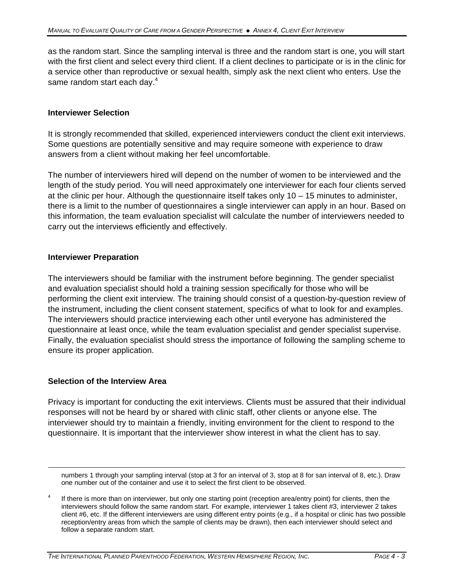as the random start. Since the sampling interval is three and the random start is one, you will start with the first client and select every third client. If a client declines to participate or is in the clinic for a service other than reproductive or sexual health, simply ask the next client who enters. Use the same random start each day.<sup>4</sup>

#### **Interviewer Selection**

It is strongly recommended that skilled, experienced interviewers conduct the client exit interviews. Some questions are potentially sensitive and may require someone with experience to draw answers from a client without making her feel uncomfortable.

The number of interviewers hired will depend on the number of women to be interviewed and the length of the study period. You will need approximately one interviewer for each four clients served at the clinic per hour. Although the questionnaire itself takes only 10 – 15 minutes to administer, there is a limit to the number of questionnaires a single interviewer can apply in an hour. Based on this information, the team evaluation specialist will calculate the number of interviewers needed to carry out the interviews efficiently and effectively.

#### **Interviewer Preparation**

The interviewers should be familiar with the instrument before beginning. The gender specialist and evaluation specialist should hold a training session specifically for those who will be performing the client exit interview. The training should consist of a question-by-question review of the instrument, including the client consent statement, specifics of what to look for and examples. The interviewers should practice interviewing each other until everyone has administered the questionnaire at least once, while the team evaluation specialist and gender specialist supervise. Finally, the evaluation specialist should stress the importance of following the sampling scheme to ensure its proper application.

#### **Selection of the Interview Area**

<u>.</u>

Privacy is important for conducting the exit interviews. Clients must be assured that their individual responses will not be heard by or shared with clinic staff, other clients or anyone else. The interviewer should try to maintain a friendly, inviting environment for the client to respond to the questionnaire. It is important that the interviewer show interest in what the client has to say.

numbers 1 through your sampling interval (stop at 3 for an interval of 3, stop at 8 for san interval of 8, etc.). Draw one number out of the container and use it to select the first client to be observed.

<sup>4</sup> If there is more than on interviewer, but only one starting point (reception area/entry point) for clients, then the interviewers should follow the same random start. For example, interviewer 1 takes client #3, interviewer 2 takes client #6, etc. If the different interviewers are using different entry points (e.g., if a hospital or clinic has two possible reception/entry areas from which the sample of clients may be drawn), then each interviewer should select and follow a separate random start.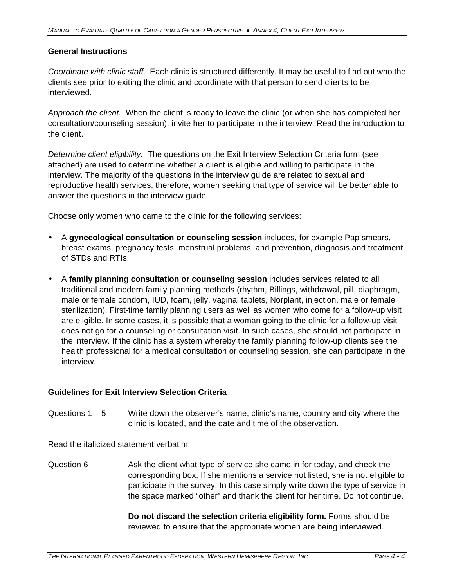#### **General Instructions**

*Coordinate with clinic staff.* Each clinic is structured differently. It may be useful to find out who the clients see prior to exiting the clinic and coordinate with that person to send clients to be interviewed.

*Approach the client.* When the client is ready to leave the clinic (or when she has completed her consultation/counseling session), invite her to participate in the interview. Read the introduction to the client.

*Determine client eligibility.* The questions on the Exit Interview Selection Criteria form (see attached) are used to determine whether a client is eligible and willing to participate in the interview. The majority of the questions in the interview guide are related to sexual and reproductive health services, therefore, women seeking that type of service will be better able to answer the questions in the interview guide.

Choose only women who came to the clinic for the following services:

- A **gynecological consultation or counseling session** includes, for example Pap smears, breast exams, pregnancy tests, menstrual problems, and prevention, diagnosis and treatment of STDs and RTIs.
- A **family planning consultation or counseling session** includes services related to all traditional and modern family planning methods (rhythm, Billings, withdrawal, pill, diaphragm, male or female condom, IUD, foam, jelly, vaginal tablets, Norplant, injection, male or female sterilization). First-time family planning users as well as women who come for a follow-up visit are eligible. In some cases, it is possible that a woman going to the clinic for a follow-up visit does not go for a counseling or consultation visit. In such cases, she should not participate in the interview. If the clinic has a system whereby the family planning follow-up clients see the health professional for a medical consultation or counseling session, she can participate in the interview.

#### **Guidelines for Exit Interview Selection Criteria**

Questions  $1 - 5$  Write down the observer's name, clinic's name, country and city where the clinic is located, and the date and time of the observation.

Read the italicized statement verbatim.

Question 6 Ask the client what type of service she came in for today, and check the corresponding box. If she mentions a service not listed, she is not eligible to participate in the survey. In this case simply write down the type of service in the space marked "other" and thank the client for her time. Do not continue.

> **Do not discard the selection criteria eligibility form.** Forms should be reviewed to ensure that the appropriate women are being interviewed.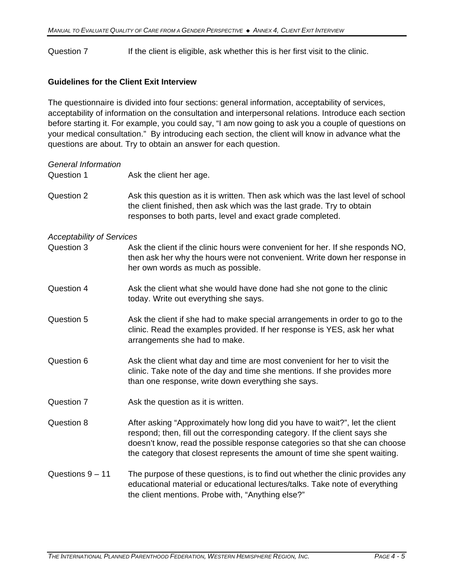Question 7 If the client is eligible, ask whether this is her first visit to the clinic.

### **Guidelines for the Client Exit Interview**

The questionnaire is divided into four sections: general information, acceptability of services, acceptability of information on the consultation and interpersonal relations. Introduce each section before starting it. For example, you could say, "I am now going to ask you a couple of questions on your medical consultation." By introducing each section, the client will know in advance what the questions are about. Try to obtain an answer for each question.

| <b>General Information</b><br>Question 1 | Ask the client her age.                                                                                                                                                                                                                                                                                               |
|------------------------------------------|-----------------------------------------------------------------------------------------------------------------------------------------------------------------------------------------------------------------------------------------------------------------------------------------------------------------------|
| Question 2                               | Ask this question as it is written. Then ask which was the last level of school<br>the client finished, then ask which was the last grade. Try to obtain<br>responses to both parts, level and exact grade completed.                                                                                                 |
| <b>Acceptability of Services</b>         |                                                                                                                                                                                                                                                                                                                       |
| Question 3                               | Ask the client if the clinic hours were convenient for her. If she responds NO,<br>then ask her why the hours were not convenient. Write down her response in<br>her own words as much as possible.                                                                                                                   |
| Question 4                               | Ask the client what she would have done had she not gone to the clinic<br>today. Write out everything she says.                                                                                                                                                                                                       |
| Question 5                               | Ask the client if she had to make special arrangements in order to go to the<br>clinic. Read the examples provided. If her response is YES, ask her what<br>arrangements she had to make.                                                                                                                             |
| Question 6                               | Ask the client what day and time are most convenient for her to visit the<br>clinic. Take note of the day and time she mentions. If she provides more<br>than one response, write down everything she says.                                                                                                           |
| Question 7                               | Ask the question as it is written.                                                                                                                                                                                                                                                                                    |
| Question 8                               | After asking "Approximately how long did you have to wait?", let the client<br>respond; then, fill out the corresponding category. If the client says she<br>doesn't know, read the possible response categories so that she can choose<br>the category that closest represents the amount of time she spent waiting. |
| Questions $9 - 11$                       | The purpose of these questions, is to find out whether the clinic provides any<br>educational material or educational lectures/talks. Take note of everything<br>the client mentions. Probe with, "Anything else?"                                                                                                    |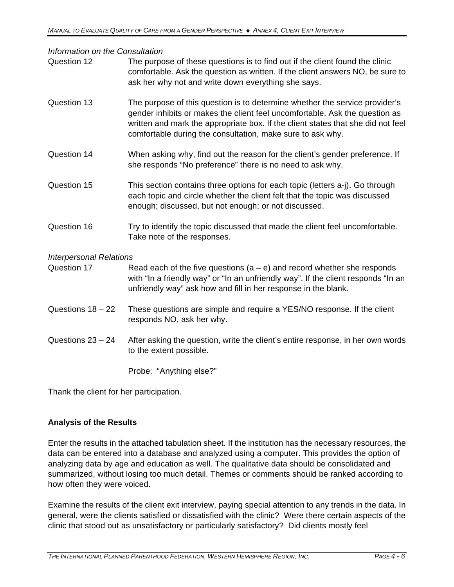*Information on the Consultation*

| moniquon on ule consultation   |                                                                                                                                                                                                                                                                                                              |  |  |  |  |
|--------------------------------|--------------------------------------------------------------------------------------------------------------------------------------------------------------------------------------------------------------------------------------------------------------------------------------------------------------|--|--|--|--|
| Question 12                    | The purpose of these questions is to find out if the client found the clinic<br>comfortable. Ask the question as written. If the client answers NO, be sure to<br>ask her why not and write down everything she says.                                                                                        |  |  |  |  |
| Question 13                    | The purpose of this question is to determine whether the service provider's<br>gender inhibits or makes the client feel uncomfortable. Ask the question as<br>written and mark the appropriate box. If the client states that she did not feel<br>comfortable during the consultation, make sure to ask why. |  |  |  |  |
| Question 14                    | When asking why, find out the reason for the client's gender preference. If<br>she responds "No preference" there is no need to ask why.                                                                                                                                                                     |  |  |  |  |
| Question 15                    | This section contains three options for each topic (letters a-j). Go through<br>each topic and circle whether the client felt that the topic was discussed<br>enough; discussed, but not enough; or not discussed.                                                                                           |  |  |  |  |
| Question 16                    | Try to identify the topic discussed that made the client feel uncomfortable.<br>Take note of the responses.                                                                                                                                                                                                  |  |  |  |  |
| <b>Interpersonal Relations</b> |                                                                                                                                                                                                                                                                                                              |  |  |  |  |
| Question 17                    | Read each of the five questions $(a - e)$ and record whether she responds<br>with "In a friendly way" or "In an unfriendly way". If the client responds "In an<br>unfriendly way" ask how and fill in her response in the blank.                                                                             |  |  |  |  |
| Questions $18 - 22$            | These questions are simple and require a YES/NO response. If the client<br>responds NO, ask her why.                                                                                                                                                                                                         |  |  |  |  |
| Questions $23 - 24$            | After asking the question, write the client's entire response, in her own words<br>to the extent possible.                                                                                                                                                                                                   |  |  |  |  |
|                                | Probe: "Anything else?"                                                                                                                                                                                                                                                                                      |  |  |  |  |

Thank the client for her participation.

## **Analysis of the Results**

Enter the results in the attached tabulation sheet. If the institution has the necessary resources, the data can be entered into a database and analyzed using a computer. This provides the option of analyzing data by age and education as well. The qualitative data should be consolidated and summarized, without losing too much detail. Themes or comments should be ranked according to how often they were voiced.

Examine the results of the client exit interview, paying special attention to any trends in the data. In general, were the clients satisfied or dissatisfied with the clinic? Were there certain aspects of the clinic that stood out as unsatisfactory or particularly satisfactory? Did clients mostly feel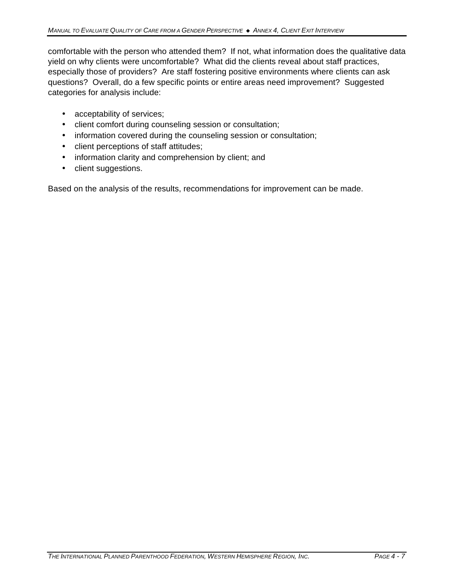comfortable with the person who attended them? If not, what information does the qualitative data yield on why clients were uncomfortable? What did the clients reveal about staff practices, especially those of providers? Are staff fostering positive environments where clients can ask questions? Overall, do a few specific points or entire areas need improvement? Suggested categories for analysis include:

- acceptability of services;
- client comfort during counseling session or consultation;
- information covered during the counseling session or consultation;
- client perceptions of staff attitudes;
- information clarity and comprehension by client; and
- client suggestions.

Based on the analysis of the results, recommendations for improvement can be made.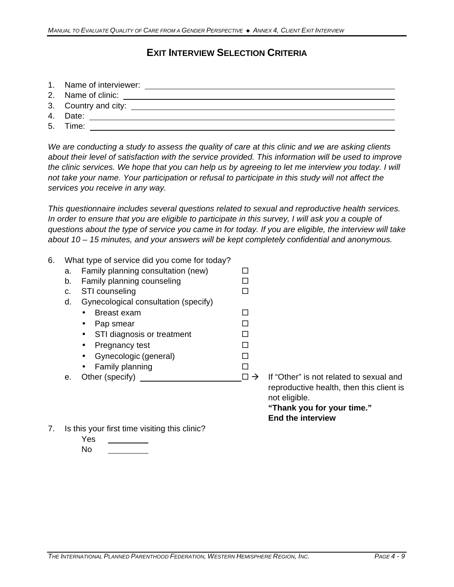# **EXIT INTERVIEW SELECTION CRITERIA**

- 1. Name of interviewer:
- 2. Name of clinic:
- 3. Country and city:
- 4. Date:
- 5. Time: <u>\_\_\_\_\_\_\_\_\_\_\_\_\_\_\_\_\_\_\_\_\_\_\_\_\_\_\_\_\_\_\_\_</u>

*We are conducting a study to assess the quality of care at this clinic and we are asking clients about their level of satisfaction with the service provided. This information will be used to improve the clinic services. We hope that you can help us by agreeing to let me interview you today. I will not take your name. Your participation or refusal to participate in this study will not affect the services you receive in any way.*

*This questionnaire includes several questions related to sexual and reproductive health services.*  In order to ensure that you are eligible to participate in this survey, I will ask you a couple of *questions about the type of service you came in for today. If you are eligible, the interview will take about 10 – 15 minutes, and your answers will be kept completely confidential and anonymous.*

- 6. What type of service did you come for today? a. Family planning consultation (new)  $\Box$ b. Family planning counseling  $\square$ c. STI counseling  $\Box$ d. Gynecological consultation (specify) • Breast exam  $\square$ • Pap smear  $\square$ • STI diagnosis or treatment  $\square$ • Pregnancy test  $\square$ • Gynecologic (general)  $\Box$ • Family planning  $\square$ e. Other (specify) ® ‡ If "Other" is not related to sexual and
	- reproductive health, then this client is not eligible. **"Thank you for your time."**

**End the interview**

- 7. Is this your first time visiting this clinic?
	- Yes
	- No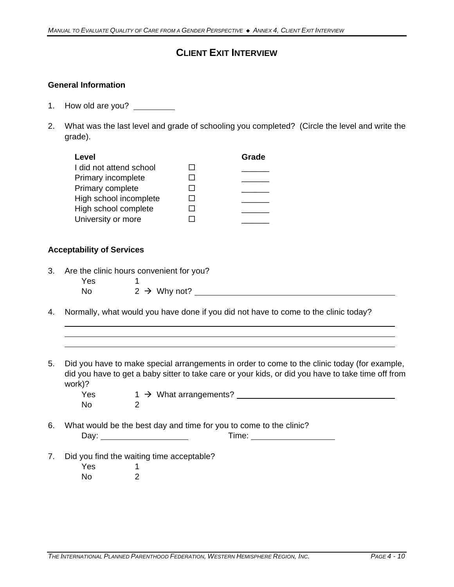## **CLIENT EXIT INTERVIEW**

### **General Information**

- 1. How old are you?
- 2. What was the last level and grade of schooling you completed? (Circle the level and write the grade).

| Level                   |              | Grade |
|-------------------------|--------------|-------|
| I did not attend school |              |       |
| Primary incomplete      | ΙI           |       |
| Primary complete        |              |       |
| High school incomplete  | $\mathbf{I}$ |       |
| High school complete    | ΙI           |       |
| University or more      |              |       |

#### **Acceptability of Services**

- 3. Are the clinic hours convenient for you? Yes 1  $\frac{1}{1}$  No  $\frac{2}{1}$   $\rightarrow$  Why not?
- 4. Normally, what would you have done if you did not have to come to the clinic today?
- 5. Did you have to make special arrangements in order to come to the clinic today (for example, did you have to get a baby sitter to take care or your kids, or did you have to take time off from work)?

| Yes  | $1 \rightarrow$ What arrangements? |
|------|------------------------------------|
| - No |                                    |

6. What would be the best day and time for you to come to the clinic?

| D.<br>av.<br>- - | <del>ு</del> `™≏<br>11110. |
|------------------|----------------------------|
|                  |                            |

7. Did you find the waiting time acceptable?

| Yes |   |
|-----|---|
| No  | 2 |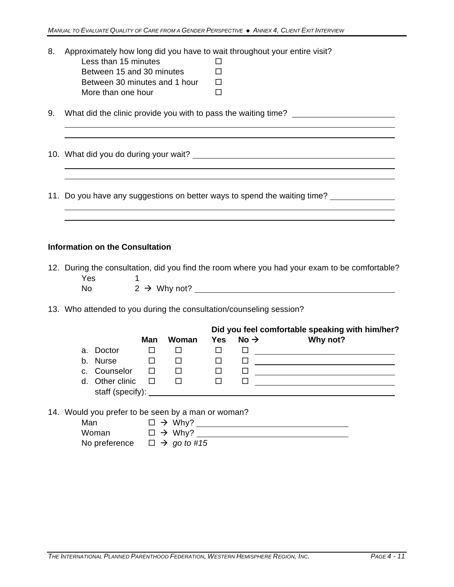| 8. |  |  |  | Approximately how long did you have to wait throughout your entire visit? |  |
|----|--|--|--|---------------------------------------------------------------------------|--|
|----|--|--|--|---------------------------------------------------------------------------|--|

| Less than 15 minutes          | $\mathbf{I}$ |
|-------------------------------|--------------|
| Between 15 and 30 minutes     | П            |
| Between 30 minutes and 1 hour | П            |
| More than one hour            | П            |

9. What did the clinic provide you with to pass the waiting time? \_\_\_\_\_\_\_\_\_\_\_\_\_\_

10. What did you do during your wait?

11. Do you have any suggestions on better ways to spend the waiting time?

#### **Information on the Consultation**

|     | 12. During the consultation, did you find the room where you had your exam to be comfortable? |
|-----|-----------------------------------------------------------------------------------------------|
| Yes |                                                                                               |
| Nο  | $2 \rightarrow W$ hy not?                                                                     |

and the control of the control of the control of the control of the control of the control of the control of the

13. Who attended to you during the consultation/counseling session?

|                  |        |       |            |                  | Did you feel comfortable speaking with him/her? |
|------------------|--------|-------|------------|------------------|-------------------------------------------------|
|                  | Man    | Woman | <b>Yes</b> | No $\rightarrow$ | Why not?                                        |
| a. Doctor        |        |       |            |                  |                                                 |
| b. Nurse         |        |       |            |                  |                                                 |
| c. Counselor     | $\Box$ |       |            |                  |                                                 |
| d. Other clinic  |        |       |            |                  |                                                 |
| staff (specify): |        |       |            |                  |                                                 |
|                  |        |       |            |                  |                                                 |

14. Would you prefer to be seen by a man or woman?

| Man           | $\Box \rightarrow$ Why?      |
|---------------|------------------------------|
| Woman         | $\Box \rightarrow$ Why?      |
| No preference | $\Box \rightarrow$ go to #15 |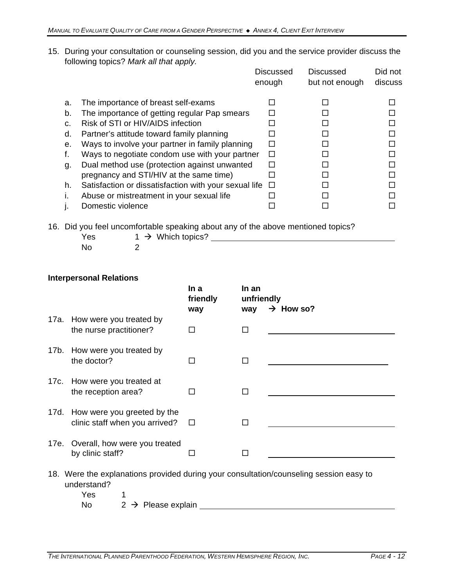15. During your consultation or counseling session, did you and the service provider discuss the following topics? *Mark all that apply.*

|    |                                                       | <b>Discussed</b><br>enough | <b>Discussed</b><br>but not enough | Did not<br>discuss |
|----|-------------------------------------------------------|----------------------------|------------------------------------|--------------------|
| a. | The importance of breast self-exams                   |                            |                                    |                    |
| b. | The importance of getting regular Pap smears          |                            |                                    |                    |
| C. | Risk of STI or HIV/AIDS infection                     |                            |                                    |                    |
| d. | Partner's attitude toward family planning             |                            |                                    |                    |
| е. | Ways to involve your partner in family planning       | П                          |                                    |                    |
| t. | Ways to negotiate condom use with your partner        | П                          |                                    |                    |
| g. | Dual method use (protection against unwanted          |                            |                                    |                    |
|    | pregnancy and STI/HIV at the same time)               |                            |                                    |                    |
| h. | Satisfaction or dissatisfaction with your sexual life | $\Box$                     |                                    |                    |
| Τ. | Abuse or mistreatment in your sexual life             |                            |                                    |                    |
|    | Domestic violence                                     |                            |                                    |                    |

16. Did you feel uncomfortable speaking about any of the above mentioned topics?

| Yes | . .<br>$1 \rightarrow$ Which topics? |  |
|-----|--------------------------------------|--|
| No  |                                      |  |

## **Interpersonal Relations**

|                                | In a<br>friendly                                                                                                                                                                            | In an<br>unfriendly                   | $\rightarrow$ How so?                                                                         |
|--------------------------------|---------------------------------------------------------------------------------------------------------------------------------------------------------------------------------------------|---------------------------------------|-----------------------------------------------------------------------------------------------|
| the nurse practitioner?        | П                                                                                                                                                                                           | □                                     |                                                                                               |
| the doctor?                    | П                                                                                                                                                                                           | П                                     |                                                                                               |
| the reception area?            | $\mathbf{I}$                                                                                                                                                                                | П                                     |                                                                                               |
| clinic staff when you arrived? | П                                                                                                                                                                                           | П                                     |                                                                                               |
| by clinic staff?               | П                                                                                                                                                                                           | П                                     |                                                                                               |
| <b>Yes</b><br>1                |                                                                                                                                                                                             |                                       |                                                                                               |
|                                | 17a. How were you treated by<br>17b. How were you treated by<br>17c. How were you treated at<br>17d. How were you greeted by the<br>17e. Overall, how were you treated<br>understand?<br>No | way<br>$2 \rightarrow$ Please explain | way<br>18. Were the explanations provided during your consultation/counseling session easy to |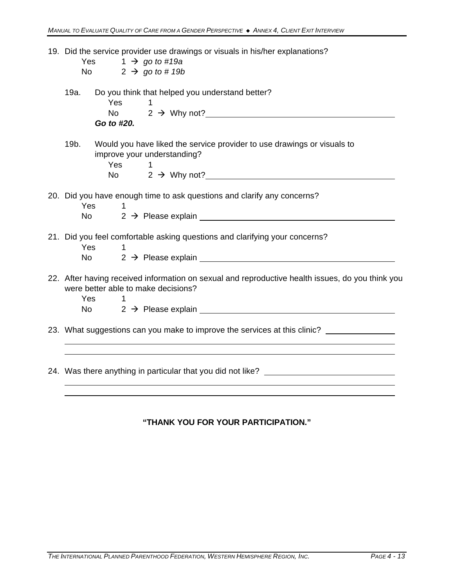|         | 19. Did the service provider use drawings or visuals in his/her explanations?<br>$1 \rightarrow go to #19a$<br>Yes<br>No $2 \rightarrow go to # 19b$                                                                                                                                                                                                                                         |
|---------|----------------------------------------------------------------------------------------------------------------------------------------------------------------------------------------------------------------------------------------------------------------------------------------------------------------------------------------------------------------------------------------------|
| 19a.    | Do you think that helped you understand better?<br><b>Yes</b><br>1<br>No $2 \rightarrow$ Why not?<br>Go to #20.                                                                                                                                                                                                                                                                              |
| $19b$ . | Would you have liked the service provider to use drawings or visuals to<br>improve your understanding?<br>Yes<br>$\mathbf{1}$<br>No $2 \rightarrow W$ hy not?                                                                                                                                                                                                                                |
|         | 20. Did you have enough time to ask questions and clarify any concerns?<br>Yes<br>1<br>$2 \rightarrow$ Please explain<br>No control to the New York of the New York of the New York of the New York of the New York of the New York of the New York of the New York of the New York of the New York of the New York of the New York of the New York of                                       |
| Yes.    | 21. Did you feel comfortable asking questions and clarifying your concerns?<br>No l                                                                                                                                                                                                                                                                                                          |
| Yes     | 22. After having received information on sexual and reproductive health issues, do you think you<br>were better able to make decisions?<br>1.<br>2 → Please explain example and the control of the control of the control of the control of the control of the control of the control of the control of the control of the control of the control of the control of the contro<br>No control |
|         | 23. What suggestions can you make to improve the services at this clinic?                                                                                                                                                                                                                                                                                                                    |

### **"THANK YOU FOR YOUR PARTICIPATION."**

24. Was there anything in particular that you did not like? \_\_\_\_\_\_\_\_\_\_\_\_\_\_\_\_\_\_\_\_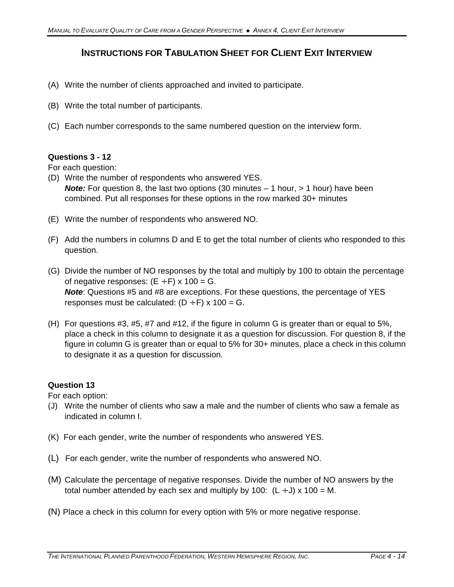## **INSTRUCTIONS FOR TABULATION SHEET FOR CLIENT EXIT INTERVIEW**

- (A) Write the number of clients approached and invited to participate.
- (B) Write the total number of participants.
- (C) Each number corresponds to the same numbered question on the interview form.

#### **Questions 3 - 12**

For each question:

- (D) Write the number of respondents who answered YES. **Note:** For question 8, the last two options (30 minutes – 1 hour, > 1 hour) have been combined. Put all responses for these options in the row marked 30+ minutes
- (E) Write the number of respondents who answered NO.
- (F) Add the numbers in columns D and E to get the total number of clients who responded to this question.
- (G) Divide the number of NO responses by the total and multiply by 100 to obtain the percentage of negative responses:  $(E \div F) \times 100 = G$ . *Note*: Questions #5 and #8 are exceptions. For these questions, the percentage of YES responses must be calculated:  $(D \div F) \times 100 = G$ .
- (H) For questions #3, #5, #7 and #12, if the figure in column G is greater than or equal to 5%, place a check in this column to designate it as a question for discussion. For question 8, if the figure in column G is greater than or equal to 5% for 30+ minutes, place a check in this column to designate it as a question for discussion.

## **Question 13**

For each option:

- (J) Write the number of clients who saw a male and the number of clients who saw a female as indicated in column I.
- (K) For each gender, write the number of respondents who answered YES.
- (L) For each gender, write the number of respondents who answered NO.
- (M) Calculate the percentage of negative responses. Divide the number of NO answers by the total number attended by each sex and multiply by 100:  $(L \div J) \times 100 = M$ .
- (N) Place a check in this column for every option with 5% or more negative response.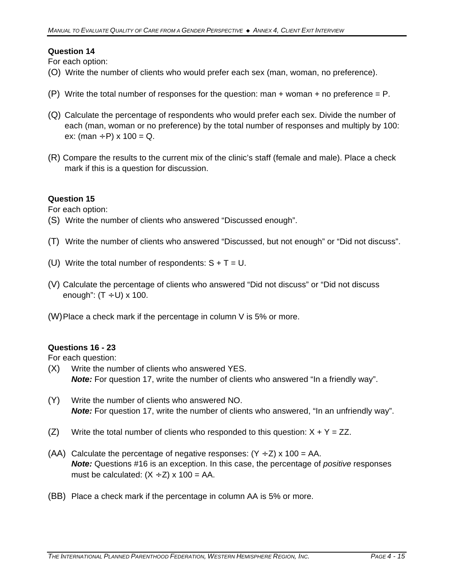## **Question 14**

For each option:

- (O) Write the number of clients who would prefer each sex (man, woman, no preference).
- (P) Write the total number of responses for the question: man  $+$  woman  $+$  no preference = P.
- (Q) Calculate the percentage of respondents who would prefer each sex. Divide the number of each (man, woman or no preference) by the total number of responses and multiply by 100: ex: (man  $\div$  P) x 100 = Q.
- (R) Compare the results to the current mix of the clinic's staff (female and male). Place a check mark if this is a question for discussion.

## **Question 15**

For each option:

- (S) Write the number of clients who answered "Discussed enough".
- (T) Write the number of clients who answered "Discussed, but not enough" or "Did not discuss".
- (U) Write the total number of respondents:  $S + T = U$ .
- (V) Calculate the percentage of clients who answered "Did not discuss" or "Did not discuss enough":  $(T \div U) \times 100$ .
- (W)Place a check mark if the percentage in column V is 5% or more.

## **Questions 16 - 23**

For each question:

- (X) Write the number of clients who answered YES. **Note:** For question 17, write the number of clients who answered "In a friendly way".
- (Y) Write the number of clients who answered NO. *Note:* For question 17, write the number of clients who answered, "In an unfriendly way".
- (Z) Write the total number of clients who responded to this question:  $X + Y = ZZ$ .
- (AA) Calculate the percentage of negative responses:  $(Y \div Z) \times 100 = AA$ . *Note:* Questions #16 is an exception. In this case, the percentage of *positive* responses must be calculated:  $(X \div Z)$  x 100 = AA.
- (BB) Place a check mark if the percentage in column AA is 5% or more.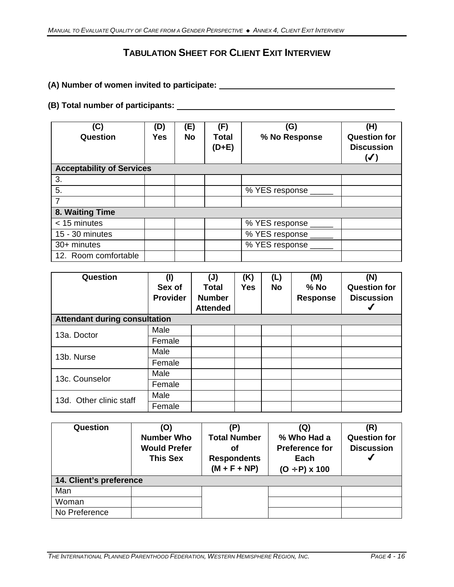# **TABULATION SHEET FOR CLIENT EXIT INTERVIEW**

**(A) Number of women invited to participate:** 

## **(B) Total number of participants:**

| (C)<br>Question                  | (D)<br><b>Yes</b> | (E)<br><b>No</b> | (F)<br><b>Total</b><br>$(D+E)$ | (G)<br>% No Response | (H)<br><b>Question for</b><br><b>Discussion</b><br>$(\blacktriangledown)$ |
|----------------------------------|-------------------|------------------|--------------------------------|----------------------|---------------------------------------------------------------------------|
| <b>Acceptability of Services</b> |                   |                  |                                |                      |                                                                           |
| 3.                               |                   |                  |                                |                      |                                                                           |
| 5.                               |                   |                  |                                | % YES response ____  |                                                                           |
| 7                                |                   |                  |                                |                      |                                                                           |
| 8. Waiting Time                  |                   |                  |                                |                      |                                                                           |
| < 15 minutes                     |                   |                  |                                | % YES response _____ |                                                                           |
| 15 - 30 minutes                  |                   |                  |                                | % YES response _____ |                                                                           |
| 30+ minutes                      |                   |                  |                                | % YES response ____  |                                                                           |
| 12. Room comfortable             |                   |                  |                                |                      |                                                                           |

| Question                             | $($ l<br>Sex of<br><b>Provider</b> | $(\mathsf{U})$<br><b>Total</b><br><b>Number</b><br><b>Attended</b> | (K)<br><b>Yes</b> | (L)<br><b>No</b> | (M)<br>$%$ No<br><b>Response</b> | (N)<br><b>Question for</b><br><b>Discussion</b> |
|--------------------------------------|------------------------------------|--------------------------------------------------------------------|-------------------|------------------|----------------------------------|-------------------------------------------------|
| <b>Attendant during consultation</b> |                                    |                                                                    |                   |                  |                                  |                                                 |
| 13a. Doctor                          | Male                               |                                                                    |                   |                  |                                  |                                                 |
|                                      | Female                             |                                                                    |                   |                  |                                  |                                                 |
| 13b. Nurse                           | Male                               |                                                                    |                   |                  |                                  |                                                 |
|                                      | Female                             |                                                                    |                   |                  |                                  |                                                 |
| 13c. Counselor                       | Male                               |                                                                    |                   |                  |                                  |                                                 |
|                                      | Female                             |                                                                    |                   |                  |                                  |                                                 |
| 13d. Other clinic staff              | Male                               |                                                                    |                   |                  |                                  |                                                 |
|                                      | Female                             |                                                                    |                   |                  |                                  |                                                 |

| Question                | (O)<br><b>Number Who</b><br><b>Would Prefer</b><br><b>This Sex</b> | (P<br><b>Total Number</b><br>οf<br><b>Respondents</b><br>$(M + F + NP)$ | (Q)<br>% Who Had a<br><b>Preference for</b><br>Each<br>$(O + P)$ x 100 | (R)<br><b>Question for</b><br><b>Discussion</b> |  |  |
|-------------------------|--------------------------------------------------------------------|-------------------------------------------------------------------------|------------------------------------------------------------------------|-------------------------------------------------|--|--|
| 14. Client's preference |                                                                    |                                                                         |                                                                        |                                                 |  |  |
| Man                     |                                                                    |                                                                         |                                                                        |                                                 |  |  |
| Woman                   |                                                                    |                                                                         |                                                                        |                                                 |  |  |
| No Preference           |                                                                    |                                                                         |                                                                        |                                                 |  |  |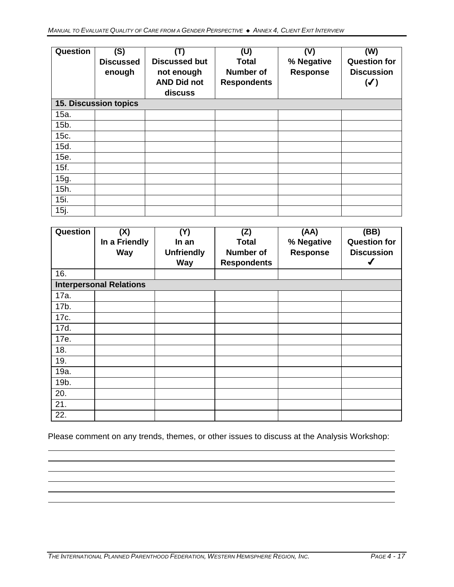| Question | (S)<br><b>Discussed</b><br>enough | (T)<br><b>Discussed but</b><br>not enough<br><b>AND Did not</b><br>discuss | (U)<br><b>Total</b><br>Number of<br><b>Respondents</b> | (V)<br>% Negative<br><b>Response</b> | (W)<br><b>Question for</b><br><b>Discussion</b><br>$(\blacktriangledown)$ |
|----------|-----------------------------------|----------------------------------------------------------------------------|--------------------------------------------------------|--------------------------------------|---------------------------------------------------------------------------|
|          | <b>15. Discussion topics</b>      |                                                                            |                                                        |                                      |                                                                           |
| 15a.     |                                   |                                                                            |                                                        |                                      |                                                                           |
| 15b.     |                                   |                                                                            |                                                        |                                      |                                                                           |
| 15c.     |                                   |                                                                            |                                                        |                                      |                                                                           |
| 15d.     |                                   |                                                                            |                                                        |                                      |                                                                           |
| 15e.     |                                   |                                                                            |                                                        |                                      |                                                                           |
| 15f.     |                                   |                                                                            |                                                        |                                      |                                                                           |
| 15g.     |                                   |                                                                            |                                                        |                                      |                                                                           |
| 15h.     |                                   |                                                                            |                                                        |                                      |                                                                           |
| 15i.     |                                   |                                                                            |                                                        |                                      |                                                                           |
| 15j.     |                                   |                                                                            |                                                        |                                      |                                                                           |

| Question | (X)<br>In a Friendly<br><b>Way</b> | (Y)<br>In an<br><b>Unfriendly</b> | (Z)<br><b>Total</b><br><b>Number of</b> | (AA)<br>% Negative<br><b>Response</b> | (BB)<br><b>Question for</b><br><b>Discussion</b> |
|----------|------------------------------------|-----------------------------------|-----------------------------------------|---------------------------------------|--------------------------------------------------|
| 16.      |                                    | <b>Way</b>                        | <b>Respondents</b>                      |                                       |                                                  |
|          | <b>Interpersonal Relations</b>     |                                   |                                         |                                       |                                                  |
|          |                                    |                                   |                                         |                                       |                                                  |
| 17a.     |                                    |                                   |                                         |                                       |                                                  |
| 17b.     |                                    |                                   |                                         |                                       |                                                  |
| 17c.     |                                    |                                   |                                         |                                       |                                                  |
| 17d.     |                                    |                                   |                                         |                                       |                                                  |
| 17e.     |                                    |                                   |                                         |                                       |                                                  |
| 18.      |                                    |                                   |                                         |                                       |                                                  |
| 19.      |                                    |                                   |                                         |                                       |                                                  |
| 19a.     |                                    |                                   |                                         |                                       |                                                  |
| 19b.     |                                    |                                   |                                         |                                       |                                                  |
| 20.      |                                    |                                   |                                         |                                       |                                                  |
| 21.      |                                    |                                   |                                         |                                       |                                                  |
| 22.      |                                    |                                   |                                         |                                       |                                                  |

Please comment on any trends, themes, or other issues to discuss at the Analysis Workshop: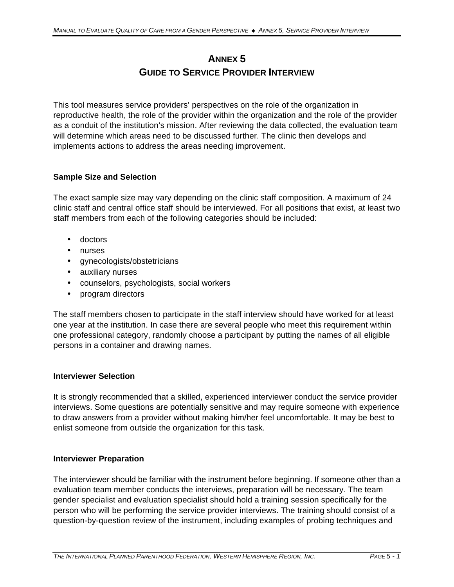# **ANNEX 5 GUIDE TO SERVICE PROVIDER INTERVIEW**

This tool measures service providers' perspectives on the role of the organization in reproductive health, the role of the provider within the organization and the role of the provider as a conduit of the institution's mission. After reviewing the data collected, the evaluation team will determine which areas need to be discussed further. The clinic then develops and implements actions to address the areas needing improvement.

## **Sample Size and Selection**

The exact sample size may vary depending on the clinic staff composition. A maximum of 24 clinic staff and central office staff should be interviewed. For all positions that exist, at least two staff members from each of the following categories should be included:

- doctors
- nurses
- gynecologists/obstetricians
- auxiliary nurses
- counselors, psychologists, social workers
- program directors

The staff members chosen to participate in the staff interview should have worked for at least one year at the institution. In case there are several people who meet this requirement within one professional category, randomly choose a participant by putting the names of all eligible persons in a container and drawing names.

#### **Interviewer Selection**

It is strongly recommended that a skilled, experienced interviewer conduct the service provider interviews. Some questions are potentially sensitive and may require someone with experience to draw answers from a provider without making him/her feel uncomfortable. It may be best to enlist someone from outside the organization for this task.

#### **Interviewer Preparation**

The interviewer should be familiar with the instrument before beginning. If someone other than a evaluation team member conducts the interviews, preparation will be necessary. The team gender specialist and evaluation specialist should hold a training session specifically for the person who will be performing the service provider interviews. The training should consist of a question-by-question review of the instrument, including examples of probing techniques and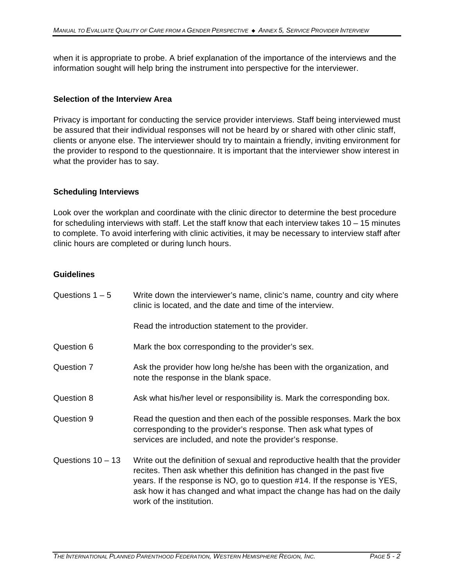when it is appropriate to probe. A brief explanation of the importance of the interviews and the information sought will help bring the instrument into perspective for the interviewer.

#### **Selection of the Interview Area**

Privacy is important for conducting the service provider interviews. Staff being interviewed must be assured that their individual responses will not be heard by or shared with other clinic staff, clients or anyone else. The interviewer should try to maintain a friendly, inviting environment for the provider to respond to the questionnaire. It is important that the interviewer show interest in what the provider has to say.

#### **Scheduling Interviews**

Look over the workplan and coordinate with the clinic director to determine the best procedure for scheduling interviews with staff. Let the staff know that each interview takes 10 – 15 minutes to complete. To avoid interfering with clinic activities, it may be necessary to interview staff after clinic hours are completed or during lunch hours.

### **Guidelines**

| Questions $1 - 5$   | Write down the interviewer's name, clinic's name, country and city where<br>clinic is located, and the date and time of the interview.                                                                                                                                                                                                    |
|---------------------|-------------------------------------------------------------------------------------------------------------------------------------------------------------------------------------------------------------------------------------------------------------------------------------------------------------------------------------------|
|                     | Read the introduction statement to the provider.                                                                                                                                                                                                                                                                                          |
| Question 6          | Mark the box corresponding to the provider's sex.                                                                                                                                                                                                                                                                                         |
| Question 7          | Ask the provider how long he/she has been with the organization, and<br>note the response in the blank space.                                                                                                                                                                                                                             |
| Question 8          | Ask what his/her level or responsibility is. Mark the corresponding box.                                                                                                                                                                                                                                                                  |
| Question 9          | Read the question and then each of the possible responses. Mark the box<br>corresponding to the provider's response. Then ask what types of<br>services are included, and note the provider's response.                                                                                                                                   |
| Questions $10 - 13$ | Write out the definition of sexual and reproductive health that the provider<br>recites. Then ask whether this definition has changed in the past five<br>years. If the response is NO, go to question #14. If the response is YES,<br>ask how it has changed and what impact the change has had on the daily<br>work of the institution. |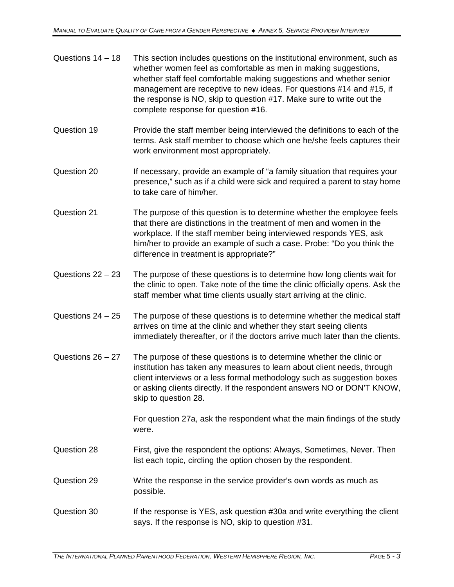| Questions $14 - 18$ | This section includes questions on the institutional environment, such as |
|---------------------|---------------------------------------------------------------------------|
|                     | whether women feel as comfortable as men in making suggestions,           |
|                     | whether staff feel comfortable making suggestions and whether senior      |
|                     | management are receptive to new ideas. For questions #14 and #15, if      |
|                     | the response is NO, skip to question #17. Make sure to write out the      |
|                     | complete response for question #16.                                       |

- Question 19 Provide the staff member being interviewed the definitions to each of the terms. Ask staff member to choose which one he/she feels captures their work environment most appropriately.
- Question 20 If necessary, provide an example of "a family situation that requires your presence," such as if a child were sick and required a parent to stay home to take care of him/her.
- Question 21 The purpose of this question is to determine whether the employee feels that there are distinctions in the treatment of men and women in the workplace. If the staff member being interviewed responds YES, ask him/her to provide an example of such a case. Probe: "Do you think the difference in treatment is appropriate?"
- Questions  $22 23$  The purpose of these questions is to determine how long clients wait for the clinic to open. Take note of the time the clinic officially opens. Ask the staff member what time clients usually start arriving at the clinic.
- Questions 24 25 The purpose of these questions is to determine whether the medical staff arrives on time at the clinic and whether they start seeing clients immediately thereafter, or if the doctors arrive much later than the clients.
- Questions 26 27 The purpose of these questions is to determine whether the clinic or institution has taken any measures to learn about client needs, through client interviews or a less formal methodology such as suggestion boxes or asking clients directly. If the respondent answers NO or DON'T KNOW, skip to question 28.

For question 27a, ask the respondent what the main findings of the study were.

- Question 28 First, give the respondent the options: Always, Sometimes, Never. Then list each topic, circling the option chosen by the respondent.
- Question 29 Write the response in the service provider's own words as much as possible.
- Question 30 If the response is YES, ask question #30a and write everything the client says. If the response is NO, skip to question #31.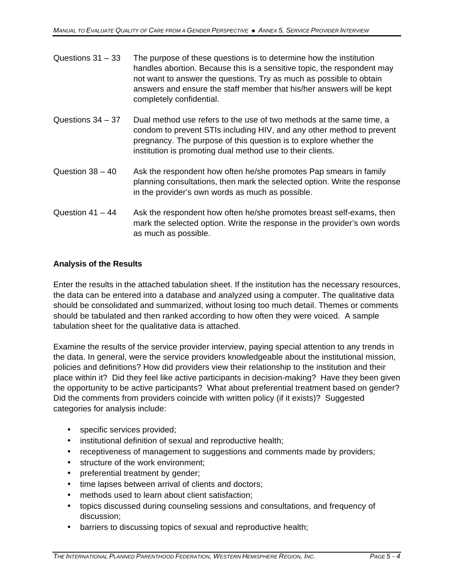| Questions $31 - 33$ | The purpose of these questions is to determine how the institution<br>handles abortion. Because this is a sensitive topic, the respondent may<br>not want to answer the questions. Try as much as possible to obtain<br>answers and ensure the staff member that his/her answers will be kept<br>completely confidential. |
|---------------------|---------------------------------------------------------------------------------------------------------------------------------------------------------------------------------------------------------------------------------------------------------------------------------------------------------------------------|
| Questions $34 - 37$ | Dual method use refers to the use of two methods at the same time, a<br>condom to prevent STIs including HIV, and any other method to prevent<br>pregnancy. The purpose of this question is to explore whether the<br>institution is promoting dual method use to their clients.                                          |
| Question $38 - 40$  | Ask the respondent how often he/she promotes Pap smears in family<br>planning consultations, then mark the selected option. Write the response<br>in the provider's own words as much as possible.                                                                                                                        |

Question  $41 - 44$  Ask the respondent how often he/she promotes breast self-exams, then mark the selected option. Write the response in the provider's own words as much as possible.

## **Analysis of the Results**

Enter the results in the attached tabulation sheet. If the institution has the necessary resources, the data can be entered into a database and analyzed using a computer. The qualitative data should be consolidated and summarized, without losing too much detail. Themes or comments should be tabulated and then ranked according to how often they were voiced. A sample tabulation sheet for the qualitative data is attached.

Examine the results of the service provider interview, paying special attention to any trends in the data. In general, were the service providers knowledgeable about the institutional mission, policies and definitions? How did providers view their relationship to the institution and their place within it? Did they feel like active participants in decision-making? Have they been given the opportunity to be active participants? What about preferential treatment based on gender? Did the comments from providers coincide with written policy (if it exists)? Suggested categories for analysis include:

- specific services provided;
- institutional definition of sexual and reproductive health;
- receptiveness of management to suggestions and comments made by providers;
- structure of the work environment;
- preferential treatment by gender;
- time lapses between arrival of clients and doctors;
- methods used to learn about client satisfaction;
- topics discussed during counseling sessions and consultations, and frequency of discussion;
- barriers to discussing topics of sexual and reproductive health;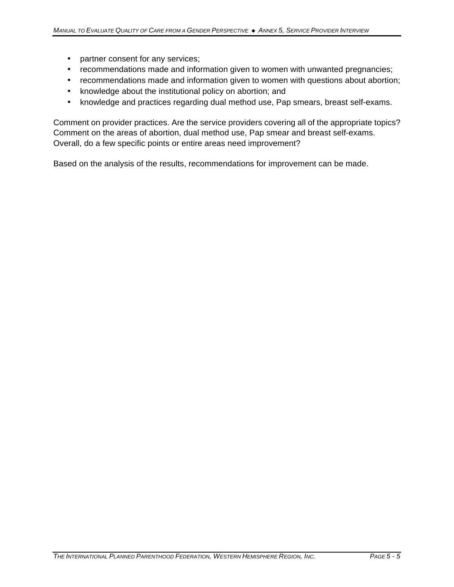- partner consent for any services;
- recommendations made and information given to women with unwanted pregnancies;
- recommendations made and information given to women with questions about abortion;
- knowledge about the institutional policy on abortion; and
- knowledge and practices regarding dual method use, Pap smears, breast self-exams.

Comment on provider practices. Are the service providers covering all of the appropriate topics? Comment on the areas of abortion, dual method use, Pap smear and breast self-exams. Overall, do a few specific points or entire areas need improvement?

Based on the analysis of the results, recommendations for improvement can be made.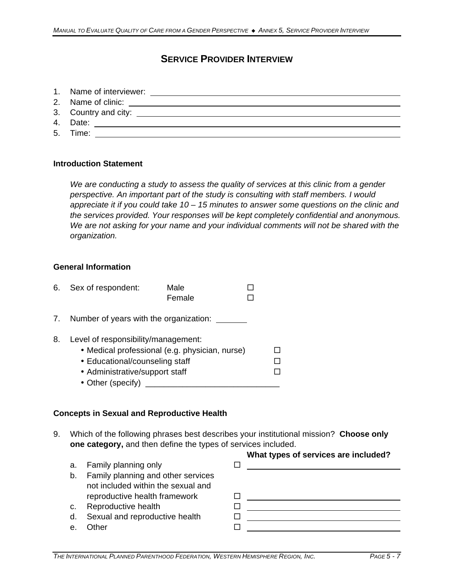## **SERVICE PROVIDER INTERVIEW**

- 1. Name of interviewer:
- 2. Name of clinic:
- 3. Country and city:
- 4. Date:
- 5. Time:

### **Introduction Statement**

*We are conducting a study to assess the quality of services at this clinic from a gender perspective. An important part of the study is consulting with staff members. I would appreciate it if you could take 10 – 15 minutes to answer some questions on the clinic and the services provided. Your responses will be kept completely confidential and anonymous. We are not asking for your name and your individual comments will not be shared with the organization.*

#### **General Information**

|    | 6. Sex of respondent:                                                                                                        | Male                                           |  |
|----|------------------------------------------------------------------------------------------------------------------------------|------------------------------------------------|--|
|    |                                                                                                                              | Female                                         |  |
| 7. | Number of years with the organization:                                                                                       |                                                |  |
| 8. | Level of responsibility/management:<br>• Educational/counseling staff<br>• Administrative/support staff<br>• Other (specify) | • Medical professional (e.g. physician, nurse) |  |

#### **Concepts in Sexual and Reproductive Health**

- 9. Which of the following phrases best describes your institutional mission? **Choose only one category,** and then define the types of services included.
	- a. Family planning only b. Family planning and other services not included within the sexual and

reproductive health framework

- c. Reproductive health
- d. Sexual and reproductive health
- e. Other

| 口:                                                                                                                                                                                                                            |        |
|-------------------------------------------------------------------------------------------------------------------------------------------------------------------------------------------------------------------------------|--------|
|                                                                                                                                                                                                                               |        |
|                                                                                                                                                                                                                               |        |
|                                                                                                                                                                                                                               |        |
|                                                                                                                                                                                                                               | $\Box$ |
|                                                                                                                                                                                                                               | $\Box$ |
| and the state of the state of the state of the state of the state of the state of the state of the state of the state of the state of the state of the state of the state of the state of the state of the state of the state |        |
|                                                                                                                                                                                                                               |        |
|                                                                                                                                                                                                                               |        |

**What types of services are included?**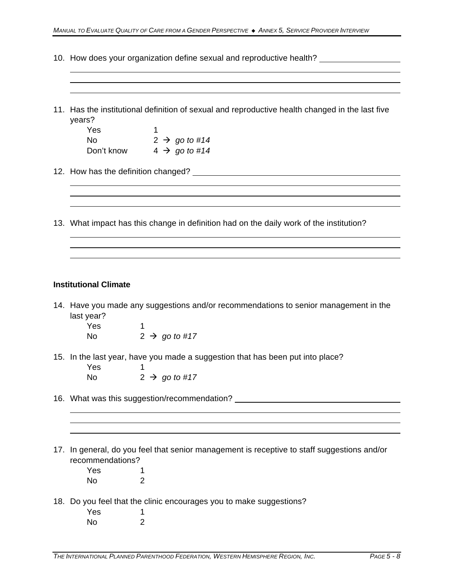10. How does your organization define sexual and reproductive health?

| years?                       | 11. Has the institutional definition of sexual and reproductive health changed in the last five |
|------------------------------|-------------------------------------------------------------------------------------------------|
| Yes                          | $\mathbf 1$                                                                                     |
| <b>No</b>                    | $2 \rightarrow go to #14$                                                                       |
|                              | Don't know $4 \rightarrow go to #14$                                                            |
|                              |                                                                                                 |
|                              |                                                                                                 |
|                              | 13. What impact has this change in definition had on the daily work of the institution?         |
|                              |                                                                                                 |
|                              |                                                                                                 |
| <b>Institutional Climate</b> |                                                                                                 |
|                              | 14. Have you made any suggestions and/or recommendations to senior management in the            |
| last year?                   |                                                                                                 |
| Yes                          | 1                                                                                               |
| <b>No</b>                    | $2 \rightarrow go to #17$                                                                       |
| Yes                          | 15. In the last year, have you made a suggestion that has been put into place?<br>1             |
| No                           | $2 \rightarrow go to #17$                                                                       |
|                              | 16. What was this suggestion/recommendation?                                                    |
|                              |                                                                                                 |
|                              |                                                                                                 |
|                              | 17. In general, do you feel that senior management is receptive to staff suggestions and/or     |
| recommendations?             |                                                                                                 |
| Yes                          | 1                                                                                               |
| No                           | $\overline{2}$                                                                                  |
| Yes                          | 18. Do you feel that the clinic encourages you to make suggestions?<br>1                        |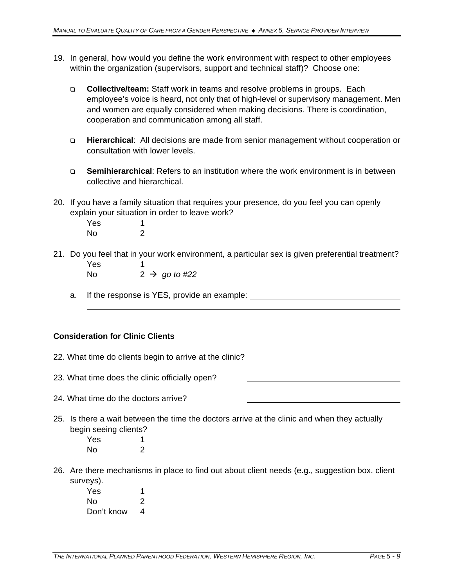- 19. In general, how would you define the work environment with respect to other employees within the organization (supervisors, support and technical staff)? Choose one:
	- q **Collective/team:** Staff work in teams and resolve problems in groups. Each employee's voice is heard, not only that of high-level or supervisory management. Men and women are equally considered when making decisions. There is coordination, cooperation and communication among all staff.
	- q **Hierarchical**: All decisions are made from senior management without cooperation or consultation with lower levels.
	- q **Semihierarchical**: Refers to an institution where the work environment is in between collective and hierarchical.
- 20. If you have a family situation that requires your presence, do you feel you can openly explain your situation in order to leave work?

Yes 1 No 2

21. Do you feel that in your work environment, a particular sex is given preferential treatment? Yes 1

No  $2 \rightarrow go to \#22$ 

a. If the response is YES, provide an example:

### **Consideration for Clinic Clients**

| 22. What time do clients begin to arrive at the clinic?                                                                             |  |
|-------------------------------------------------------------------------------------------------------------------------------------|--|
| 23. What time does the clinic officially open?                                                                                      |  |
|                                                                                                                                     |  |
| 24. What time do the doctors arrive?                                                                                                |  |
| 25. Is there a wait between the time the doctors arrive at the clinic and when they actually<br>begin seeing clients?<br>Yes<br>No. |  |

- 26. Are there mechanisms in place to find out about client needs (e.g., suggestion box, client surveys).
	- Yes 1 No 2 Don't know 4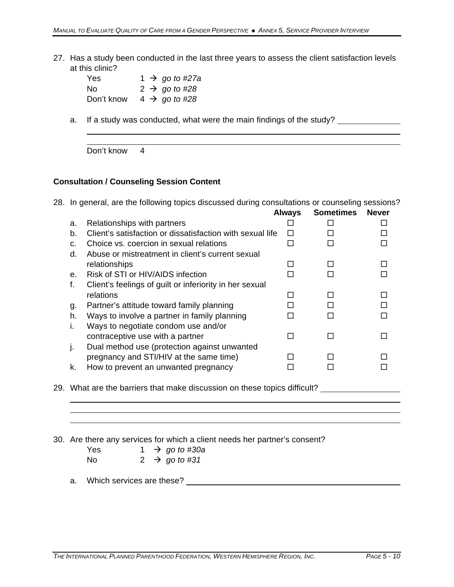27. Has a study been conducted in the last three years to assess the client satisfaction levels at this clinic?

| Yes.       | 1 $\rightarrow$ go to #27a |
|------------|----------------------------|
| Nο         | $2 \rightarrow go to \#28$ |
| Don't know | $4 \rightarrow$ go to #28  |

a. If a study was conducted, what were the main findings of the study?

Don't know 4

#### **Consultation / Counseling Session Content**

28. In general, are the following topics discussed during consultations or counseling sessions?

|    |                                                           | <b>Always</b> | <b>Sometimes</b> | <b>Never</b> |
|----|-----------------------------------------------------------|---------------|------------------|--------------|
| a. | Relationships with partners                               |               |                  |              |
| b. | Client's satisfaction or dissatisfaction with sexual life |               |                  |              |
| C. | Choice vs. coercion in sexual relations                   |               |                  |              |
| d. | Abuse or mistreatment in client's current sexual          |               |                  |              |
|    | relationships                                             |               |                  |              |
| е. | Risk of STI or HIV/AIDS infection                         |               |                  |              |
| f. | Client's feelings of guilt or inferiority in her sexual   |               |                  |              |
|    | relations                                                 |               |                  |              |
| g. | Partner's attitude toward family planning                 |               |                  |              |
| h. | Ways to involve a partner in family planning              |               |                  |              |
| L. | Ways to negotiate condom use and/or                       |               |                  |              |
|    | contraceptive use with a partner                          |               |                  |              |
| ı. | Dual method use (protection against unwanted              |               |                  |              |
|    | pregnancy and STI/HIV at the same time)                   |               |                  |              |
| k. | How to prevent an unwanted pregnancy                      |               |                  |              |
|    |                                                           |               |                  |              |

29. What are the barriers that make discussion on these topics difficult? \_\_\_\_\_\_\_\_\_\_\_\_\_

30. Are there any services for which a client needs her partner's consent?

Yes  $1 \rightarrow go \ to \ \#30a$ No  $2 \rightarrow go to \#31$ 

a. Which services are these?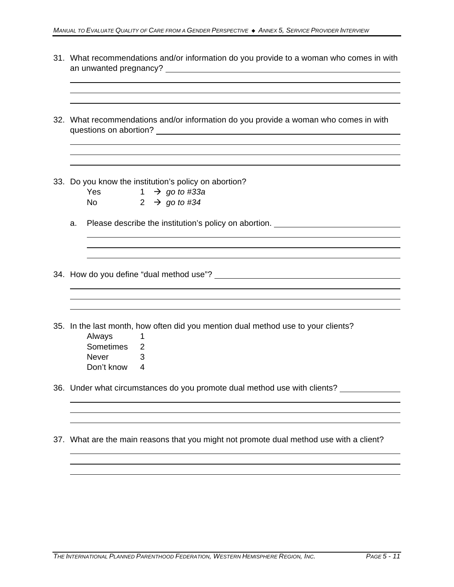| 31. What recommendations and/or information do you provide to a woman who comes in with                                                                                                                                                                     |
|-------------------------------------------------------------------------------------------------------------------------------------------------------------------------------------------------------------------------------------------------------------|
| 32. What recommendations and/or information do you provide a woman who comes in with                                                                                                                                                                        |
|                                                                                                                                                                                                                                                             |
| 33. Do you know the institution's policy on abortion?                                                                                                                                                                                                       |
| Yes $1 \rightarrow go to \#33a$                                                                                                                                                                                                                             |
| No and the set of the set of the set of the set of the set of the set of the set of the set of the set of the set of the set of the set of the set of the set of the set of the set of the set of the set of the set of the se<br>2 $\rightarrow$ go to #34 |
| Please describe the institution's policy on abortion. __________________________<br>a.                                                                                                                                                                      |
|                                                                                                                                                                                                                                                             |
|                                                                                                                                                                                                                                                             |
|                                                                                                                                                                                                                                                             |
|                                                                                                                                                                                                                                                             |
|                                                                                                                                                                                                                                                             |
| 35. In the last month, how often did you mention dual method use to your clients?                                                                                                                                                                           |
| Always<br>1                                                                                                                                                                                                                                                 |
| Sometimes<br>2                                                                                                                                                                                                                                              |
| Never<br>3                                                                                                                                                                                                                                                  |
| Don't know<br>4                                                                                                                                                                                                                                             |
| 36. Under what circumstances do you promote dual method use with clients?                                                                                                                                                                                   |
|                                                                                                                                                                                                                                                             |
|                                                                                                                                                                                                                                                             |
| 37. What are the main reasons that you might not promote dual method use with a client?                                                                                                                                                                     |
|                                                                                                                                                                                                                                                             |
|                                                                                                                                                                                                                                                             |
|                                                                                                                                                                                                                                                             |
|                                                                                                                                                                                                                                                             |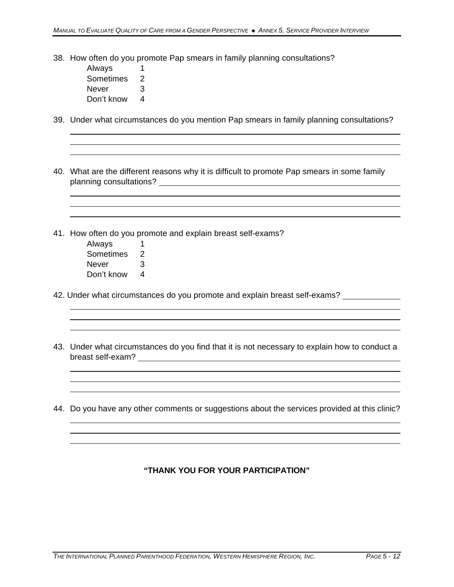38. How often do you promote Pap smears in family planning consultations?

Always 1 Sometimes 2 Never 3 Don't know 4

39. Under what circumstances do you mention Pap smears in family planning consultations?

- 40. What are the different reasons why it is difficult to promote Pap smears in some family planning consultations?
- 41. How often do you promote and explain breast self-exams?
	- Always 1 Sometimes 2 Never 3 Don't know 4
- 42. Under what circumstances do you promote and explain breast self-exams?
- 43. Under what circumstances do you find that it is not necessary to explain how to conduct a breast self-exam?
- 44. Do you have any other comments or suggestions about the services provided at this clinic?

### **"THANK YOU FOR YOUR PARTICIPATION"**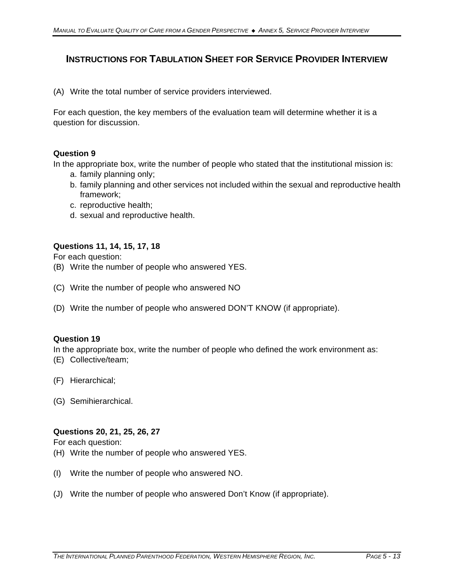## **INSTRUCTIONS FOR TABULATION SHEET FOR SERVICE PROVIDER INTERVIEW**

(A) Write the total number of service providers interviewed.

For each question, the key members of the evaluation team will determine whether it is a question for discussion.

### **Question 9**

In the appropriate box, write the number of people who stated that the institutional mission is:

- a. family planning only;
- b. family planning and other services not included within the sexual and reproductive health framework;
- c. reproductive health;
- d. sexual and reproductive health.

### **Questions 11, 14, 15, 17, 18**

For each question:

- (B) Write the number of people who answered YES.
- (C) Write the number of people who answered NO
- (D) Write the number of people who answered DON'T KNOW (if appropriate).

#### **Question 19**

In the appropriate box, write the number of people who defined the work environment as:

- (E) Collective/team;
- (F) Hierarchical;
- (G) Semihierarchical.

### **Questions 20, 21, 25, 26, 27**

For each question:

- (H) Write the number of people who answered YES.
- (I) Write the number of people who answered NO.
- (J) Write the number of people who answered Don't Know (if appropriate).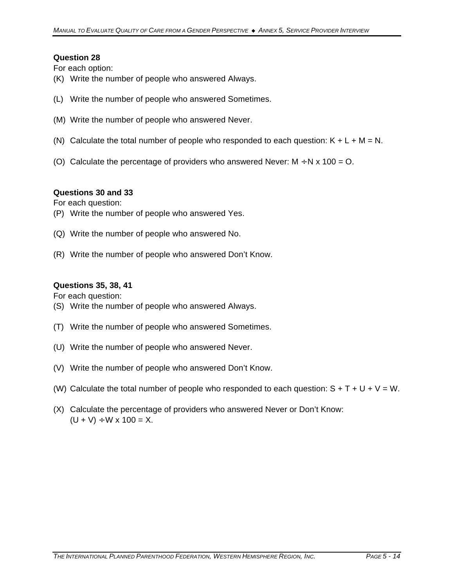### **Question 28**

For each option:

- (K) Write the number of people who answered Always.
- (L) Write the number of people who answered Sometimes.
- (M) Write the number of people who answered Never.
- (N) Calculate the total number of people who responded to each question:  $K + L + M = N$ .
- (O) Calculate the percentage of providers who answered Never:  $M \div N \times 100 = O$ .

### **Questions 30 and 33**

For each question:

- (P) Write the number of people who answered Yes.
- (Q) Write the number of people who answered No.
- (R) Write the number of people who answered Don't Know.

### **Questions 35, 38, 41**

For each question:

- (S) Write the number of people who answered Always.
- (T) Write the number of people who answered Sometimes.
- (U) Write the number of people who answered Never.
- (V) Write the number of people who answered Don't Know.
- (W) Calculate the total number of people who responded to each question:  $S + T + U + V = W$ .
- (X) Calculate the percentage of providers who answered Never or Don't Know:  $(U + V) \div W \times 100 = X$ .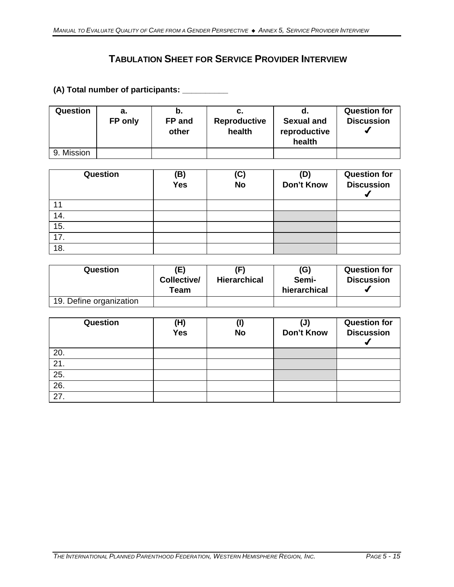# **TABULATION SHEET FOR SERVICE PROVIDER INTERVIEW**

### **(A) Total number of participants: \_\_\_\_\_\_\_\_\_\_**

| Question   | а.<br>FP only | b.<br>FP and<br>other | C.<br><b>Reproductive</b><br>health | . a.<br><b>Sexual and</b><br>reproductive<br>health | <b>Question for</b><br><b>Discussion</b> |
|------------|---------------|-----------------------|-------------------------------------|-----------------------------------------------------|------------------------------------------|
| 9. Mission |               |                       |                                     |                                                     |                                          |

| Question          | (B)<br>Yes | (C)<br><b>No</b> | (D)<br>Don't Know | <b>Question for</b><br><b>Discussion</b> |
|-------------------|------------|------------------|-------------------|------------------------------------------|
| 11                |            |                  |                   |                                          |
| 14.               |            |                  |                   |                                          |
| 15.               |            |                  |                   |                                          |
| $\overline{17}$ . |            |                  |                   |                                          |
| 18.               |            |                  |                   |                                          |

| Question                | (E)<br>Collective/<br>Team | (F)<br><b>Hierarchical</b> | (G)<br>Semi-<br>hierarchical | <b>Question for</b><br><b>Discussion</b> |
|-------------------------|----------------------------|----------------------------|------------------------------|------------------------------------------|
| 19. Define organization |                            |                            |                              |                                          |

| Question          | (H)<br><b>Yes</b> | $\left( \mathsf{l}\right)$<br><b>No</b> | (J)<br><b>Don't Know</b> | <b>Question for</b><br><b>Discussion</b> |
|-------------------|-------------------|-----------------------------------------|--------------------------|------------------------------------------|
| 20.               |                   |                                         |                          |                                          |
| $2\overline{1}$ . |                   |                                         |                          |                                          |
| $2\overline{5}$ . |                   |                                         |                          |                                          |
| 26.               |                   |                                         |                          |                                          |
| $\overline{27}$ . |                   |                                         |                          |                                          |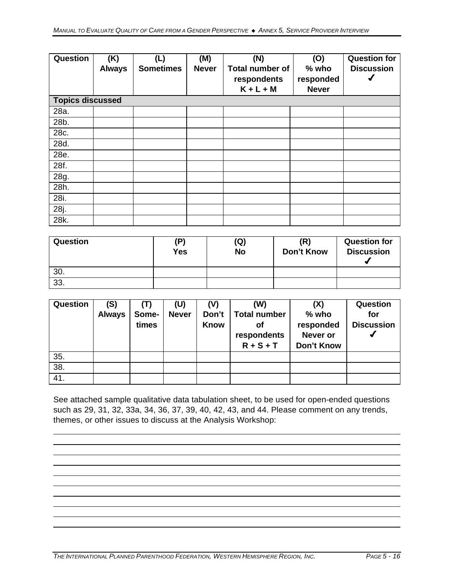| Question                | (K)<br><b>Always</b> | (L)<br><b>Sometimes</b> | (M)<br><b>Never</b> | (N)<br><b>Total number of</b><br>respondents<br>$K + L + M$ | (O)<br>$%$ who<br>responded<br><b>Never</b> | <b>Question for</b><br><b>Discussion</b> |
|-------------------------|----------------------|-------------------------|---------------------|-------------------------------------------------------------|---------------------------------------------|------------------------------------------|
| <b>Topics discussed</b> |                      |                         |                     |                                                             |                                             |                                          |
| 28a.                    |                      |                         |                     |                                                             |                                             |                                          |
| 28b.                    |                      |                         |                     |                                                             |                                             |                                          |
| 28c.                    |                      |                         |                     |                                                             |                                             |                                          |
| 28d.                    |                      |                         |                     |                                                             |                                             |                                          |
| 28e.                    |                      |                         |                     |                                                             |                                             |                                          |
| 28f.                    |                      |                         |                     |                                                             |                                             |                                          |
| 28g.                    |                      |                         |                     |                                                             |                                             |                                          |
| 28h.                    |                      |                         |                     |                                                             |                                             |                                          |
| 28i.                    |                      |                         |                     |                                                             |                                             |                                          |
| 28j.                    |                      |                         |                     |                                                             |                                             |                                          |
| 28k.                    |                      |                         |                     |                                                             |                                             |                                          |

| <b>Question</b> | (P)<br>Yes | (Q)<br><b>No</b> | (R)<br>Don't Know | <b>Question for</b><br><b>Discussion</b> |
|-----------------|------------|------------------|-------------------|------------------------------------------|
| 30.             |            |                  |                   |                                          |
| 33.             |            |                  |                   |                                          |

| <b>Question</b> | (S)<br><b>Always</b> | Some-<br>times | (U)<br><b>Never</b> | (V)<br>Don't<br><b>Know</b> | (W)<br><b>Total number</b><br>οf<br>respondents<br>$R + S + T$ | (X)<br>$%$ who<br>responded<br>Never or<br><b>Don't Know</b> | <b>Question</b><br>for<br><b>Discussion</b> |
|-----------------|----------------------|----------------|---------------------|-----------------------------|----------------------------------------------------------------|--------------------------------------------------------------|---------------------------------------------|
| 35.             |                      |                |                     |                             |                                                                |                                                              |                                             |
| 38.             |                      |                |                     |                             |                                                                |                                                              |                                             |
| 41.             |                      |                |                     |                             |                                                                |                                                              |                                             |

See attached sample qualitative data tabulation sheet, to be used for open-ended questions such as 29, 31, 32, 33a, 34, 36, 37, 39, 40, 42, 43, and 44. Please comment on any trends, themes, or other issues to discuss at the Analysis Workshop: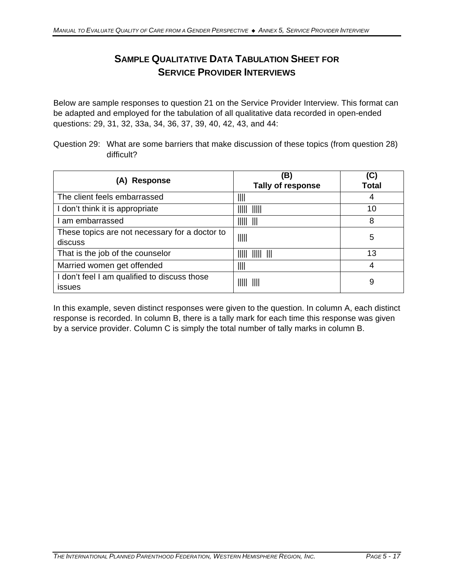# **SAMPLE QUALITATIVE DATA TABULATION SHEET FOR SERVICE PROVIDER INTERVIEWS**

Below are sample responses to question 21 on the Service Provider Interview. This format can be adapted and employed for the tabulation of all qualitative data recorded in open-ended questions: 29, 31, 32, 33a, 34, 36, 37, 39, 40, 42, 43, and 44:

Question 29: What are some barriers that make discussion of these topics (from question 28) difficult?

| (A) Response                                              | (B)<br>Tally of response                  | (C)<br><b>Total</b> |
|-----------------------------------------------------------|-------------------------------------------|---------------------|
| The client feels embarrassed                              | IIII                                      | 4                   |
| I don't think it is appropriate                           | - 11111<br>IIIII                          | 10                  |
| am embarrassed                                            | $\parallel$    $\parallel$    $\parallel$ | 8                   |
| These topics are not necessary for a doctor to<br>discuss | $\parallel$                               | 5                   |
| That is the job of the counselor                          | IIIII<br>$\parallel \parallel \parallel$  | 13                  |
| Married women get offended                                | IIII                                      | 4                   |
| I don't feel I am qualified to discuss those<br>issues    | - 1111<br>IIIII                           | 9                   |

In this example, seven distinct responses were given to the question. In column A, each distinct response is recorded. In column B, there is a tally mark for each time this response was given by a service provider. Column C is simply the total number of tally marks in column B.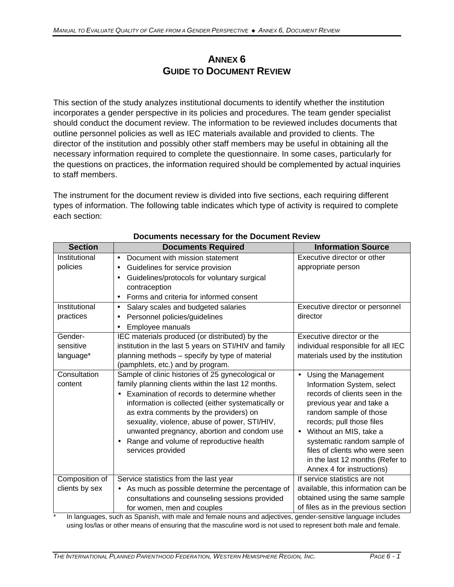## **ANNEX 6 GUIDE TO DOCUMENT REVIEW**

This section of the study analyzes institutional documents to identify whether the institution incorporates a gender perspective in its policies and procedures. The team gender specialist should conduct the document review. The information to be reviewed includes documents that outline personnel policies as well as IEC materials available and provided to clients. The director of the institution and possibly other staff members may be useful in obtaining all the necessary information required to complete the questionnaire. In some cases, particularly for the questions on practices, the information required should be complemented by actual inquiries to staff members.

The instrument for the document review is divided into five sections, each requiring different types of information. The following table indicates which type of activity is required to complete each section:

| <b>Section</b>                    | <b>Documents Required</b>                                                                                                                                                                                                                                                                                                                                                                                              | <b>Information Source</b>                                                                                                                                                                                                                                                                                                                                    |
|-----------------------------------|------------------------------------------------------------------------------------------------------------------------------------------------------------------------------------------------------------------------------------------------------------------------------------------------------------------------------------------------------------------------------------------------------------------------|--------------------------------------------------------------------------------------------------------------------------------------------------------------------------------------------------------------------------------------------------------------------------------------------------------------------------------------------------------------|
| Institutional<br>policies         | Document with mission statement<br>$\bullet$<br>Guidelines for service provision<br>$\bullet$<br>Guidelines/protocols for voluntary surgical<br>$\bullet$                                                                                                                                                                                                                                                              | Executive director or other<br>appropriate person                                                                                                                                                                                                                                                                                                            |
|                                   | contraception<br>Forms and criteria for informed consent<br>$\bullet$                                                                                                                                                                                                                                                                                                                                                  |                                                                                                                                                                                                                                                                                                                                                              |
| Institutional<br>practices        | Salary scales and budgeted salaries<br>$\bullet$<br>Personnel policies/guidelines<br>Employee manuals                                                                                                                                                                                                                                                                                                                  | Executive director or personnel<br>director                                                                                                                                                                                                                                                                                                                  |
| Gender-<br>sensitive<br>language* | IEC materials produced (or distributed) by the<br>institution in the last 5 years on STI/HIV and family<br>planning methods - specify by type of material<br>(pamphlets, etc.) and by program.                                                                                                                                                                                                                         | Executive director or the<br>individual responsible for all IEC<br>materials used by the institution                                                                                                                                                                                                                                                         |
| Consultation<br>content           | Sample of clinic histories of 25 gynecological or<br>family planning clients within the last 12 months.<br>Examination of records to determine whether<br>information is collected (either systematically or<br>as extra comments by the providers) on<br>sexuality, violence, abuse of power, STI/HIV,<br>unwanted pregnancy, abortion and condom use<br>Range and volume of reproductive health<br>services provided | Using the Management<br>$\bullet$<br>Information System, select<br>records of clients seen in the<br>previous year and take a<br>random sample of those<br>records; pull those files<br>Without an MIS, take a<br>$\bullet$<br>systematic random sample of<br>files of clients who were seen<br>in the last 12 months (Refer to<br>Annex 4 for instructions) |
| Composition of<br>clients by sex  | Service statistics from the last year<br>As much as possible determine the percentage of<br>consultations and counseling sessions provided<br>for women, men and couples                                                                                                                                                                                                                                               | If service statistics are not<br>available, this information can be<br>obtained using the same sample<br>of files as in the previous section                                                                                                                                                                                                                 |

### **Documents necessary for the Document Review**

In languages, such as Spanish, with male and female nouns and adjectives, gender-sensitive language includes using los/las or other means of ensuring that the masculine word is not used to represent both male and female.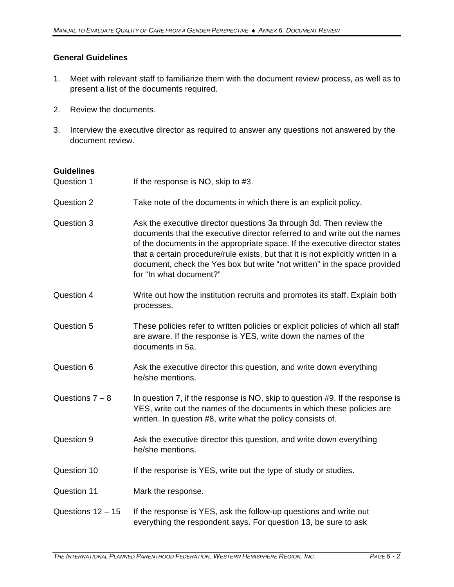### **General Guidelines**

- 1. Meet with relevant staff to familiarize them with the document review process, as well as to present a list of the documents required.
- 2. Review the documents.
- 3. Interview the executive director as required to answer any questions not answered by the document review.

#### **Guidelines**

Question 1 If the response is NO, skip to #3. Question 2 Take note of the documents in which there is an explicit policy. Question 3 Ask the executive director questions 3a through 3d. Then review the documents that the executive director referred to and write out the names of the documents in the appropriate space. If the executive director states that a certain procedure/rule exists, but that it is not explicitly written in a document, check the Yes box but write "not written" in the space provided for "In what document?" Question 4 Write out how the institution recruits and promotes its staff. Explain both processes. Question 5 These policies refer to written policies or explicit policies of which all staff are aware. If the response is YES, write down the names of the documents in 5a. Question 6 Ask the executive director this question, and write down everything he/she mentions. Questions  $7 - 8$  In question 7, if the response is NO, skip to question #9. If the response is YES, write out the names of the documents in which these policies are written. In question #8, write what the policy consists of. Question 9 Ask the executive director this question, and write down everything he/she mentions. Question 10 If the response is YES, write out the type of study or studies. Question 11 Mark the response. Questions  $12 - 15$  If the response is YES, ask the follow-up questions and write out everything the respondent says. For question 13, be sure to ask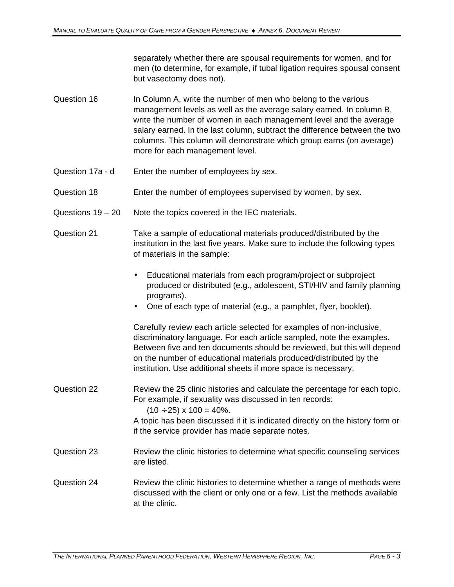separately whether there are spousal requirements for women, and for men (to determine, for example, if tubal ligation requires spousal consent but vasectomy does not).

- Question 16 In Column A, write the number of men who belong to the various management levels as well as the average salary earned. In column B, write the number of women in each management level and the average salary earned. In the last column, subtract the difference between the two columns. This column will demonstrate which group earns (on average) more for each management level.
- Question 17a d Enter the number of employees by sex.
- Question 18 Enter the number of employees supervised by women, by sex.
- Questions 19 20 Note the topics covered in the IEC materials.
- Question 21 Take a sample of educational materials produced/distributed by the institution in the last five years. Make sure to include the following types of materials in the sample:
	- Educational materials from each program/project or subproject produced or distributed (e.g., adolescent, STI/HIV and family planning programs).
	- One of each type of material (e.g., a pamphlet, flyer, booklet).

Carefully review each article selected for examples of non-inclusive, discriminatory language. For each article sampled, note the examples. Between five and ten documents should be reviewed, but this will depend on the number of educational materials produced/distributed by the institution. Use additional sheets if more space is necessary.

- Question 22 Review the 25 clinic histories and calculate the percentage for each topic. For example, if sexuality was discussed in ten records:  $(10 \div 25) \times 100 = 40\%$ . A topic has been discussed if it is indicated directly on the history form or
- Question 23 Review the clinic histories to determine what specific counseling services are listed.

if the service provider has made separate notes.

### Question 24 Review the clinic histories to determine whether a range of methods were discussed with the client or only one or a few. List the methods available at the clinic.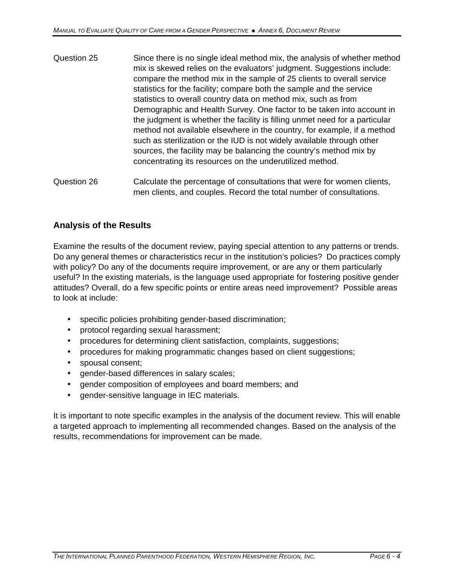- Question 25 Since there is no single ideal method mix, the analysis of whether method mix is skewed relies on the evaluators' judgment. Suggestions include: compare the method mix in the sample of 25 clients to overall service statistics for the facility; compare both the sample and the service statistics to overall country data on method mix, such as from Demographic and Health Survey. One factor to be taken into account in the judgment is whether the facility is filling unmet need for a particular method not available elsewhere in the country, for example, if a method such as sterilization or the IUD is not widely available through other sources, the facility may be balancing the country's method mix by concentrating its resources on the underutilized method.
- Question 26 Calculate the percentage of consultations that were for women clients, men clients, and couples. Record the total number of consultations.

## **Analysis of the Results**

Examine the results of the document review, paying special attention to any patterns or trends. Do any general themes or characteristics recur in the institution's policies? Do practices comply with policy? Do any of the documents require improvement, or are any or them particularly useful? In the existing materials, is the language used appropriate for fostering positive gender attitudes? Overall, do a few specific points or entire areas need improvement? Possible areas to look at include:

- specific policies prohibiting gender-based discrimination;
- protocol regarding sexual harassment;
- procedures for determining client satisfaction, complaints, suggestions;
- procedures for making programmatic changes based on client suggestions;
- spousal consent;
- gender-based differences in salary scales;
- gender composition of employees and board members; and
- gender-sensitive language in IEC materials.

It is important to note specific examples in the analysis of the document review. This will enable a targeted approach to implementing all recommended changes. Based on the analysis of the results, recommendations for improvement can be made.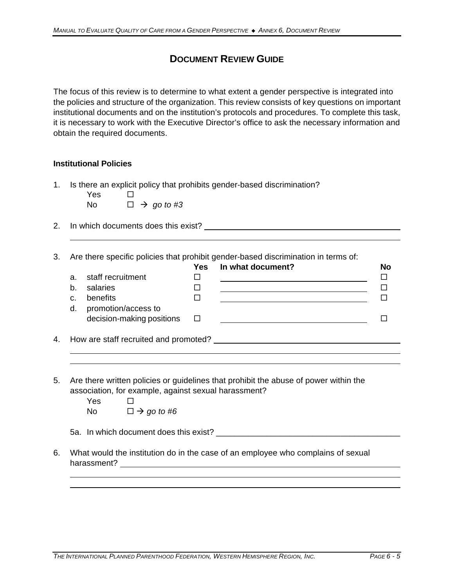## **DOCUMENT REVIEW GUIDE**

The focus of this review is to determine to what extent a gender perspective is integrated into the policies and structure of the organization. This review consists of key questions on important institutional documents and on the institution's protocols and procedures. To complete this task, it is necessary to work with the Executive Director's office to ask the necessary information and obtain the required documents.

### **Institutional Policies**

1. Is there an explicit policy that prohibits gender-based discrimination?

| Yes | $\Box$ |                             |
|-----|--------|-----------------------------|
| No. |        | $\Box \rightarrow$ go to #3 |

2. In which documents does this exist?

3. Are there specific policies that prohibit gender-based discrimination in terms of:

|                           | Yes    | In what document? | <b>No</b> |
|---------------------------|--------|-------------------|-----------|
| staff recruitment         |        |                   |           |
| salaries                  |        |                   |           |
| benefits                  |        |                   |           |
| promotion/access to       |        |                   |           |
| decision-making positions | $\Box$ |                   |           |
|                           |        |                   |           |
|                           |        |                   |           |

4. How are staff recruited and promoted?

- 5. Are there written policies or guidelines that prohibit the abuse of power within the association, for example, against sexual harassment?
	- $Yes \Box$ No  $\Box \rightarrow go \ to \ \#6$

5a. In which document does this exist? \_\_\_\_\_\_\_\_\_\_\_\_\_\_\_\_\_\_\_\_\_\_\_\_\_\_\_\_\_\_\_\_\_\_\_\_\_\_\_\_

6. What would the institution do in the case of an employee who complains of sexual harassment?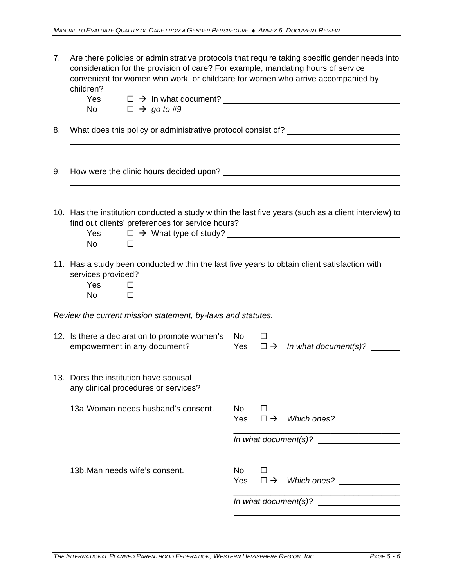| 7. | children?<br>Yes<br>No l               | consideration for the provision of care? For example, mandating hours of service<br>convenient for women who work, or childcare for women who arrive accompanied by<br>$\Box \rightarrow \Box$ In what document?<br>$\Box \rightarrow$ go to #9 |     |        | Are there policies or administrative protocols that require taking specific gender needs into        |
|----|----------------------------------------|-------------------------------------------------------------------------------------------------------------------------------------------------------------------------------------------------------------------------------------------------|-----|--------|------------------------------------------------------------------------------------------------------|
| 8. |                                        |                                                                                                                                                                                                                                                 |     |        | What does this policy or administrative protocol consist of? ___________________                     |
| 9. |                                        |                                                                                                                                                                                                                                                 |     |        |                                                                                                      |
|    | Yes<br>No l                            | find out clients' preferences for service hours?<br>$\Box$                                                                                                                                                                                      |     |        | 10. Has the institution conducted a study within the last five years (such as a client interview) to |
|    | services provided?<br>Yes<br><b>No</b> | 11. Has a study been conducted within the last five years to obtain client satisfaction with<br>□<br>□                                                                                                                                          |     |        |                                                                                                      |
|    |                                        | Review the current mission statement, by-laws and statutes.                                                                                                                                                                                     |     |        |                                                                                                      |
|    |                                        | 12. Is there a declaration to promote women's<br>empowerment in any document?                                                                                                                                                                   | No. | $\Box$ | Yes $\Box \rightarrow \Box$ In what document(s)?                                                     |
|    |                                        | 13. Does the institution have spousal<br>any clinical procedures or services?                                                                                                                                                                   |     |        |                                                                                                      |
|    |                                        | 13a. Woman needs husband's consent.                                                                                                                                                                                                             | No  | $\Box$ |                                                                                                      |
|    |                                        |                                                                                                                                                                                                                                                 |     |        |                                                                                                      |
|    |                                        | 13b. Man needs wife's consent.                                                                                                                                                                                                                  | No  | $\Box$ | Yes $\square \rightarrow$ Which ones?                                                                |
|    |                                        |                                                                                                                                                                                                                                                 |     |        |                                                                                                      |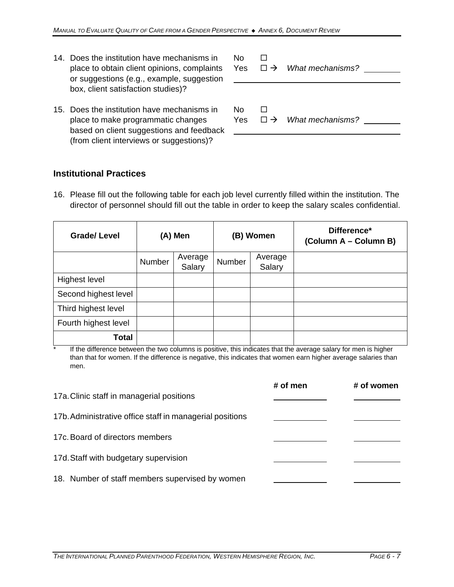- 14. Does the institution have mechanisms in  $\Box$ or suggestions (e.g., example, suggestion box, client satisfaction studies)?
- 15. Does the institution have mechanisms in  $\Box$ place to make programmatic changes Yes  $□ →$  *What mechanisms?* based on client suggestions and feedback (from client interviews or suggestions)?

place to obtain client opinions, complaints Yes  $\Box \rightarrow$  *What mechanisms?* <u></u>

### **Institutional Practices**

16. Please fill out the following table for each job level currently filled within the institution. The director of personnel should fill out the table in order to keep the salary scales confidential.

| <b>Grade/Level</b>   | (A) Men |                   | (B) Women |                   | Difference*<br>(Column A – Column B) |
|----------------------|---------|-------------------|-----------|-------------------|--------------------------------------|
|                      | Number  | Average<br>Salary | Number    | Average<br>Salary |                                      |
| <b>Highest level</b> |         |                   |           |                   |                                      |
| Second highest level |         |                   |           |                   |                                      |
| Third highest level  |         |                   |           |                   |                                      |
| Fourth highest level |         |                   |           |                   |                                      |
| <b>Total</b>         |         |                   |           |                   |                                      |

\* If the difference between the two columns is positive, this indicates that the average salary for men is higher than that for women. If the difference is negative, this indicates that women earn higher average salaries than men.

|                                                          | # of men | # of women |
|----------------------------------------------------------|----------|------------|
| 17a. Clinic staff in managerial positions                |          |            |
| 17b. Administrative office staff in managerial positions |          |            |
| 17c. Board of directors members                          |          |            |
| 17d. Staff with budgetary supervision                    |          |            |
| 18. Number of staff members supervised by women          |          |            |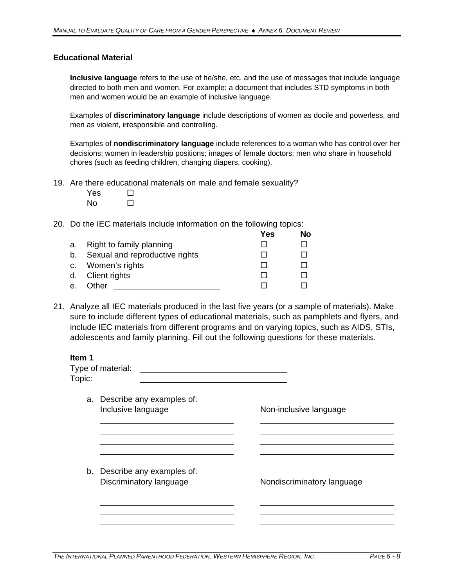### **Educational Material**

**Inclusive language** refers to the use of he/she, etc. and the use of messages that include language directed to both men and women. For example: a document that includes STD symptoms in both men and women would be an example of inclusive language.

Examples of **discriminatory language** include descriptions of women as docile and powerless, and men as violent, irresponsible and controlling.

Examples of **nondiscriminatory language** include references to a woman who has control over her decisions; women in leadership positions; images of female doctors; men who share in household chores (such as feeding children, changing diapers, cooking).

- 19. Are there educational materials on male and female sexuality?
	- $Yes \Box$  $No$   $\Box$

20. Do the IEC materials include information on the following topics:

|    |                                | Yes | No |
|----|--------------------------------|-----|----|
| a. | Right to family planning       |     |    |
| b. | Sexual and reproductive rights |     |    |
|    | c. Women's rights              |     |    |
|    | d. Client rights               |     |    |
| е. | Other                          |     |    |

21. Analyze all IEC materials produced in the last five years (or a sample of materials). Make sure to include different types of educational materials, such as pamphlets and flyers, and include IEC materials from different programs and on varying topics, such as AIDS, STIs, adolescents and family planning. Fill out the following questions for these materials.

| Item 1<br>Topic: | Type of material:                                       |                            |
|------------------|---------------------------------------------------------|----------------------------|
|                  | a. Describe any examples of:<br>Inclusive language      | Non-inclusive language     |
|                  |                                                         |                            |
|                  | b. Describe any examples of:<br>Discriminatory language | Nondiscriminatory language |
|                  |                                                         |                            |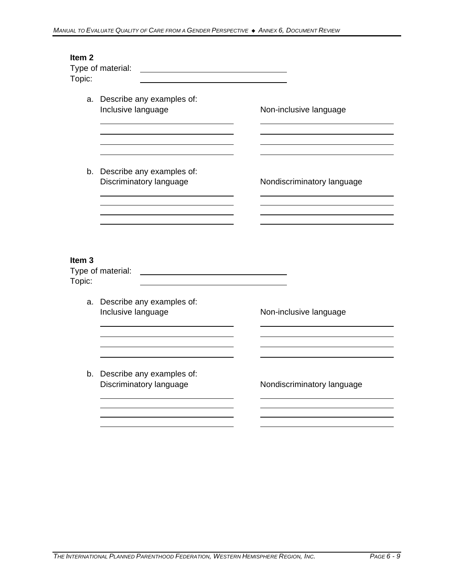| Item <sub>2</sub><br>Topic: | Type of material:                                       |                            |
|-----------------------------|---------------------------------------------------------|----------------------------|
|                             | a. Describe any examples of:<br>Inclusive language      | Non-inclusive language     |
|                             | b. Describe any examples of:<br>Discriminatory language | Nondiscriminatory language |
| Item <sub>3</sub><br>Topic: | Type of material:                                       |                            |
|                             | a. Describe any examples of:<br>Inclusive language      | Non-inclusive language     |
|                             | b. Describe any examples of:<br>Discriminatory language | Nondiscriminatory language |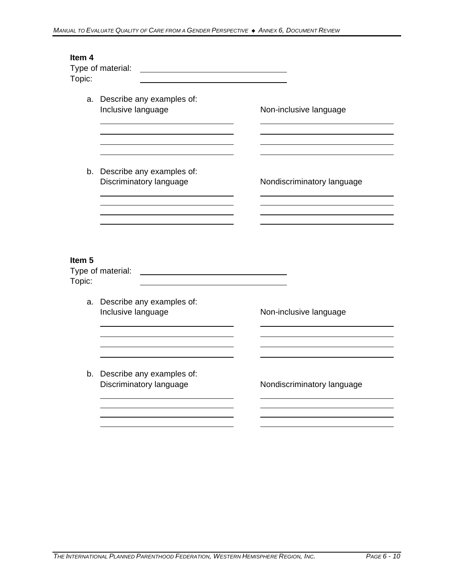| Item <sub>4</sub><br>Topic: | Type of material:                                       |                            |
|-----------------------------|---------------------------------------------------------|----------------------------|
|                             | a. Describe any examples of:<br>Inclusive language      | Non-inclusive language     |
|                             | b. Describe any examples of:<br>Discriminatory language | Nondiscriminatory language |
| Item <sub>5</sub><br>Topic: | Type of material:                                       |                            |
|                             | a. Describe any examples of:<br>Inclusive language      | Non-inclusive language     |
|                             | b. Describe any examples of:<br>Discriminatory language | Nondiscriminatory language |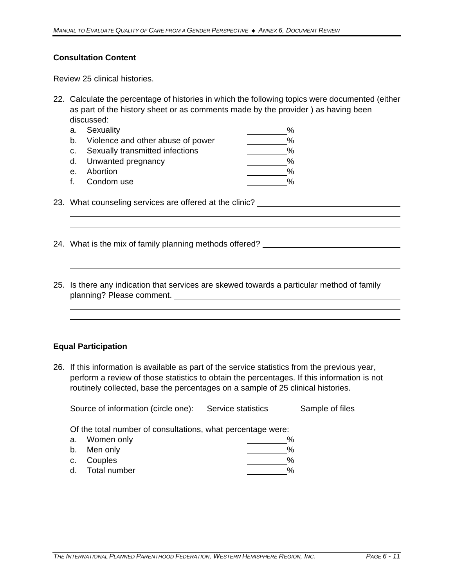### **Consultation Content**

Review 25 clinical histories.

22. Calculate the percentage of histories in which the following topics were documented (either as part of the history sheet or as comments made by the provider ) as having been discussed:

|                | a. Sexuality                         | $\%$ |
|----------------|--------------------------------------|------|
|                | b. Violence and other abuse of power | %    |
|                | c. Sexually transmitted infections   | %    |
|                | d. Unwanted pregnancy                | %    |
| e <sub>1</sub> | Abortion                             | %    |
|                | f. Condom use                        | %    |

- 23. What counseling services are offered at the clinic?
- 24. What is the mix of family planning methods offered? \_\_\_\_\_\_\_\_\_\_\_\_\_\_\_\_\_\_\_\_\_\_\_\_
- 25. Is there any indication that services are skewed towards a particular method of family planning? Please comment.

#### **Equal Participation**

26. If this information is available as part of the service statistics from the previous year, perform a review of those statistics to obtain the percentages. If this information is not routinely collected, base the percentages on a sample of 25 clinical histories.

| Source of information (circle one): |  | Service statistics | Sample of files |
|-------------------------------------|--|--------------------|-----------------|
|-------------------------------------|--|--------------------|-----------------|

Of the total number of consultations, what percentage were:

| a. Women only   | % |
|-----------------|---|
| b. Men only     | % |
| c. Couples      | % |
| d. Total number | % |
|                 |   |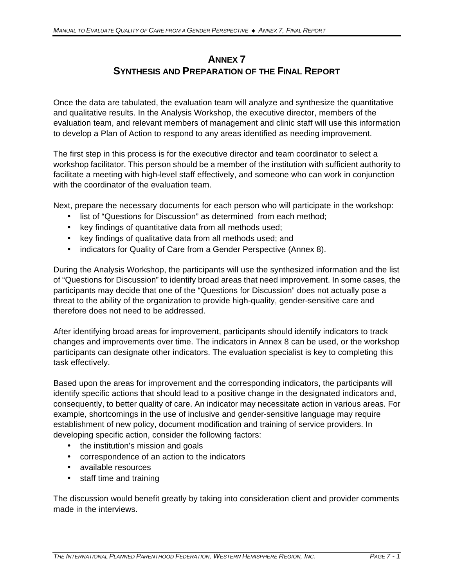## **ANNEX 7 SYNTHESIS AND PREPARATION OF THE FINAL REPORT**

Once the data are tabulated, the evaluation team will analyze and synthesize the quantitative and qualitative results. In the Analysis Workshop, the executive director, members of the evaluation team, and relevant members of management and clinic staff will use this information to develop a Plan of Action to respond to any areas identified as needing improvement.

The first step in this process is for the executive director and team coordinator to select a workshop facilitator. This person should be a member of the institution with sufficient authority to facilitate a meeting with high-level staff effectively, and someone who can work in conjunction with the coordinator of the evaluation team.

Next, prepare the necessary documents for each person who will participate in the workshop:

- list of "Questions for Discussion" as determined from each method;
- key findings of quantitative data from all methods used;
- key findings of qualitative data from all methods used; and
- indicators for Quality of Care from a Gender Perspective (Annex 8).

During the Analysis Workshop, the participants will use the synthesized information and the list of "Questions for Discussion" to identify broad areas that need improvement. In some cases, the participants may decide that one of the "Questions for Discussion" does not actually pose a threat to the ability of the organization to provide high-quality, gender-sensitive care and therefore does not need to be addressed.

After identifying broad areas for improvement, participants should identify indicators to track changes and improvements over time. The indicators in Annex 8 can be used, or the workshop participants can designate other indicators. The evaluation specialist is key to completing this task effectively.

Based upon the areas for improvement and the corresponding indicators, the participants will identify specific actions that should lead to a positive change in the designated indicators and, consequently, to better quality of care. An indicator may necessitate action in various areas. For example, shortcomings in the use of inclusive and gender-sensitive language may require establishment of new policy, document modification and training of service providers. In developing specific action, consider the following factors:

- the institution's mission and goals
- correspondence of an action to the indicators
- available resources
- staff time and training

The discussion would benefit greatly by taking into consideration client and provider comments made in the interviews.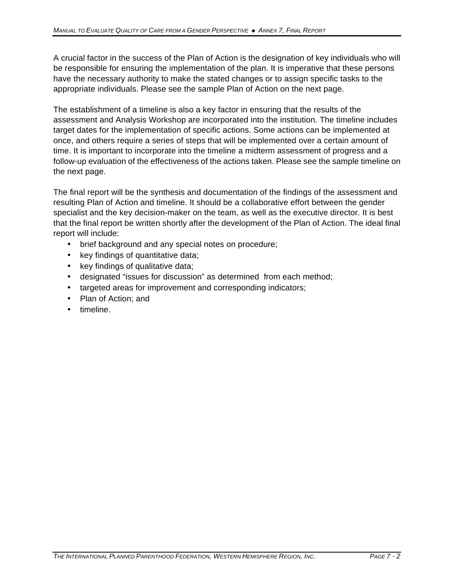A crucial factor in the success of the Plan of Action is the designation of key individuals who will be responsible for ensuring the implementation of the plan. It is imperative that these persons have the necessary authority to make the stated changes or to assign specific tasks to the appropriate individuals. Please see the sample Plan of Action on the next page.

The establishment of a timeline is also a key factor in ensuring that the results of the assessment and Analysis Workshop are incorporated into the institution. The timeline includes target dates for the implementation of specific actions. Some actions can be implemented at once, and others require a series of steps that will be implemented over a certain amount of time. It is important to incorporate into the timeline a midterm assessment of progress and a follow-up evaluation of the effectiveness of the actions taken. Please see the sample timeline on the next page.

The final report will be the synthesis and documentation of the findings of the assessment and resulting Plan of Action and timeline. It should be a collaborative effort between the gender specialist and the key decision-maker on the team, as well as the executive director. It is best that the final report be written shortly after the development of the Plan of Action. The ideal final report will include:

- brief background and any special notes on procedure;
- key findings of quantitative data;
- key findings of qualitative data;
- designated "issues for discussion" as determined from each method;
- targeted areas for improvement and corresponding indicators;
- Plan of Action; and
- timeline.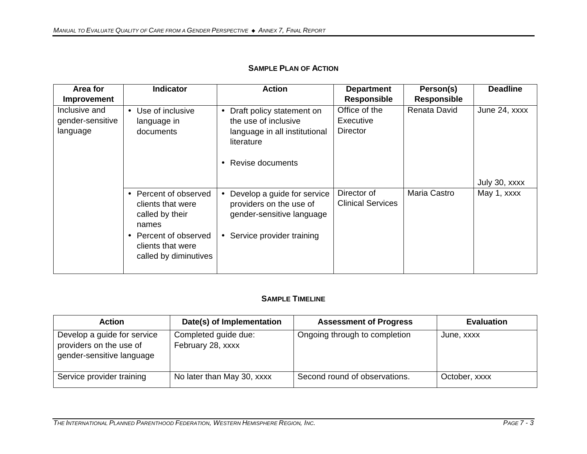| Area for                                      | <b>Indicator</b>                                                                                                                              | <b>Action</b>                                                                                                                              | <b>Department</b>                             | Person(s)          | <b>Deadline</b>              |
|-----------------------------------------------|-----------------------------------------------------------------------------------------------------------------------------------------------|--------------------------------------------------------------------------------------------------------------------------------------------|-----------------------------------------------|--------------------|------------------------------|
| <b>Improvement</b>                            |                                                                                                                                               |                                                                                                                                            | <b>Responsible</b>                            | <b>Responsible</b> |                              |
| Inclusive and<br>gender-sensitive<br>language | • Use of inclusive<br>language in<br>documents                                                                                                | Draft policy statement on<br>$\bullet$<br>the use of inclusive<br>language in all institutional<br>literature<br>Revise documents          | Office of the<br>Executive<br><b>Director</b> | Renata David       | June 24, xxxx                |
|                                               | • Percent of observed<br>clients that were<br>called by their<br>names<br>• Percent of observed<br>clients that were<br>called by diminutives | Develop a guide for service<br>$\bullet$<br>providers on the use of<br>gender-sensitive language<br>Service provider training<br>$\bullet$ | Director of<br><b>Clinical Services</b>       | Maria Castro       | July 30, xxxx<br>May 1, xxxx |

## **SAMPLE PLAN OF ACTION**

### **SAMPLE TIMELINE**

| <b>Action</b>                                                                       | Date(s) of Implementation                 | <b>Assessment of Progress</b> | <b>Evaluation</b> |
|-------------------------------------------------------------------------------------|-------------------------------------------|-------------------------------|-------------------|
| Develop a guide for service<br>providers on the use of<br>gender-sensitive language | Completed guide due:<br>February 28, xxxx | Ongoing through to completion | June, xxxx        |
| Service provider training                                                           | No later than May 30, xxxx                | Second round of observations. | October, xxxx     |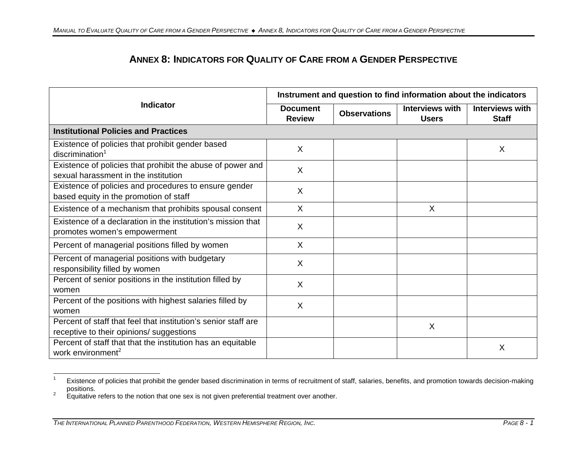# **ANNEX 8: INDICATORS FOR QUALITY OF CARE FROM A GENDER PERSPECTIVE**

|                                                                                                            | Instrument and question to find information about the indicators |                     |                                 |                                        |
|------------------------------------------------------------------------------------------------------------|------------------------------------------------------------------|---------------------|---------------------------------|----------------------------------------|
| <b>Indicator</b>                                                                                           | <b>Document</b><br><b>Review</b>                                 | <b>Observations</b> | Interviews with<br><b>Users</b> | <b>Interviews with</b><br><b>Staff</b> |
| <b>Institutional Policies and Practices</b>                                                                |                                                                  |                     |                                 |                                        |
| Existence of policies that prohibit gender based<br>discrimination <sup>1</sup>                            | X                                                                |                     |                                 | X                                      |
| Existence of policies that prohibit the abuse of power and<br>sexual harassment in the institution         | X                                                                |                     |                                 |                                        |
| Existence of policies and procedures to ensure gender<br>based equity in the promotion of staff            | X                                                                |                     |                                 |                                        |
| Existence of a mechanism that prohibits spousal consent                                                    | X                                                                |                     | X                               |                                        |
| Existence of a declaration in the institution's mission that<br>promotes women's empowerment               | X                                                                |                     |                                 |                                        |
| Percent of managerial positions filled by women                                                            | X                                                                |                     |                                 |                                        |
| Percent of managerial positions with budgetary<br>responsibility filled by women                           | X                                                                |                     |                                 |                                        |
| Percent of senior positions in the institution filled by<br>women                                          | X                                                                |                     |                                 |                                        |
| Percent of the positions with highest salaries filled by<br>women                                          | X                                                                |                     |                                 |                                        |
| Percent of staff that feel that institution's senior staff are<br>receptive to their opinions/ suggestions |                                                                  |                     | $\sf X$                         |                                        |
| Percent of staff that that the institution has an equitable<br>work environment <sup>2</sup>               |                                                                  |                     |                                 | X                                      |

 $\overline{a}$ <sup>1</sup> Existence of policies that prohibit the gender based discrimination in terms of recruitment of staff, salaries, benefits, and promotion towards decision-making positions.

<sup>&</sup>lt;sup>2</sup> Equitative refers to the notion that one sex is not given preferential treatment over another.

THE INTERNATIONAL PLANNED PARENTHOOD FEDERATION, WESTERN HEMISPHERE REGION, INC.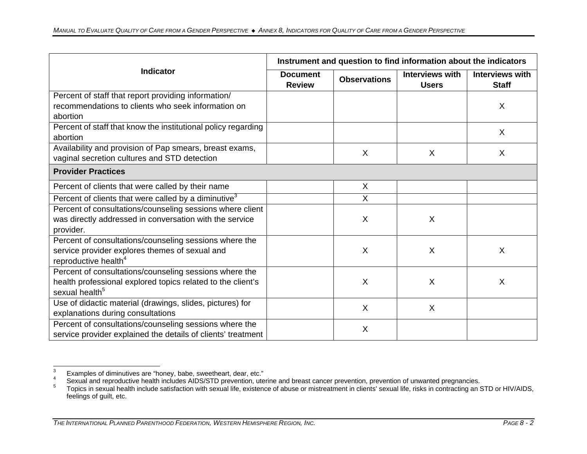|                                                                           | Instrument and question to find information about the indicators |                     |                                        |                                        |
|---------------------------------------------------------------------------|------------------------------------------------------------------|---------------------|----------------------------------------|----------------------------------------|
| <b>Indicator</b>                                                          | <b>Document</b><br><b>Review</b>                                 | <b>Observations</b> | <b>Interviews with</b><br><b>Users</b> | <b>Interviews with</b><br><b>Staff</b> |
| Percent of staff that report providing information/                       |                                                                  |                     |                                        |                                        |
| recommendations to clients who seek information on                        |                                                                  |                     |                                        | X                                      |
| abortion                                                                  |                                                                  |                     |                                        |                                        |
| Percent of staff that know the institutional policy regarding<br>abortion |                                                                  |                     |                                        | $\sf X$                                |
|                                                                           |                                                                  |                     |                                        |                                        |
| Availability and provision of Pap smears, breast exams,                   |                                                                  | $\sf X$             | X                                      | $\sf X$                                |
| vaginal secretion cultures and STD detection                              |                                                                  |                     |                                        |                                        |
| <b>Provider Practices</b>                                                 |                                                                  |                     |                                        |                                        |
| Percent of clients that were called by their name                         |                                                                  | X                   |                                        |                                        |
| Percent of clients that were called by a diminutive <sup>3</sup>          |                                                                  | $\sf X$             |                                        |                                        |
| Percent of consultations/counseling sessions where client                 |                                                                  |                     |                                        |                                        |
| was directly addressed in conversation with the service                   |                                                                  | X                   | X                                      |                                        |
| provider.                                                                 |                                                                  |                     |                                        |                                        |
| Percent of consultations/counseling sessions where the                    |                                                                  |                     |                                        |                                        |
| service provider explores themes of sexual and                            |                                                                  | X                   | X                                      | $\sf X$                                |
| reproductive health <sup>4</sup>                                          |                                                                  |                     |                                        |                                        |
| Percent of consultations/counseling sessions where the                    |                                                                  |                     |                                        |                                        |
| health professional explored topics related to the client's               |                                                                  | X                   | X                                      | $\sf X$                                |
| sexual health <sup>5</sup>                                                |                                                                  |                     |                                        |                                        |
| Use of didactic material (drawings, slides, pictures) for                 |                                                                  | $\sf X$             | $\times$                               |                                        |
| explanations during consultations                                         |                                                                  |                     |                                        |                                        |
| Percent of consultations/counseling sessions where the                    |                                                                  | X                   |                                        |                                        |
| service provider explained the details of clients' treatment              |                                                                  |                     |                                        |                                        |

 $\mathbf{3}$  $\frac{3}{4}$  Examples of diminutives are "honey, babe, sweetheart, dear, etc."

 $4-$  Sexual and reproductive health includes AIDS/STD prevention, uterine and breast cancer prevention, prevention of unwanted pregnancies.

<sup>5</sup> Topics in sexual health include satisfaction with sexual life, existence of abuse or mistreatment in clients' sexual life, risks in contracting an STD or HIV/AIDS, feelings of guilt, etc.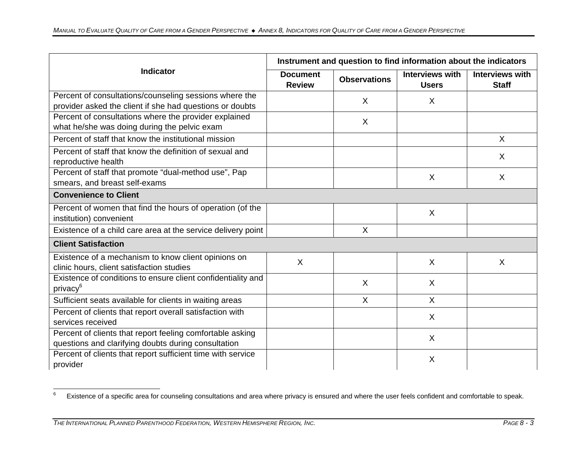|                                                                                                  | Instrument and question to find information about the indicators |                     |                                        |                                        |
|--------------------------------------------------------------------------------------------------|------------------------------------------------------------------|---------------------|----------------------------------------|----------------------------------------|
| <b>Indicator</b>                                                                                 | <b>Document</b><br><b>Review</b>                                 | <b>Observations</b> | <b>Interviews with</b><br><b>Users</b> | <b>Interviews with</b><br><b>Staff</b> |
| Percent of consultations/counseling sessions where the                                           |                                                                  | $\sf X$             | $\sf X$                                |                                        |
| provider asked the client if she had questions or doubts                                         |                                                                  |                     |                                        |                                        |
| Percent of consultations where the provider explained                                            |                                                                  | $\sf X$             |                                        |                                        |
| what he/she was doing during the pelvic exam                                                     |                                                                  |                     |                                        |                                        |
| Percent of staff that know the institutional mission                                             |                                                                  |                     |                                        | X                                      |
| Percent of staff that know the definition of sexual and                                          |                                                                  |                     |                                        | $\sf X$                                |
| reproductive health                                                                              |                                                                  |                     |                                        |                                        |
| Percent of staff that promote "dual-method use", Pap                                             |                                                                  |                     | $\sf X$                                | $\sf X$                                |
| smears, and breast self-exams                                                                    |                                                                  |                     |                                        |                                        |
| <b>Convenience to Client</b>                                                                     |                                                                  |                     |                                        |                                        |
| Percent of women that find the hours of operation (of the                                        |                                                                  |                     | X                                      |                                        |
| institution) convenient                                                                          |                                                                  |                     |                                        |                                        |
| Existence of a child care area at the service delivery point                                     |                                                                  | X                   |                                        |                                        |
| <b>Client Satisfaction</b>                                                                       |                                                                  |                     |                                        |                                        |
| Existence of a mechanism to know client opinions on<br>clinic hours, client satisfaction studies | X                                                                |                     | $\times$                               | $\sf X$                                |
| Existence of conditions to ensure client confidentiality and                                     |                                                                  |                     |                                        |                                        |
| privacy <sup>6</sup>                                                                             |                                                                  | $\sf X$             | X                                      |                                        |
| Sufficient seats available for clients in waiting areas                                          |                                                                  | $\sf X$             | $\sf X$                                |                                        |
| Percent of clients that report overall satisfaction with                                         |                                                                  |                     | X                                      |                                        |
| services received                                                                                |                                                                  |                     |                                        |                                        |
| Percent of clients that report feeling comfortable asking                                        |                                                                  |                     | $\times$                               |                                        |
| questions and clarifying doubts during consultation                                              |                                                                  |                     |                                        |                                        |
| Percent of clients that report sufficient time with service                                      |                                                                  |                     | X                                      |                                        |
| provider                                                                                         |                                                                  |                     |                                        |                                        |

 $\,6\,$ Existence of a specific area for counseling consultations and area where privacy is ensured and where the user feels confident and comfortable to speak.